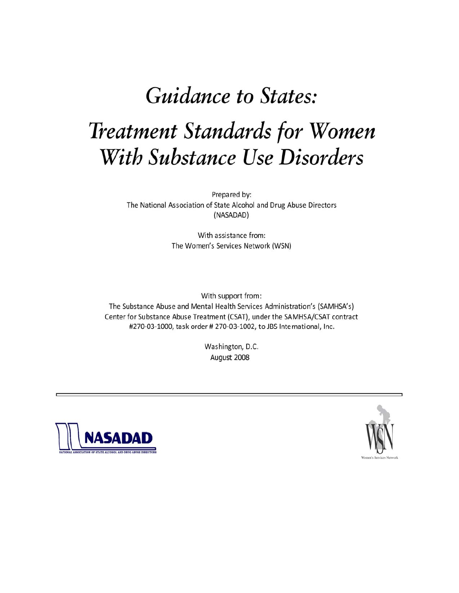# **Guidance to States: Treatment Standards for Women** With Substance Use Disorders

Prepared by: The National Association of State Alcohol and Drug Abuse Directors (NASADAD)

> With assistance from: The Women's Services Network (WSN)

With support from: The Substance Abuse and Mental Health Services Administration's (SAMHSA's) Center for Substance Abuse Treatment (CSAT), under the SAMHSA/CSAT contract #270-03-1000, task order # 270-03-1002, to JBS International, Inc.

> Washington, D.C. August 2008



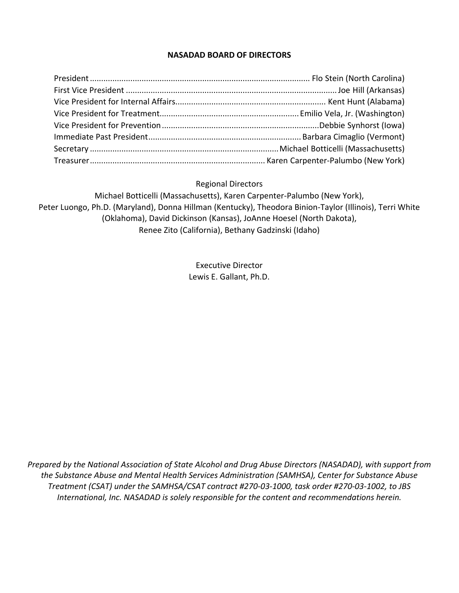#### **NASADAD BOARD OF DIRECTORS**

#### Regional Directors

Michael Botticelli (Massachusetts), Karen Carpenter‐Palumbo (New York), Peter Luongo, Ph.D. (Maryland), Donna Hillman (Kentucky), Theodora Binion‐Taylor (Illinois), Terri White (Oklahoma), David Dickinson (Kansas), JoAnne Hoesel (North Dakota), Renee Zito (California), Bethany Gadzinski (Idaho)

> Executive Director Lewis E. Gallant, Ph.D.

*Prepared by the National Association of State Alcohol and Drug Abuse Directors (NASADAD), with support from the Substance Abuse and Mental Health Services Administration (SAMHSA), Center for Substance Abuse* Treatment (CSAT) under the SAMHSA/CSAT contract #270-03-1000, task order #270-03-1002, to JBS *International, Inc. NASADAD is solely responsible for the content and recommendations herein.*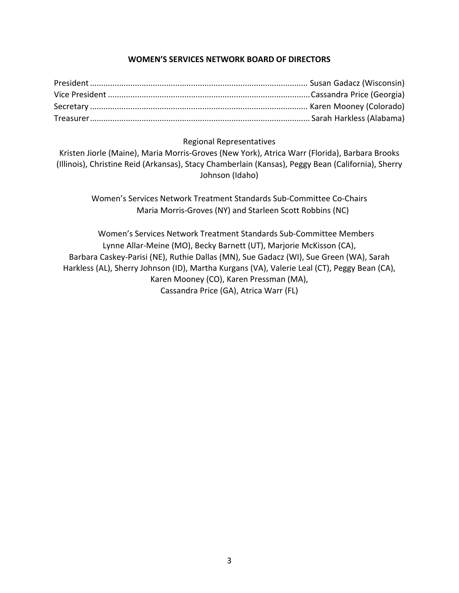## **WOMEN'S SERVICES NETWORK BOARD OF DIRECTORS**

#### Regional Representatives

Kristen Jiorle (Maine), Maria Morris‐Groves (New York), Atrica Warr (Florida), Barbara Brooks (Illinois), Christine Reid (Arkansas), Stacy Chamberlain (Kansas), Peggy Bean (California), Sherry Johnson (Idaho)

Women's Services Network Treatment Standards Sub‐Committee Co‐Chairs Maria Morris‐Groves (NY) and Starleen Scott Robbins (NC)

Women's Services Network Treatment Standards Sub‐Committee Members Lynne Allar‐Meine (MO), Becky Barnett (UT), Marjorie McKisson (CA), Barbara Caskey‐Parisi (NE), Ruthie Dallas (MN), Sue Gadacz (WI), Sue Green (WA), Sarah Harkless (AL), Sherry Johnson (ID), Martha Kurgans (VA), Valerie Leal (CT), Peggy Bean (CA), Karen Mooney (CO), Karen Pressman (MA), Cassandra Price (GA), Atrica Warr (FL)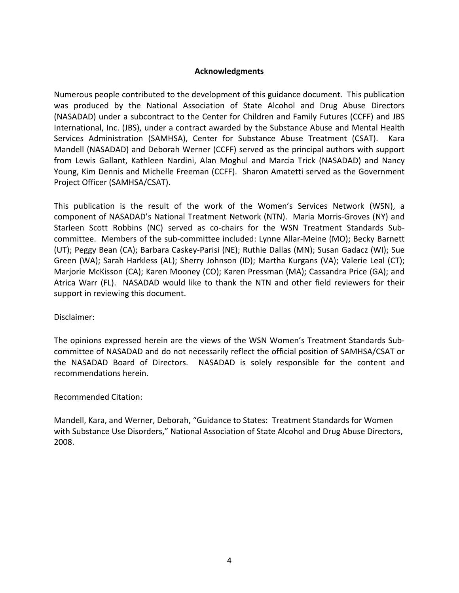#### **Acknowledgments**

Numerous people contributed to the development of this guidance document. This publication was produced by the National Association of State Alcohol and Drug Abuse Directors (NASADAD) under a subcontract to the Center for Children and Family Futures (CCFF) and JBS International, Inc. (JBS), under a contract awarded by the Substance Abuse and Mental Health Services Administration (SAMHSA), Center for Substance Abuse Treatment (CSAT). Kara Mandell (NASADAD) and Deborah Werner (CCFF) served as the principal authors with support from Lewis Gallant, Kathleen Nardini, Alan Moghul and Marcia Trick (NASADAD) and Nancy Young, Kim Dennis and Michelle Freeman (CCFF). Sharon Amatetti served as the Government Project Officer (SAMHSA/CSAT).

This publication is the result of the work of the Women's Services Network (WSN), a component of NASADAD's National Treatment Network (NTN). Maria Morris‐Groves (NY) and Starleen Scott Robbins (NC) served as co-chairs for the WSN Treatment Standards Subcommittee. Members of the sub‐committee included: Lynne Allar‐Meine (MO); Becky Barnett (UT); Peggy Bean (CA); Barbara Caskey‐Parisi (NE); Ruthie Dallas (MN); Susan Gadacz (WI); Sue Green (WA); Sarah Harkless (AL); Sherry Johnson (ID); Martha Kurgans (VA); Valerie Leal (CT); Marjorie McKisson (CA); Karen Mooney (CO); Karen Pressman (MA); Cassandra Price (GA); and Atrica Warr (FL). NASADAD would like to thank the NTN and other field reviewers for their support in reviewing this document.

#### Disclaimer:

The opinions expressed herein are the views of the WSN Women's Treatment Standards Sub‐ committee of NASADAD and do not necessarily reflect the official position of SAMHSA/CSAT or the NASADAD Board of Directors. NASADAD is solely responsible for the content and recommendations herein.

#### Recommended Citation:

Mandell, Kara, and Werner, Deborah, "Guidance to States: Treatment Standards for Women with Substance Use Disorders," National Association of State Alcohol and Drug Abuse Directors, 2008.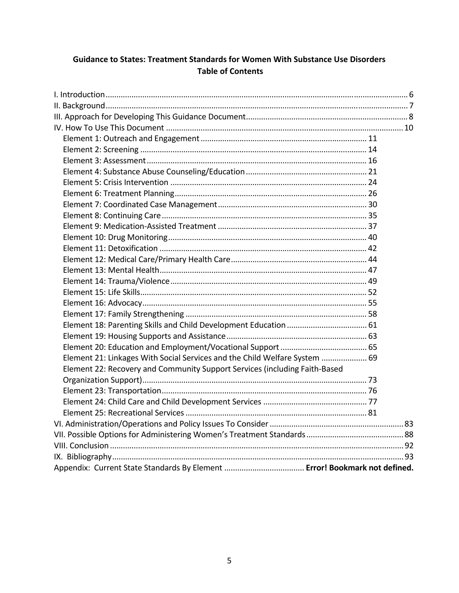# **Guidance to States: Treatment Standards for Women With Substance Use Disorders Table of Contents**

| Element 21: Linkages With Social Services and the Child Welfare System  69 |  |
|----------------------------------------------------------------------------|--|
| Element 22: Recovery and Community Support Services (including Faith-Based |  |
|                                                                            |  |
|                                                                            |  |
|                                                                            |  |
|                                                                            |  |
|                                                                            |  |
|                                                                            |  |
|                                                                            |  |
|                                                                            |  |
|                                                                            |  |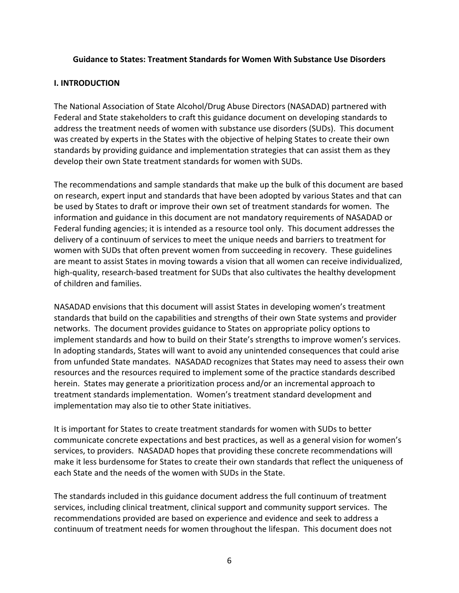#### <span id="page-5-0"></span>**Guidance to States: Treatment Standards for Women With Substance Use Disorders**

#### **I. INTRODUCTION**

The National Association of State Alcohol/Drug Abuse Directors (NASADAD) partnered with Federal and State stakeholders to craft this guidance document on developing standards to address the treatment needs of women with substance use disorders (SUDs). This document was created by experts in the States with the objective of helping States to create their own standards by providing guidance and implementation strategies that can assist them as they develop their own State treatment standards for women with SUDs.

The recommendations and sample standards that make up the bulk of this document are based on research, expert input and standards that have been adopted by various States and that can be used by States to draft or improve their own set of treatment standards for women. The information and guidance in this document are not mandatory requirements of NASADAD or Federal funding agencies; it is intended as a resource tool only. This document addresses the delivery of a continuum of services to meet the unique needs and barriers to treatment for women with SUDs that often prevent women from succeeding in recovery. These guidelines are meant to assist States in moving towards a vision that all women can receive individualized, high-quality, research-based treatment for SUDs that also cultivates the healthy development of children and families.

NASADAD envisions that this document will assist States in developing women's treatment standards that build on the capabilities and strengths of their own State systems and provider networks. The document provides guidance to States on appropriate policy options to implement standards and how to build on their State's strengths to improve women's services. In adopting standards, States will want to avoid any unintended consequences that could arise from unfunded State mandates. NASADAD recognizes that States may need to assess their own resources and the resources required to implement some of the practice standards described herein. States may generate a prioritization process and/or an incremental approach to treatment standards implementation. Women's treatment standard development and implementation may also tie to other State initiatives.

It is important for States to create treatment standards for women with SUDs to better communicate concrete expectations and best practices, as well as a general vision for women's services, to providers. NASADAD hopes that providing these concrete recommendations will make it less burdensome for States to create their own standards that reflect the uniqueness of each State and the needs of the women with SUDs in the State.

The standards included in this guidance document address the full continuum of treatment services, including clinical treatment, clinical support and community support services. The recommendations provided are based on experience and evidence and seek to address a continuum of treatment needs for women throughout the lifespan. This document does not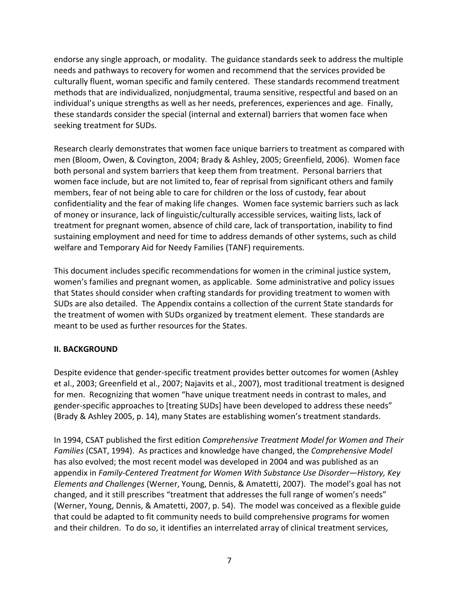<span id="page-6-0"></span>endorse any single approach, or modality. The guidance standards seek to address the multiple needs and pathways to recovery for women and recommend that the services provided be culturally fluent, woman specific and family centered. These standards recommend treatment methods that are individualized, nonjudgmental, trauma sensitive, respectful and based on an individual's unique strengths as well as her needs, preferences, experiences and age. Finally, these standards consider the special (internal and external) barriers that women face when seeking treatment for SUDs.

Research clearly demonstrates that women face unique barriers to treatment as compared with men (Bloom, Owen, & Covington, 2004; Brady & Ashley, 2005; Greenfield, 2006). Women face both personal and system barriers that keep them from treatment. Personal barriers that women face include, but are not limited to, fear of reprisal from significant others and family members, fear of not being able to care for children or the loss of custody, fear about confidentiality and the fear of making life changes. Women face systemic barriers such as lack of money or insurance, lack of linguistic/culturally accessible services, waiting lists, lack of treatment for pregnant women, absence of child care, lack of transportation, inability to find sustaining employment and need for time to address demands of other systems, such as child welfare and Temporary Aid for Needy Families (TANF) requirements.

This document includes specific recommendations for women in the criminal justice system, women's families and pregnant women, as applicable. Some administrative and policy issues that States should consider when crafting standards for providing treatment to women with SUDs are also detailed. The Appendix contains a collection of the current State standards for the treatment of women with SUDs organized by treatment element. These standards are meant to be used as further resources for the States.

## **II. BACKGROUND**

Despite evidence that gender‐specific treatment provides better outcomes for women (Ashley et al., 2003; Greenfield et al., 2007; Najavits et al., 2007), most traditional treatment is designed for men. Recognizing that women "have unique treatment needs in contrast to males, and gender‐specific approaches to [treating SUDs] have been developed to address these needs" (Brady & Ashley 2005, p. 14), many States are establishing women's treatment standards.

In 1994, CSAT published the first edition *Comprehensive Treatment Model for Women and Their Families* (CSAT, 1994). As practices and knowledge have changed, the *Comprehensive Model* has also evolved; the most recent model was developed in 2004 and was published as an appendix in *Family‐Centered Treatment for Women With Substance Use Disorder—History, Key Elements and Challenges* (Werner, Young, Dennis, & Amatetti, 2007). The model's goal has not changed, and it still prescribes "treatment that addresses the full range of women's needs" (Werner, Young, Dennis, & Amatetti, 2007, p. 54). The model was conceived as a flexible guide that could be adapted to fit community needs to build comprehensive programs for women and their children. To do so, it identifies an interrelated array of clinical treatment services,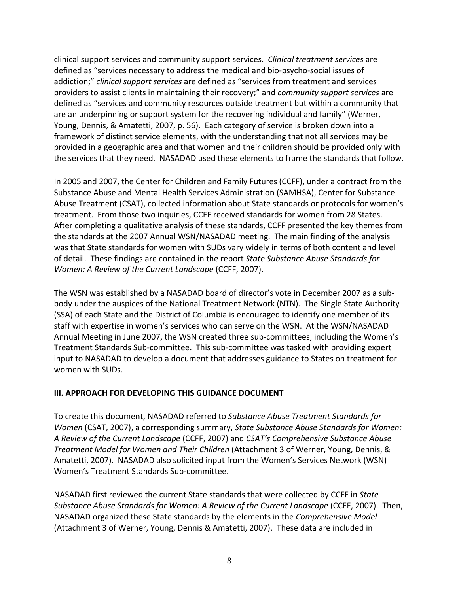<span id="page-7-0"></span>clinical support services and community support services. *Clinical treatment services* are defined as "services necessary to address the medical and bio‐psycho‐social issues of addiction;" *clinical support services* are defined as "services from treatment and services providers to assist clients in maintaining their recovery;" and *community support services* are defined as "services and community resources outside treatment but within a community that are an underpinning or support system for the recovering individual and family" (Werner, Young, Dennis, & Amatetti, 2007, p. 56). Each category of service is broken down into a framework of distinct service elements, with the understanding that not all services may be provided in a geographic area and that women and their children should be provided only with the services that they need. NASADAD used these elements to frame the standards that follow.

In 2005 and 2007, the Center for Children and Family Futures (CCFF), under a contract from the Substance Abuse and Mental Health Services Administration (SAMHSA), Center for Substance Abuse Treatment (CSAT), collected information about State standards or protocols for women's treatment. From those two inquiries, CCFF received standards for women from 28 States. After completing a qualitative analysis of these standards, CCFF presented the key themes from the standards at the 2007 Annual WSN/NASADAD meeting. The main finding of the analysis was that State standards for women with SUDs vary widely in terms of both content and level of detail. These findings are contained in the report *State Substance Abuse Standards for Women: A Review of the Current Landscape* (CCFF, 2007).

The WSN was established by a NASADAD board of director's vote in December 2007 as a sub‐ body under the auspices of the National Treatment Network (NTN). The Single State Authority (SSA) of each State and the District of Columbia is encouraged to identify one member of its staff with expertise in women's services who can serve on the WSN. At the WSN/NASADAD Annual Meeting in June 2007, the WSN created three sub‐committees, including the Women's Treatment Standards Sub‐committee. This sub‐committee was tasked with providing expert input to NASADAD to develop a document that addresses guidance to States on treatment for women with SUDs.

## **III. APPROACH FOR DEVELOPING THIS GUIDANCE DOCUMENT**

To create this document, NASADAD referred to *Substance Abuse Treatment Standards for Women* (CSAT, 2007), a corresponding summary, *State Substance Abuse Standards for Women: A Review of the Current Landscape* (CCFF, 2007) and *CSAT's Comprehensive Substance Abuse Treatment Model for Women and Their Children* (Attachment 3 of Werner, Young, Dennis, & Amatetti, 2007). NASADAD also solicited input from the Women's Services Network (WSN) Women's Treatment Standards Sub‐committee.

NASADAD first reviewed the current State standards that were collected by CCFF in *State Substance Abuse Standards for Women: A Review of the Current Landscape* (CCFF, 2007). Then, NASADAD organized these State standards by the elements in the *Comprehensive Model* (Attachment 3 of Werner, Young, Dennis & Amatetti, 2007). These data are included in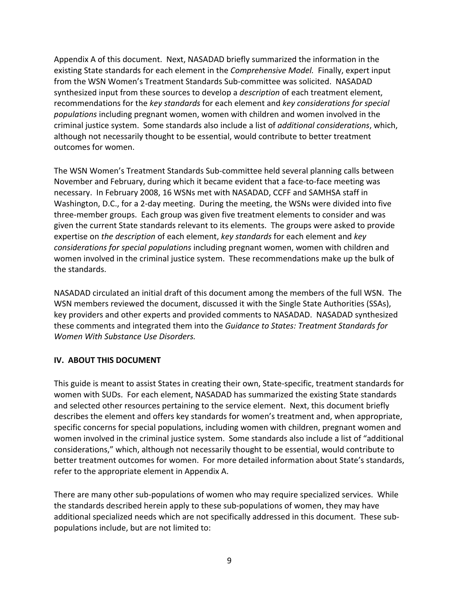Appendix A of this document. Next, NASADAD briefly summarized the information in the existing State standards for each element in the *Comprehensive Model.* Finally, expert input from the WSN Women's Treatment Standards Sub‐committee was solicited. NASADAD synthesized input from these sources to develop a *description* of each treatment element, recommendations for the *key standards* for each element and *key considerations for special populations* including pregnant women, women with children and women involved in the criminal justice system. Some standards also include a list of *additional considerations*, which, although not necessarily thought to be essential, would contribute to better treatment outcomes for women.

The WSN Women's Treatment Standards Sub‐committee held several planning calls between November and February, during which it became evident that a face‐to‐face meeting was necessary. In February 2008, 16 WSNs met with NASADAD, CCFF and SAMHSA staff in Washington, D.C., for a 2‐day meeting. During the meeting, the WSNs were divided into five three‐member groups. Each group was given five treatment elements to consider and was given the current State standards relevant to its elements. The groups were asked to provide expertise on *the description* of each element, *key standards* for each element and *key considerations for special populations* including pregnant women, women with children and women involved in the criminal justice system. These recommendations make up the bulk of the standards.

NASADAD circulated an initial draft of this document among the members of the full WSN. The WSN members reviewed the document, discussed it with the Single State Authorities (SSAs), key providers and other experts and provided comments to NASADAD. NASADAD synthesized these comments and integrated them into the *Guidance to States: Treatment Standards for Women With Substance Use Disorders.*

## **IV. ABOUT THIS DOCUMENT**

This guide is meant to assist States in creating their own, State‐specific, treatment standards for women with SUDs. For each element, NASADAD has summarized the existing State standards and selected other resources pertaining to the service element. Next, this document briefly describes the element and offers key standards for women's treatment and, when appropriate, specific concerns for special populations, including women with children, pregnant women and women involved in the criminal justice system. Some standards also include a list of "additional considerations," which, although not necessarily thought to be essential, would contribute to better treatment outcomes for women. For more detailed information about State's standards, refer to the appropriate element in Appendix A.

There are many other sub-populations of women who may require specialized services. While the standards described herein apply to these sub‐populations of women, they may have additional specialized needs which are not specifically addressed in this document. These sub‐ populations include, but are not limited to: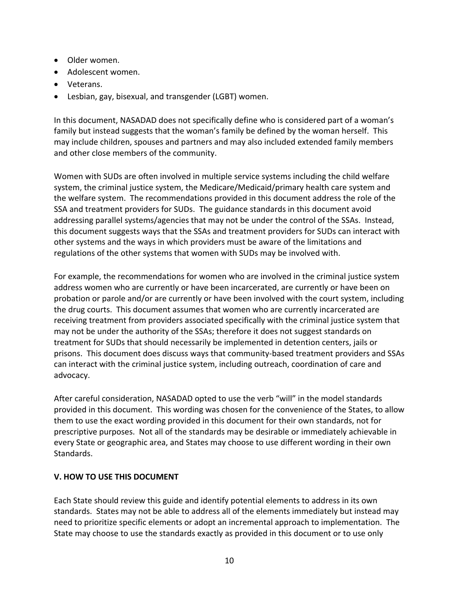- <span id="page-9-0"></span>• Older women.
- Adolescent women.
- Veterans.
- Lesbian, gay, bisexual, and transgender (LGBT) women.

In this document, NASADAD does not specifically define who is considered part of a woman's family but instead suggests that the woman's family be defined by the woman herself. This may include children, spouses and partners and may also included extended family members and other close members of the community.

Women with SUDs are often involved in multiple service systems including the child welfare system, the criminal justice system, the Medicare/Medicaid/primary health care system and the welfare system. The recommendations provided in this document address the role of the SSA and treatment providers for SUDs. The guidance standards in this document avoid addressing parallel systems/agencies that may not be under the control of the SSAs. Instead, this document suggests ways that the SSAs and treatment providers for SUDs can interact with other systems and the ways in which providers must be aware of the limitations and regulations of the other systems that women with SUDs may be involved with.

For example, the recommendations for women who are involved in the criminal justice system address women who are currently or have been incarcerated, are currently or have been on probation or parole and/or are currently or have been involved with the court system, including the drug courts. This document assumes that women who are currently incarcerated are receiving treatment from providers associated specifically with the criminal justice system that may not be under the authority of the SSAs; therefore it does not suggest standards on treatment for SUDs that should necessarily be implemented in detention centers, jails or prisons. This document does discuss ways that community‐based treatment providers and SSAs can interact with the criminal justice system, including outreach, coordination of care and advocacy.

After careful consideration, NASADAD opted to use the verb "will" in the model standards provided in this document. This wording was chosen for the convenience of the States, to allow them to use the exact wording provided in this document for their own standards, not for prescriptive purposes. Not all of the standards may be desirable or immediately achievable in every State or geographic area, and States may choose to use different wording in their own Standards.

## **V. HOW TO USE THIS DOCUMENT**

Each State should review this guide and identify potential elements to address in its own standards. States may not be able to address all of the elements immediately but instead may need to prioritize specific elements or adopt an incremental approach to implementation. The State may choose to use the standards exactly as provided in this document or to use only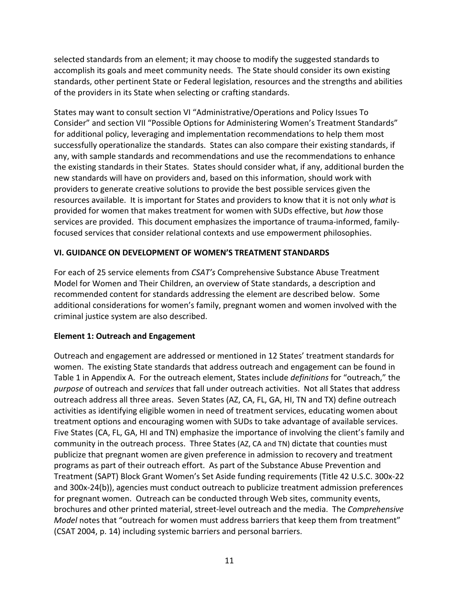<span id="page-10-0"></span>selected standards from an element; it may choose to modify the suggested standards to accomplish its goals and meet community needs. The State should consider its own existing standards, other pertinent State or Federal legislation, resources and the strengths and abilities of the providers in its State when selecting or crafting standards.

States may want to consult section VI "Administrative/Operations and Policy Issues To Consider" and section VII "Possible Options for Administering Women's Treatment Standards" for additional policy, leveraging and implementation recommendations to help them most successfully operationalize the standards. States can also compare their existing standards, if any, with sample standards and recommendations and use the recommendations to enhance the existing standards in their States. States should consider what, if any, additional burden the new standards will have on providers and, based on this information, should work with providers to generate creative solutions to provide the best possible services given the resources available. It is important for States and providers to know that it is not only *what* is provided for women that makes treatment for women with SUDs effective, but *how* those services are provided. This document emphasizes the importance of trauma-informed, familyfocused services that consider relational contexts and use empowerment philosophies.

## **VI. GUIDANCE ON DEVELOPMENT OF WOMEN'S TREATMENT STANDARDS**

For each of 25 service elements from *CSAT's* Comprehensive Substance Abuse Treatment Model for Women and Their Children, an overview of State standards, a description and recommended content for standards addressing the element are described below. Some additional considerations for women's family, pregnant women and women involved with the criminal justice system are also described.

## **Element 1: Outreach and Engagement**

Outreach and engagement are addressed or mentioned in 12 States' treatment standards for women. The existing State standards that address outreach and engagement can be found in Table 1 in Appendix A. For the outreach element, States include *definitions* for "outreach," the *purpose* of outreach and *services* that fall under outreach activities. Not all States that address outreach address all three areas. Seven States (AZ, CA, FL, GA, HI, TN and TX) define outreach activities as identifying eligible women in need of treatment services, educating women about treatment options and encouraging women with SUDs to take advantage of available services. Five States (CA, FL, GA, HI and TN) emphasize the importance of involving the client's family and community in the outreach process. Three States (AZ, CA and TN) dictate that counties must publicize that pregnant women are given preference in admission to recovery and treatment programs as part of their outreach effort. As part of the Substance Abuse Prevention and Treatment (SAPT) Block Grant Women's Set Aside funding requirements (Title 42 U.S.C. 300x‐22 and 300x-24(b)), agencies must conduct outreach to publicize treatment admission preferences for pregnant women. Outreach can be conducted through Web sites, community events, brochures and other printed material, street‐level outreach and the media. The *Comprehensive Model* notes that "outreach for women must address barriers that keep them from treatment" (CSAT 2004, p. 14) including systemic barriers and personal barriers.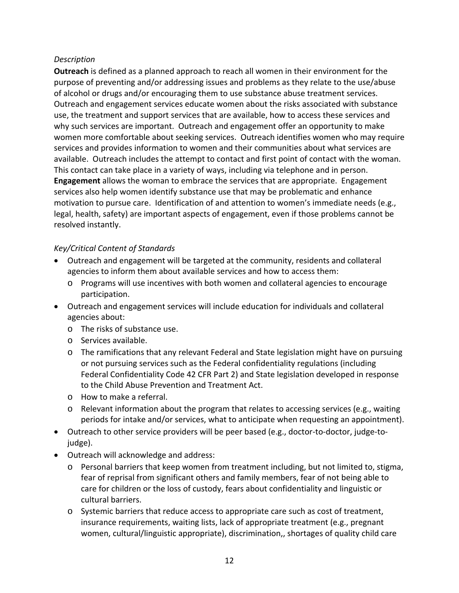## *Description*

**Outreach** is defined as a planned approach to reach all women in their environment for the purpose of preventing and/or addressing issues and problems as they relate to the use/abuse of alcohol or drugs and/or encouraging them to use substance abuse treatment services. Outreach and engagement services educate women about the risks associated with substance use, the treatment and support services that are available, how to access these services and why such services are important. Outreach and engagement offer an opportunity to make women more comfortable about seeking services. Outreach identifies women who may require services and provides information to women and their communities about what services are available. Outreach includes the attempt to contact and first point of contact with the woman. This contact can take place in a variety of ways, including via telephone and in person. **Engagement** allows the woman to embrace the services that are appropriate. Engagement services also help women identify substance use that may be problematic and enhance motivation to pursue care. Identification of and attention to women's immediate needs (e.g., legal, health, safety) are important aspects of engagement, even if those problems cannot be resolved instantly.

- Outreach and engagement will be targeted at the community, residents and collateral agencies to inform them about available services and how to access them:
	- o Programs will use incentives with both women and collateral agencies to encourage participation.
- Outreach and engagement services will include education for individuals and collateral agencies about:
	- o The risks of substance use.
	- o Services available.
	- o The ramifications that any relevant Federal and State legislation might have on pursuing or not pursuing services such as the Federal confidentiality regulations (including Federal Confidentiality Code 42 CFR Part 2) and State legislation developed in response to the Child Abuse Prevention and Treatment Act.
	- o How to make a referral.
	- $\circ$  Relevant information about the program that relates to accessing services (e.g., waiting periods for intake and/or services, what to anticipate when requesting an appointment).
- Outreach to other service providers will be peer based (e.g., doctor-to-doctor, judge-tojudge).
- Outreach will acknowledge and address:
	- o Personal barriers that keep women from treatment including, but not limited to, stigma, fear of reprisal from significant others and family members, fear of not being able to care for children or the loss of custody, fears about confidentiality and linguistic or cultural barriers.
	- $\circ$  Systemic barriers that reduce access to appropriate care such as cost of treatment, insurance requirements, waiting lists, lack of appropriate treatment (e.g., pregnant women, cultural/linguistic appropriate), discrimination,, shortages of quality child care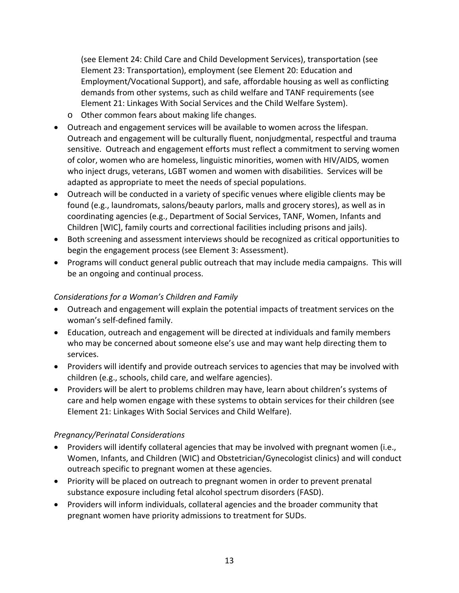(see Element 24: Child Care and Child Development Services), transportation (see Element 23: Transportation), employment (see Element 20: Education and Employment/Vocational Support), and safe, affordable housing as well as conflicting demands from other systems, such as child welfare and TANF requirements (see Element 21: Linkages With Social Services and the Child Welfare System).

- o Other common fears about making life changes.
- Outreach and engagement services will be available to women across the lifespan. Outreach and engagement will be culturally fluent, nonjudgmental, respectful and trauma sensitive. Outreach and engagement efforts must reflect a commitment to serving women of color, women who are homeless, linguistic minorities, women with HIV/AIDS, women who inject drugs, veterans, LGBT women and women with disabilities. Services will be adapted as appropriate to meet the needs of special populations.
- Outreach will be conducted in a variety of specific venues where eligible clients may be found (e.g., laundromats, salons/beauty parlors, malls and grocery stores), as well as in coordinating agencies (e.g., Department of Social Services, TANF, Women, Infants and Children [WIC], family courts and correctional facilities including prisons and jails).
- Both screening and assessment interviews should be recognized as critical opportunities to begin the engagement process (see Element 3: Assessment).
- Programs will conduct general public outreach that may include media campaigns. This will be an ongoing and continual process.

# *Considerations for a Woman's Children and Family*

- Outreach and engagement will explain the potential impacts of treatment services on the woman's self‐defined family.
- Education, outreach and engagement will be directed at individuals and family members who may be concerned about someone else's use and may want help directing them to services.
- Providers will identify and provide outreach services to agencies that may be involved with children (e.g., schools, child care, and welfare agencies).
- Providers will be alert to problems children may have, learn about children's systems of care and help women engage with these systems to obtain services for their children (see Element 21: Linkages With Social Services and Child Welfare).

## *Pregnancy/Perinatal Considerations*

- Providers will identify collateral agencies that may be involved with pregnant women (i.e., Women, Infants, and Children (WIC) and Obstetrician/Gynecologist clinics) and will conduct outreach specific to pregnant women at these agencies.
- Priority will be placed on outreach to pregnant women in order to prevent prenatal substance exposure including fetal alcohol spectrum disorders (FASD).
- Providers will inform individuals, collateral agencies and the broader community that pregnant women have priority admissions to treatment for SUDs.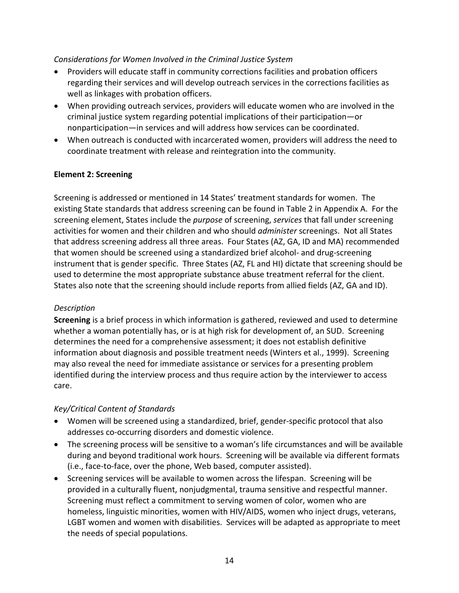## <span id="page-13-0"></span>*Considerations for Women Involved in the Criminal Justice System*

- Providers will educate staff in community corrections facilities and probation officers regarding their services and will develop outreach services in the corrections facilities as well as linkages with probation officers.
- When providing outreach services, providers will educate women who are involved in the criminal justice system regarding potential implications of their participation—or nonparticipation—in services and will address how services can be coordinated.
- When outreach is conducted with incarcerated women, providers will address the need to coordinate treatment with release and reintegration into the community.

## **Element 2: Screening**

Screening is addressed or mentioned in 14 States' treatment standards for women. The existing State standards that address screening can be found in Table 2 in Appendix A. For the screening element, States include the *purpose* of screening, *services* that fall under screening activities for women and their children and who should *administer* screenings. Not all States that address screening address all three areas. Four States (AZ, GA, ID and MA) recommended that women should be screened using a standardized brief alcohol‐ and drug‐screening instrument that is gender specific. Three States (AZ, FL and HI) dictate that screening should be used to determine the most appropriate substance abuse treatment referral for the client. States also note that the screening should include reports from allied fields (AZ, GA and ID).

## *Description*

**Screening** is a brief process in which information is gathered, reviewed and used to determine whether a woman potentially has, or is at high risk for development of, an SUD. Screening determines the need for a comprehensive assessment; it does not establish definitive information about diagnosis and possible treatment needs (Winters et al., 1999). Screening may also reveal the need for immediate assistance or services for a presenting problem identified during the interview process and thus require action by the interviewer to access care.

- Women will be screened using a standardized, brief, gender‐specific protocol that also addresses co‐occurring disorders and domestic violence.
- The screening process will be sensitive to a woman's life circumstances and will be available during and beyond traditional work hours. Screening will be available via different formats (i.e., face‐to‐face, over the phone, Web based, computer assisted).
- Screening services will be available to women across the lifespan. Screening will be provided in a culturally fluent, nonjudgmental, trauma sensitive and respectful manner. Screening must reflect a commitment to serving women of color, women who are homeless, linguistic minorities, women with HIV/AIDS, women who inject drugs, veterans, LGBT women and women with disabilities. Services will be adapted as appropriate to meet the needs of special populations.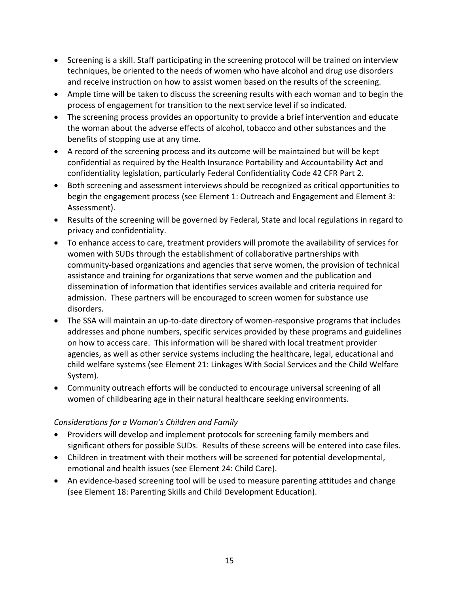- Screening is a skill. Staff participating in the screening protocol will be trained on interview techniques, be oriented to the needs of women who have alcohol and drug use disorders and receive instruction on how to assist women based on the results of the screening.
- Ample time will be taken to discuss the screening results with each woman and to begin the process of engagement for transition to the next service level if so indicated.
- The screening process provides an opportunity to provide a brief intervention and educate the woman about the adverse effects of alcohol, tobacco and other substances and the benefits of stopping use at any time.
- A record of the screening process and its outcome will be maintained but will be kept confidential as required by the Health Insurance Portability and Accountability Act and confidentiality legislation, particularly Federal Confidentiality Code 42 CFR Part 2.
- Both screening and assessment interviews should be recognized as critical opportunities to begin the engagement process (see Element 1: Outreach and Engagement and Element 3: Assessment).
- Results of the screening will be governed by Federal, State and local regulations in regard to privacy and confidentiality.
- To enhance access to care, treatment providers will promote the availability of services for women with SUDs through the establishment of collaborative partnerships with community‐based organizations and agencies that serve women, the provision of technical assistance and training for organizations that serve women and the publication and dissemination of information that identifies services available and criteria required for admission. These partners will be encouraged to screen women for substance use disorders.
- The SSA will maintain an up-to-date directory of women-responsive programs that includes addresses and phone numbers, specific services provided by these programs and guidelines on how to access care. This information will be shared with local treatment provider agencies, as well as other service systems including the healthcare, legal, educational and child welfare systems (see Element 21: Linkages With Social Services and the Child Welfare System).
- Community outreach efforts will be conducted to encourage universal screening of all women of childbearing age in their natural healthcare seeking environments.

# *Considerations for a Woman's Children and Family*

- Providers will develop and implement protocols for screening family members and significant others for possible SUDs. Results of these screens will be entered into case files.
- Children in treatment with their mothers will be screened for potential developmental, emotional and health issues (see Element 24: Child Care).
- An evidence-based screening tool will be used to measure parenting attitudes and change (see Element 18: Parenting Skills and Child Development Education).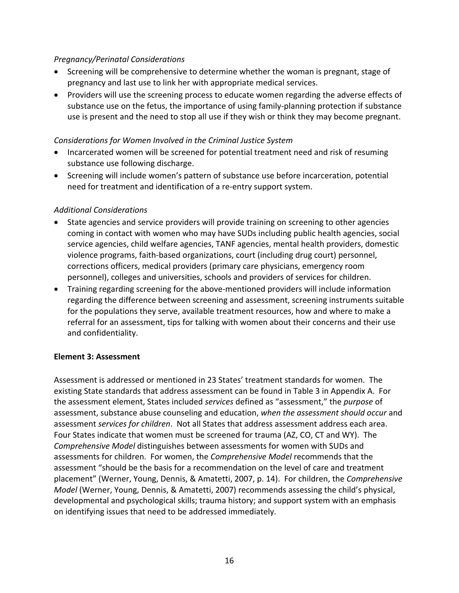## <span id="page-15-0"></span>*Pregnancy/Perinatal Considerations*

- Screening will be comprehensive to determine whether the woman is pregnant, stage of pregnancy and last use to link her with appropriate medical services.
- Providers will use the screening process to educate women regarding the adverse effects of substance use on the fetus, the importance of using family-planning protection if substance use is present and the need to stop all use if they wish or think they may become pregnant.

## *Considerations for Women Involved in the Criminal Justice System*

- Incarcerated women will be screened for potential treatment need and risk of resuming substance use following discharge.
- Screening will include women's pattern of substance use before incarceration, potential need for treatment and identification of a re‐entry support system.

## *Additional Considerations*

- State agencies and service providers will provide training on screening to other agencies coming in contact with women who may have SUDs including public health agencies, social service agencies, child welfare agencies, TANF agencies, mental health providers, domestic violence programs, faith‐based organizations, court (including drug court) personnel, corrections officers, medical providers (primary care physicians, emergency room personnel), colleges and universities, schools and providers of services for children.
- Training regarding screening for the above-mentioned providers will include information regarding the difference between screening and assessment, screening instruments suitable for the populations they serve, available treatment resources, how and where to make a referral for an assessment, tips for talking with women about their concerns and their use and confidentiality.

## **Element 3: Assessment**

Assessment is addressed or mentioned in 23 States' treatment standards for women. The existing State standards that address assessment can be found in Table 3 in Appendix A. For the assessment element, States included *services* defined as "assessment," the *purpose* of assessment, substance abuse counseling and education, *when the assessment should occur* and assessment *services for children*. Not all States that address assessment address each area. Four States indicate that women must be screened for trauma (AZ, CO, CT and WY). The *Comprehensive Model* distinguishes between assessments for women with SUDs and assessments for children. For women, the *Comprehensive Model* recommends that the assessment "should be the basis for a recommendation on the level of care and treatment placement" (Werner, Young, Dennis, & Amatetti, 2007, p. 14). For children, the *Comprehensive Model* (Werner, Young, Dennis, & Amatetti, 2007) recommends assessing the child's physical, developmental and psychological skills; trauma history; and support system with an emphasis on identifying issues that need to be addressed immediately.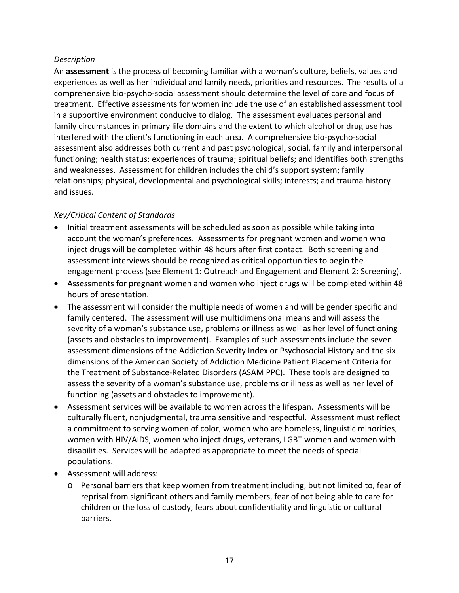## *Description*

An **assessment** is the process of becoming familiar with a woman's culture, beliefs, values and experiences as well as her individual and family needs, priorities and resources. The results of a comprehensive bio‐psycho‐social assessment should determine the level of care and focus of treatment. Effective assessments for women include the use of an established assessment tool in a supportive environment conducive to dialog. The assessment evaluates personal and family circumstances in primary life domains and the extent to which alcohol or drug use has interfered with the client's functioning in each area. A comprehensive bio‐psycho‐social assessment also addresses both current and past psychological, social, family and interpersonal functioning; health status; experiences of trauma; spiritual beliefs; and identifies both strengths and weaknesses. Assessment for children includes the child's support system; family relationships; physical, developmental and psychological skills; interests; and trauma history and issues.

- Initial treatment assessments will be scheduled as soon as possible while taking into account the woman's preferences. Assessments for pregnant women and women who inject drugs will be completed within 48 hours after first contact. Both screening and assessment interviews should be recognized as critical opportunities to begin the engagement process (see Element 1: Outreach and Engagement and Element 2: Screening).
- Assessments for pregnant women and women who inject drugs will be completed within 48 hours of presentation.
- The assessment will consider the multiple needs of women and will be gender specific and family centered. The assessment will use multidimensional means and will assess the severity of a woman's substance use, problems or illness as well as her level of functioning (assets and obstacles to improvement). Examples of such assessments include the seven assessment dimensions of the Addiction Severity Index or Psychosocial History and the six dimensions of the American Society of Addiction Medicine Patient Placement Criteria for the Treatment of Substance‐Related Disorders (ASAM PPC). These tools are designed to assess the severity of a woman's substance use, problems or illness as well as her level of functioning (assets and obstacles to improvement).
- Assessment services will be available to women across the lifespan. Assessments will be culturally fluent, nonjudgmental, trauma sensitive and respectful. Assessment must reflect a commitment to serving women of color, women who are homeless, linguistic minorities, women with HIV/AIDS, women who inject drugs, veterans, LGBT women and women with disabilities. Services will be adapted as appropriate to meet the needs of special populations.
- Assessment will address:
	- o Personal barriers that keep women from treatment including, but not limited to, fear of reprisal from significant others and family members, fear of not being able to care for children or the loss of custody, fears about confidentiality and linguistic or cultural barriers.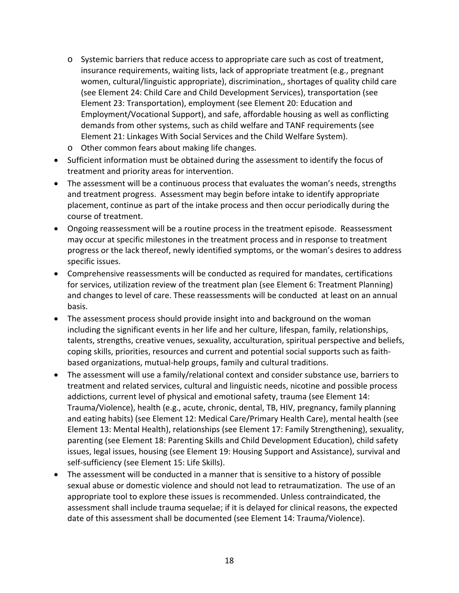- o Systemic barriers that reduce access to appropriate care such as cost of treatment, insurance requirements, waiting lists, lack of appropriate treatment (e.g., pregnant women, cultural/linguistic appropriate), discrimination,, shortages of quality child care (see Element 24: Child Care and Child Development Services), transportation (see Element 23: Transportation), employment (see Element 20: Education and Employment/Vocational Support), and safe, affordable housing as well as conflicting demands from other systems, such as child welfare and TANF requirements (see Element 21: Linkages With Social Services and the Child Welfare System).
- o Other common fears about making life changes.
- Sufficient information must be obtained during the assessment to identify the focus of treatment and priority areas for intervention.
- The assessment will be a continuous process that evaluates the woman's needs, strengths and treatment progress. Assessment may begin before intake to identify appropriate placement, continue as part of the intake process and then occur periodically during the course of treatment.
- Ongoing reassessment will be a routine process in the treatment episode. Reassessment may occur at specific milestones in the treatment process and in response to treatment progress or the lack thereof, newly identified symptoms, or the woman's desires to address specific issues.
- Comprehensive reassessments will be conducted as required for mandates, certifications for services, utilization review of the treatment plan (see Element 6: Treatment Planning) and changes to level of care. These reassessments will be conducted at least on an annual basis.
- The assessment process should provide insight into and background on the woman including the significant events in her life and her culture, lifespan, family, relationships, talents, strengths, creative venues, sexuality, acculturation, spiritual perspective and beliefs, coping skills, priorities, resources and current and potential social supports such as faith‐ based organizations, mutual‐help groups, family and cultural traditions.
- The assessment will use a family/relational context and consider substance use, barriers to treatment and related services, cultural and linguistic needs, nicotine and possible process addictions, current level of physical and emotional safety, trauma (see Element 14: Trauma/Violence), health (e.g., acute, chronic, dental, TB, HIV, pregnancy, family planning and eating habits) (see Element 12: Medical Care/Primary Health Care), mental health (see Element 13: Mental Health), relationships (see Element 17: Family Strengthening), sexuality, parenting (see Element 18: Parenting Skills and Child Development Education), child safety issues, legal issues, housing (see Element 19: Housing Support and Assistance), survival and self‐sufficiency (see Element 15: Life Skills).
- The assessment will be conducted in a manner that is sensitive to a history of possible sexual abuse or domestic violence and should not lead to retraumatization. The use of an appropriate tool to explore these issues is recommended. Unless contraindicated, the assessment shall include trauma sequelae; if it is delayed for clinical reasons, the expected date of this assessment shall be documented (see Element 14: Trauma/Violence).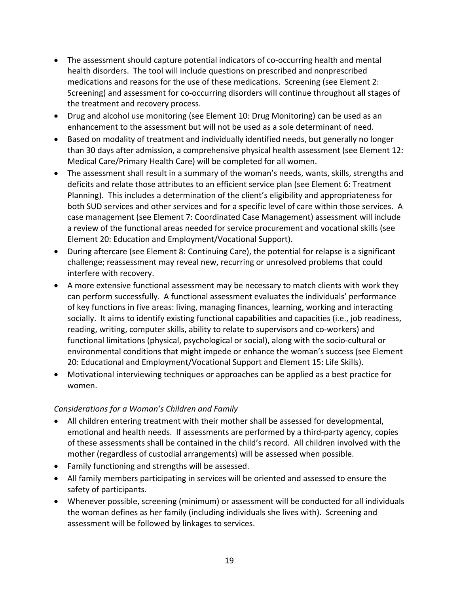- The assessment should capture potential indicators of co‐occurring health and mental health disorders. The tool will include questions on prescribed and nonprescribed medications and reasons for the use of these medications. Screening (see Element 2: Screening) and assessment for co‐occurring disorders will continue throughout all stages of the treatment and recovery process.
- Drug and alcohol use monitoring (see Element 10: Drug Monitoring) can be used as an enhancement to the assessment but will not be used as a sole determinant of need.
- Based on modality of treatment and individually identified needs, but generally no longer than 30 days after admission, a comprehensive physical health assessment (see Element 12: Medical Care/Primary Health Care) will be completed for all women.
- The assessment shall result in a summary of the woman's needs, wants, skills, strengths and deficits and relate those attributes to an efficient service plan (see Element 6: Treatment Planning). This includes a determination of the client's eligibility and appropriateness for both SUD services and other services and for a specific level of care within those services. A case management (see Element 7: Coordinated Case Management) assessment will include a review of the functional areas needed for service procurement and vocational skills (see Element 20: Education and Employment/Vocational Support).
- During aftercare (see Element 8: Continuing Care), the potential for relapse is a significant challenge; reassessment may reveal new, recurring or unresolved problems that could interfere with recovery.
- A more extensive functional assessment may be necessary to match clients with work they can perform successfully. A functional assessment evaluates the individuals' performance of key functions in five areas: living, managing finances, learning, working and interacting socially. It aims to identify existing functional capabilities and capacities (i.e., job readiness, reading, writing, computer skills, ability to relate to supervisors and co-workers) and functional limitations (physical, psychological or social), along with the socio‐cultural or environmental conditions that might impede or enhance the woman's success (see Element 20: Educational and Employment/Vocational Support and Element 15: Life Skills).
- Motivational interviewing techniques or approaches can be applied as a best practice for women.

## *Considerations for a Woman's Children and Family*

- All children entering treatment with their mother shall be assessed for developmental, emotional and health needs. If assessments are performed by a third‐party agency, copies of these assessments shall be contained in the child's record. All children involved with the mother (regardless of custodial arrangements) will be assessed when possible.
- Family functioning and strengths will be assessed.
- All family members participating in services will be oriented and assessed to ensure the safety of participants.
- Whenever possible, screening (minimum) or assessment will be conducted for all individuals the woman defines as her family (including individuals she lives with). Screening and assessment will be followed by linkages to services.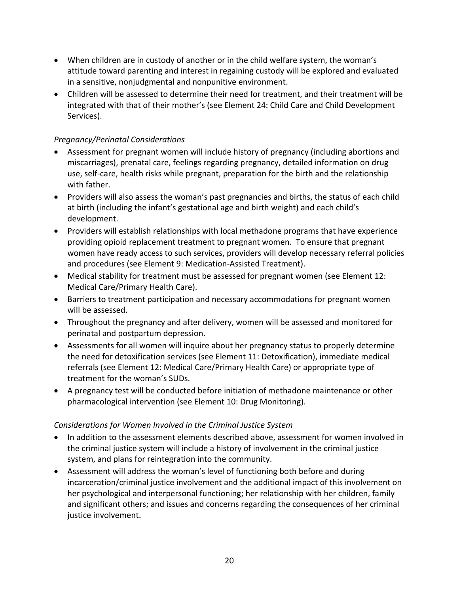- When children are in custody of another or in the child welfare system, the woman's attitude toward parenting and interest in regaining custody will be explored and evaluated in a sensitive, nonjudgmental and nonpunitive environment.
- Children will be assessed to determine their need for treatment, and their treatment will be integrated with that of their mother's (see Element 24: Child Care and Child Development Services).

# *Pregnancy/Perinatal Considerations*

- Assessment for pregnant women will include history of pregnancy (including abortions and miscarriages), prenatal care, feelings regarding pregnancy, detailed information on drug use, self‐care, health risks while pregnant, preparation for the birth and the relationship with father.
- Providers will also assess the woman's past pregnancies and births, the status of each child at birth (including the infant's gestational age and birth weight) and each child's development.
- Providers will establish relationships with local methadone programs that have experience providing opioid replacement treatment to pregnant women. To ensure that pregnant women have ready access to such services, providers will develop necessary referral policies and procedures (see Element 9: Medication‐Assisted Treatment).
- Medical stability for treatment must be assessed for pregnant women (see Element 12: Medical Care/Primary Health Care).
- Barriers to treatment participation and necessary accommodations for pregnant women will be assessed.
- Throughout the pregnancy and after delivery, women will be assessed and monitored for perinatal and postpartum depression.
- Assessments for all women will inquire about her pregnancy status to properly determine the need for detoxification services (see Element 11: Detoxification), immediate medical referrals (see Element 12: Medical Care/Primary Health Care) or appropriate type of treatment for the woman's SUDs.
- A pregnancy test will be conducted before initiation of methadone maintenance or other pharmacological intervention (see Element 10: Drug Monitoring).

## *Considerations for Women Involved in the Criminal Justice System*

- In addition to the assessment elements described above, assessment for women involved in the criminal justice system will include a history of involvement in the criminal justice system, and plans for reintegration into the community.
- Assessment will address the woman's level of functioning both before and during incarceration/criminal justice involvement and the additional impact of this involvement on her psychological and interpersonal functioning; her relationship with her children, family and significant others; and issues and concerns regarding the consequences of her criminal justice involvement.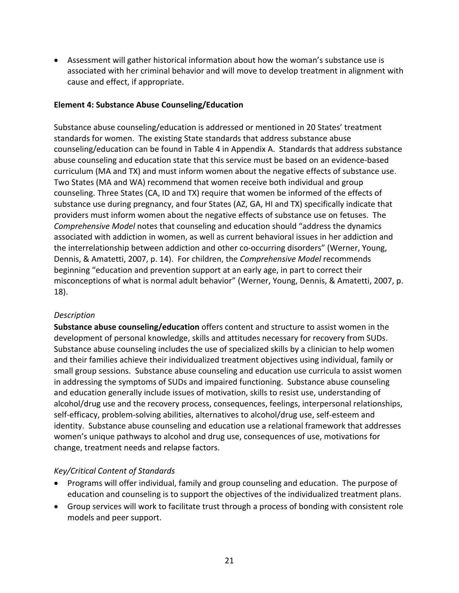<span id="page-20-0"></span>• Assessment will gather historical information about how the woman's substance use is associated with her criminal behavior and will move to develop treatment in alignment with cause and effect, if appropriate.

## **Element 4: Substance Abuse Counseling/Education**

Substance abuse counseling/education is addressed or mentioned in 20 States' treatment standards for women. The existing State standards that address substance abuse counseling/education can be found in Table 4 in Appendix A. Standards that address substance abuse counseling and education state that this service must be based on an evidence‐based curriculum (MA and TX) and must inform women about the negative effects of substance use. Two States (MA and WA) recommend that women receive both individual and group counseling. Three States (CA, ID and TX) require that women be informed of the effects of substance use during pregnancy, and four States (AZ, GA, HI and TX) specifically indicate that providers must inform women about the negative effects of substance use on fetuses. The *Comprehensive Model* notes that counseling and education should "address the dynamics associated with addiction in women, as well as current behavioral issues in her addiction and the interrelationship between addiction and other co-occurring disorders" (Werner, Young, Dennis, & Amatetti, 2007, p. 14). For children, the *Comprehensive Model* recommends beginning "education and prevention support at an early age, in part to correct their misconceptions of what is normal adult behavior" (Werner, Young, Dennis, & Amatetti, 2007, p. 18).

#### *Description*

**Substance abuse counseling/education** offers content and structure to assist women in the development of personal knowledge, skills and attitudes necessary for recovery from SUDs. Substance abuse counseling includes the use of specialized skills by a clinician to help women and their families achieve their individualized treatment objectives using individual, family or small group sessions. Substance abuse counseling and education use curricula to assist women in addressing the symptoms of SUDs and impaired functioning. Substance abuse counseling and education generally include issues of motivation, skills to resist use, understanding of alcohol/drug use and the recovery process, consequences, feelings, interpersonal relationships, self-efficacy, problem-solving abilities, alternatives to alcohol/drug use, self-esteem and identity. Substance abuse counseling and education use a relational framework that addresses women's unique pathways to alcohol and drug use, consequences of use, motivations for change, treatment needs and relapse factors.

- Programs will offer individual, family and group counseling and education. The purpose of education and counseling is to support the objectives of the individualized treatment plans.
- Group services will work to facilitate trust through a process of bonding with consistent role models and peer support.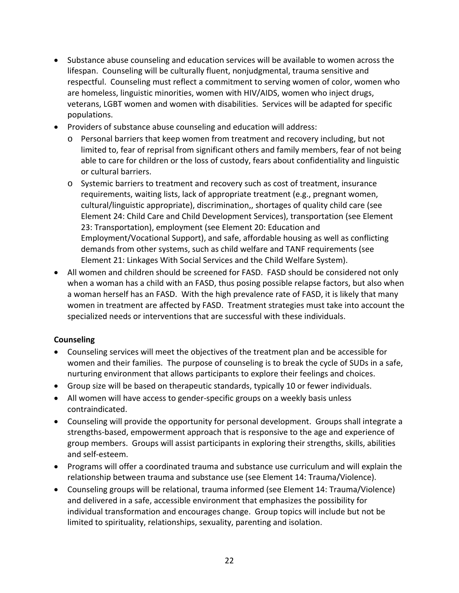- Substance abuse counseling and education services will be available to women across the lifespan. Counseling will be culturally fluent, nonjudgmental, trauma sensitive and respectful. Counseling must reflect a commitment to serving women of color, women who are homeless, linguistic minorities, women with HIV/AIDS, women who inject drugs, veterans, LGBT women and women with disabilities. Services will be adapted for specific populations.
- Providers of substance abuse counseling and education will address:
	- o Personal barriers that keep women from treatment and recovery including, but not limited to, fear of reprisal from significant others and family members, fear of not being able to care for children or the loss of custody, fears about confidentiality and linguistic or cultural barriers.
	- o Systemic barriers to treatment and recovery such as cost of treatment, insurance requirements, waiting lists, lack of appropriate treatment (e.g., pregnant women, cultural/linguistic appropriate), discrimination,, shortages of quality child care (see Element 24: Child Care and Child Development Services), transportation (see Element 23: Transportation), employment (see Element 20: Education and Employment/Vocational Support), and safe, affordable housing as well as conflicting demands from other systems, such as child welfare and TANF requirements (see Element 21: Linkages With Social Services and the Child Welfare System).
- All women and children should be screened for FASD. FASD should be considered not only when a woman has a child with an FASD, thus posing possible relapse factors, but also when a woman herself has an FASD. With the high prevalence rate of FASD, it is likely that many women in treatment are affected by FASD. Treatment strategies must take into account the specialized needs or interventions that are successful with these individuals.

## **Counseling**

- Counseling services will meet the objectives of the treatment plan and be accessible for women and their families. The purpose of counseling is to break the cycle of SUDs in a safe, nurturing environment that allows participants to explore their feelings and choices.
- Group size will be based on therapeutic standards, typically 10 or fewer individuals.
- All women will have access to gender‐specific groups on a weekly basis unless contraindicated.
- Counseling will provide the opportunity for personal development. Groups shall integrate a strengths‐based, empowerment approach that is responsive to the age and experience of group members. Groups will assist participants in exploring their strengths, skills, abilities and self‐esteem.
- Programs will offer a coordinated trauma and substance use curriculum and will explain the relationship between trauma and substance use (see Element 14: Trauma/Violence).
- Counseling groups will be relational, trauma informed (see Element 14: Trauma/Violence) and delivered in a safe, accessible environment that emphasizes the possibility for individual transformation and encourages change. Group topics will include but not be limited to spirituality, relationships, sexuality, parenting and isolation.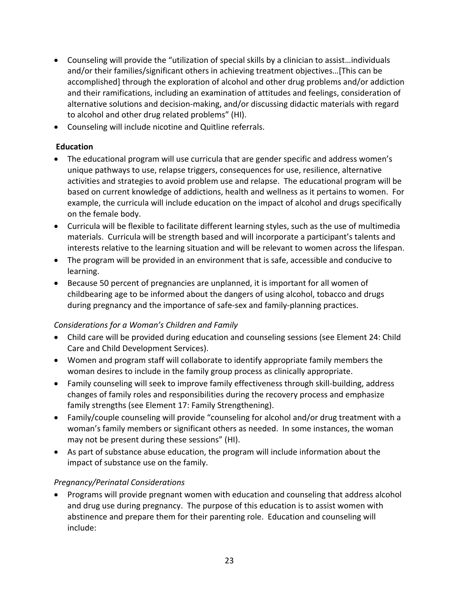- Counseling will provide the "utilization of special skills by a clinician to assist…individuals and/or their families/significant others in achieving treatment objectives…[This can be accomplished] through the exploration of alcohol and other drug problems and/or addiction and their ramifications, including an examination of attitudes and feelings, consideration of alternative solutions and decision‐making, and/or discussing didactic materials with regard to alcohol and other drug related problems" (HI).
- Counseling will include nicotine and Quitline referrals.

## **Education**

- The educational program will use curricula that are gender specific and address women's unique pathways to use, relapse triggers, consequences for use, resilience, alternative activities and strategies to avoid problem use and relapse. The educational program will be based on current knowledge of addictions, health and wellness as it pertains to women. For example, the curricula will include education on the impact of alcohol and drugs specifically on the female body.
- Curricula will be flexible to facilitate different learning styles, such as the use of multimedia materials. Curricula will be strength based and will incorporate a participant's talents and interests relative to the learning situation and will be relevant to women across the lifespan.
- The program will be provided in an environment that is safe, accessible and conducive to learning.
- Because 50 percent of pregnancies are unplanned, it is important for all women of childbearing age to be informed about the dangers of using alcohol, tobacco and drugs during pregnancy and the importance of safe‐sex and family‐planning practices.

# *Considerations for a Woman's Children and Family*

- Child care will be provided during education and counseling sessions (see Element 24: Child Care and Child Development Services).
- Women and program staff will collaborate to identify appropriate family members the woman desires to include in the family group process as clinically appropriate.
- Family counseling will seek to improve family effectiveness through skill-building, address changes of family roles and responsibilities during the recovery process and emphasize family strengths (see Element 17: Family Strengthening).
- Family/couple counseling will provide "counseling for alcohol and/or drug treatment with a woman's family members or significant others as needed. In some instances, the woman may not be present during these sessions" (HI).
- As part of substance abuse education, the program will include information about the impact of substance use on the family.

# *Pregnancy/Perinatal Considerations*

• Programs will provide pregnant women with education and counseling that address alcohol and drug use during pregnancy. The purpose of this education is to assist women with abstinence and prepare them for their parenting role. Education and counseling will include: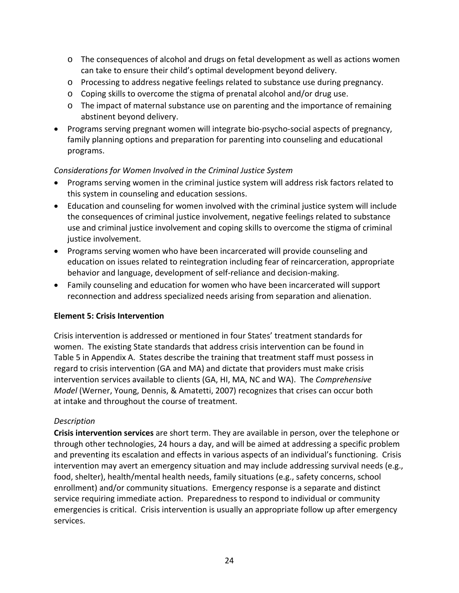- <span id="page-23-0"></span>o The consequences of alcohol and drugs on fetal development as well as actions women can take to ensure their child's optimal development beyond delivery.
- o Processing to address negative feelings related to substance use during pregnancy.
- o Coping skills to overcome the stigma of prenatal alcohol and/or drug use.
- $\circ$  The impact of maternal substance use on parenting and the importance of remaining abstinent beyond delivery.
- Programs serving pregnant women will integrate bio‐psycho‐social aspects of pregnancy, family planning options and preparation for parenting into counseling and educational programs.

## *Considerations for Women Involved in the Criminal Justice System*

- Programs serving women in the criminal justice system will address risk factors related to this system in counseling and education sessions.
- Education and counseling for women involved with the criminal justice system will include the consequences of criminal justice involvement, negative feelings related to substance use and criminal justice involvement and coping skills to overcome the stigma of criminal justice involvement.
- Programs serving women who have been incarcerated will provide counseling and education on issues related to reintegration including fear of reincarceration, appropriate behavior and language, development of self‐reliance and decision‐making.
- Family counseling and education for women who have been incarcerated will support reconnection and address specialized needs arising from separation and alienation.

## **Element 5: Crisis Intervention**

Crisis intervention is addressed or mentioned in four States' treatment standards for women. The existing State standards that address crisis intervention can be found in Table 5 in Appendix A. States describe the training that treatment staff must possess in regard to crisis intervention (GA and MA) and dictate that providers must make crisis intervention services available to clients (GA, HI, MA, NC and WA). The *Comprehensive Model* (Werner, Young, Dennis, & Amatetti, 2007) recognizes that crises can occur both at intake and throughout the course of treatment.

## *Description*

**Crisis intervention services** are short term. They are available in person, over the telephone or through other technologies, 24 hours a day, and will be aimed at addressing a specific problem and preventing its escalation and effects in various aspects of an individual's functioning. Crisis intervention may avert an emergency situation and may include addressing survival needs (e.g., food, shelter), health/mental health needs, family situations (e.g., safety concerns, school enrollment) and/or community situations. Emergency response is a separate and distinct service requiring immediate action. Preparedness to respond to individual or community emergencies is critical. Crisis intervention is usually an appropriate follow up after emergency services.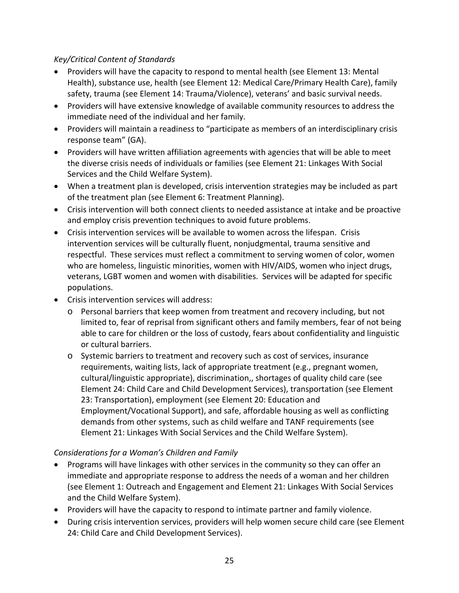# *Key/Critical Content of Standards*

- Providers will have the capacity to respond to mental health (see Element 13: Mental Health), substance use, health (see Element 12: Medical Care/Primary Health Care), family safety, trauma (see Element 14: Trauma/Violence), veterans' and basic survival needs.
- Providers will have extensive knowledge of available community resources to address the immediate need of the individual and her family.
- Providers will maintain a readiness to "participate as members of an interdisciplinary crisis response team" (GA).
- Providers will have written affiliation agreements with agencies that will be able to meet the diverse crisis needs of individuals or families (see Element 21: Linkages With Social Services and the Child Welfare System).
- When a treatment plan is developed, crisis intervention strategies may be included as part of the treatment plan (see Element 6: Treatment Planning).
- Crisis intervention will both connect clients to needed assistance at intake and be proactive and employ crisis prevention techniques to avoid future problems.
- Crisis intervention services will be available to women across the lifespan. Crisis intervention services will be culturally fluent, nonjudgmental, trauma sensitive and respectful. These services must reflect a commitment to serving women of color, women who are homeless, linguistic minorities, women with HIV/AIDS, women who inject drugs, veterans, LGBT women and women with disabilities. Services will be adapted for specific populations.
- Crisis intervention services will address:
	- o Personal barriers that keep women from treatment and recovery including, but not limited to, fear of reprisal from significant others and family members, fear of not being able to care for children or the loss of custody, fears about confidentiality and linguistic or cultural barriers.
	- o Systemic barriers to treatment and recovery such as cost of services, insurance requirements, waiting lists, lack of appropriate treatment (e.g., pregnant women, cultural/linguistic appropriate), discrimination,, shortages of quality child care (see Element 24: Child Care and Child Development Services), transportation (see Element 23: Transportation), employment (see Element 20: Education and Employment/Vocational Support), and safe, affordable housing as well as conflicting demands from other systems, such as child welfare and TANF requirements (see Element 21: Linkages With Social Services and the Child Welfare System).

## *Considerations for a Woman's Children and Family*

- Programs will have linkages with other services in the community so they can offer an immediate and appropriate response to address the needs of a woman and her children (see Element 1: Outreach and Engagement and Element 21: Linkages With Social Services and the Child Welfare System).
- Providers will have the capacity to respond to intimate partner and family violence.
- During crisis intervention services, providers will help women secure child care (see Element 24: Child Care and Child Development Services).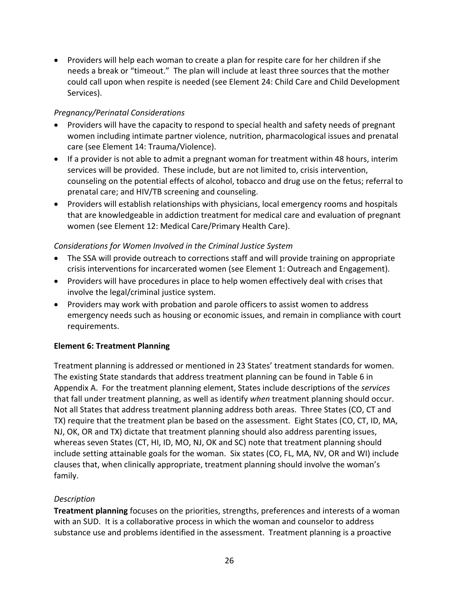<span id="page-25-0"></span>• Providers will help each woman to create a plan for respite care for her children if she needs a break or "timeout." The plan will include at least three sources that the mother could call upon when respite is needed (see Element 24: Child Care and Child Development Services).

## *Pregnancy/Perinatal Considerations*

- Providers will have the capacity to respond to special health and safety needs of pregnant women including intimate partner violence, nutrition, pharmacological issues and prenatal care (see Element 14: Trauma/Violence).
- If a provider is not able to admit a pregnant woman for treatment within 48 hours, interim services will be provided. These include, but are not limited to, crisis intervention, counseling on the potential effects of alcohol, tobacco and drug use on the fetus; referral to prenatal care; and HIV/TB screening and counseling.
- Providers will establish relationships with physicians, local emergency rooms and hospitals that are knowledgeable in addiction treatment for medical care and evaluation of pregnant women (see Element 12: Medical Care/Primary Health Care).

## *Considerations for Women Involved in the Criminal Justice System*

- The SSA will provide outreach to corrections staff and will provide training on appropriate crisis interventions for incarcerated women (see Element 1: Outreach and Engagement).
- Providers will have procedures in place to help women effectively deal with crises that involve the legal/criminal justice system.
- Providers may work with probation and parole officers to assist women to address emergency needs such as housing or economic issues, and remain in compliance with court requirements.

## **Element 6: Treatment Planning**

Treatment planning is addressed or mentioned in 23 States' treatment standards for women. The existing State standards that address treatment planning can be found in Table 6 in Appendix A. For the treatment planning element, States include descriptions of the *services* that fall under treatment planning, as well as identify *when* treatment planning should occur. Not all States that address treatment planning address both areas. Three States (CO, CT and TX) require that the treatment plan be based on the assessment. Eight States (CO, CT, ID, MA, NJ, OK, OR and TX) dictate that treatment planning should also address parenting issues, whereas seven States (CT, HI, ID, MO, NJ, OK and SC) note that treatment planning should include setting attainable goals for the woman. Six states (CO, FL, MA, NV, OR and WI) include clauses that, when clinically appropriate, treatment planning should involve the woman's family.

## *Description*

**Treatment planning** focuses on the priorities, strengths, preferences and interests of a woman with an SUD. It is a collaborative process in which the woman and counselor to address substance use and problems identified in the assessment. Treatment planning is a proactive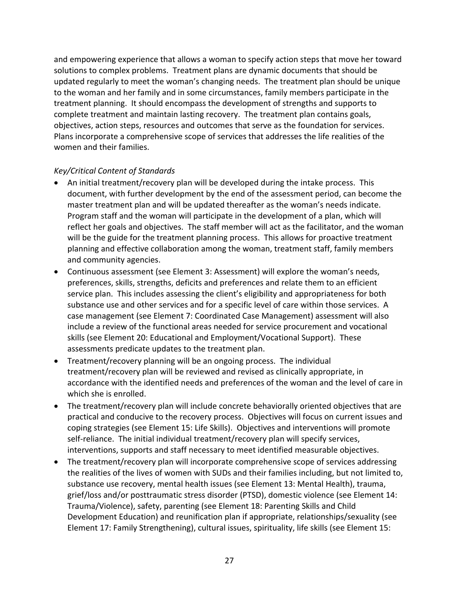and empowering experience that allows a woman to specify action steps that move her toward solutions to complex problems. Treatment plans are dynamic documents that should be updated regularly to meet the woman's changing needs. The treatment plan should be unique to the woman and her family and in some circumstances, family members participate in the treatment planning. It should encompass the development of strengths and supports to complete treatment and maintain lasting recovery. The treatment plan contains goals, objectives, action steps, resources and outcomes that serve as the foundation for services. Plans incorporate a comprehensive scope of services that addresses the life realities of the women and their families.

- An initial treatment/recovery plan will be developed during the intake process. This document, with further development by the end of the assessment period, can become the master treatment plan and will be updated thereafter as the woman's needs indicate. Program staff and the woman will participate in the development of a plan, which will reflect her goals and objectives. The staff member will act as the facilitator, and the woman will be the guide for the treatment planning process. This allows for proactive treatment planning and effective collaboration among the woman, treatment staff, family members and community agencies.
- Continuous assessment (see Element 3: Assessment) will explore the woman's needs, preferences, skills, strengths, deficits and preferences and relate them to an efficient service plan. This includes assessing the client's eligibility and appropriateness for both substance use and other services and for a specific level of care within those services. A case management (see Element 7: Coordinated Case Management) assessment will also include a review of the functional areas needed for service procurement and vocational skills (see Element 20: Educational and Employment/Vocational Support). These assessments predicate updates to the treatment plan.
- Treatment/recovery planning will be an ongoing process. The individual treatment/recovery plan will be reviewed and revised as clinically appropriate, in accordance with the identified needs and preferences of the woman and the level of care in which she is enrolled.
- The treatment/recovery plan will include concrete behaviorally oriented objectives that are practical and conducive to the recovery process. Objectives will focus on current issues and coping strategies (see Element 15: Life Skills). Objectives and interventions will promote self‐reliance. The initial individual treatment/recovery plan will specify services, interventions, supports and staff necessary to meet identified measurable objectives.
- The treatment/recovery plan will incorporate comprehensive scope of services addressing the realities of the lives of women with SUDs and their families including, but not limited to, substance use recovery, mental health issues (see Element 13: Mental Health), trauma, grief/loss and/or posttraumatic stress disorder (PTSD), domestic violence (see Element 14: Trauma/Violence), safety, parenting (see Element 18: Parenting Skills and Child Development Education) and reunification plan if appropriate, relationships/sexuality (see Element 17: Family Strengthening), cultural issues, spirituality, life skills (see Element 15: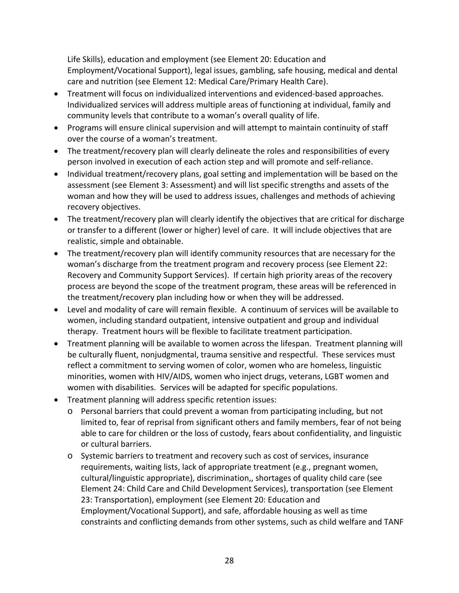Life Skills), education and employment (see Element 20: Education and Employment/Vocational Support), legal issues, gambling, safe housing, medical and dental care and nutrition (see Element 12: Medical Care/Primary Health Care).

- Treatment will focus on individualized interventions and evidenced‐based approaches. Individualized services will address multiple areas of functioning at individual, family and community levels that contribute to a woman's overall quality of life.
- Programs will ensure clinical supervision and will attempt to maintain continuity of staff over the course of a woman's treatment.
- The treatment/recovery plan will clearly delineate the roles and responsibilities of every person involved in execution of each action step and will promote and self‐reliance.
- Individual treatment/recovery plans, goal setting and implementation will be based on the assessment (see Element 3: Assessment) and will list specific strengths and assets of the woman and how they will be used to address issues, challenges and methods of achieving recovery objectives.
- The treatment/recovery plan will clearly identify the objectives that are critical for discharge or transfer to a different (lower or higher) level of care. It will include objectives that are realistic, simple and obtainable.
- The treatment/recovery plan will identify community resources that are necessary for the woman's discharge from the treatment program and recovery process (see Element 22: Recovery and Community Support Services). If certain high priority areas of the recovery process are beyond the scope of the treatment program, these areas will be referenced in the treatment/recovery plan including how or when they will be addressed.
- Level and modality of care will remain flexible. A continuum of services will be available to women, including standard outpatient, intensive outpatient and group and individual therapy. Treatment hours will be flexible to facilitate treatment participation.
- Treatment planning will be available to women across the lifespan. Treatment planning will be culturally fluent, nonjudgmental, trauma sensitive and respectful. These services must reflect a commitment to serving women of color, women who are homeless, linguistic minorities, women with HIV/AIDS, women who inject drugs, veterans, LGBT women and women with disabilities. Services will be adapted for specific populations.
- Treatment planning will address specific retention issues:
	- o Personal barriers that could prevent a woman from participating including, but not limited to, fear of reprisal from significant others and family members, fear of not being able to care for children or the loss of custody, fears about confidentiality, and linguistic or cultural barriers.
	- o Systemic barriers to treatment and recovery such as cost of services, insurance requirements, waiting lists, lack of appropriate treatment (e.g., pregnant women, cultural/linguistic appropriate), discrimination,, shortages of quality child care (see Element 24: Child Care and Child Development Services), transportation (see Element 23: Transportation), employment (see Element 20: Education and Employment/Vocational Support), and safe, affordable housing as well as time constraints and conflicting demands from other systems, such as child welfare and TANF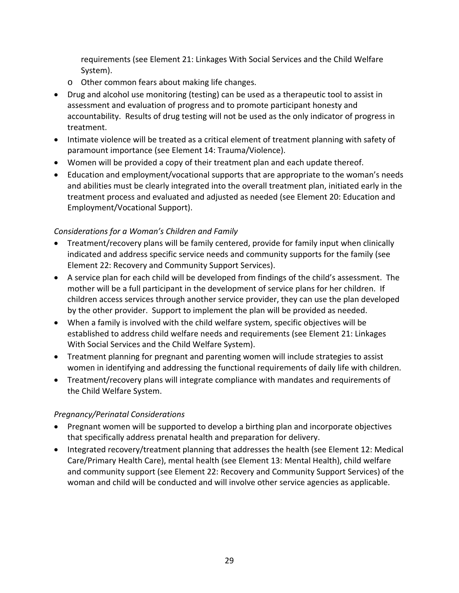requirements (see Element 21: Linkages With Social Services and the Child Welfare System).

- o Other common fears about making life changes.
- Drug and alcohol use monitoring (testing) can be used as a therapeutic tool to assist in assessment and evaluation of progress and to promote participant honesty and accountability. Results of drug testing will not be used as the only indicator of progress in treatment.
- Intimate violence will be treated as a critical element of treatment planning with safety of paramount importance (see Element 14: Trauma/Violence).
- Women will be provided a copy of their treatment plan and each update thereof.
- Education and employment/vocational supports that are appropriate to the woman's needs and abilities must be clearly integrated into the overall treatment plan, initiated early in the treatment process and evaluated and adjusted as needed (see Element 20: Education and Employment/Vocational Support).

## *Considerations for a Woman's Children and Family*

- Treatment/recovery plans will be family centered, provide for family input when clinically indicated and address specific service needs and community supports for the family (see Element 22: Recovery and Community Support Services).
- A service plan for each child will be developed from findings of the child's assessment. The mother will be a full participant in the development of service plans for her children. If children access services through another service provider, they can use the plan developed by the other provider. Support to implement the plan will be provided as needed.
- When a family is involved with the child welfare system, specific objectives will be established to address child welfare needs and requirements (see Element 21: Linkages With Social Services and the Child Welfare System).
- Treatment planning for pregnant and parenting women will include strategies to assist women in identifying and addressing the functional requirements of daily life with children.
- Treatment/recovery plans will integrate compliance with mandates and requirements of the Child Welfare System.

## *Pregnancy/Perinatal Considerations*

- Pregnant women will be supported to develop a birthing plan and incorporate objectives that specifically address prenatal health and preparation for delivery.
- Integrated recovery/treatment planning that addresses the health (see Element 12: Medical Care/Primary Health Care), mental health (see Element 13: Mental Health), child welfare and community support (see Element 22: Recovery and Community Support Services) of the woman and child will be conducted and will involve other service agencies as applicable.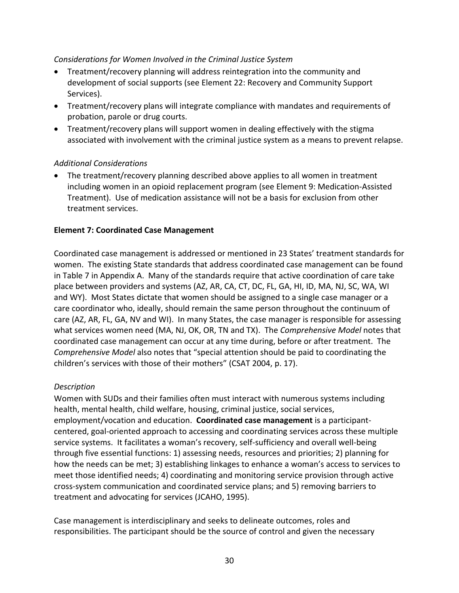#### <span id="page-29-0"></span>*Considerations for Women Involved in the Criminal Justice System*

- Treatment/recovery planning will address reintegration into the community and development of social supports (see Element 22: Recovery and Community Support Services).
- Treatment/recovery plans will integrate compliance with mandates and requirements of probation, parole or drug courts.
- Treatment/recovery plans will support women in dealing effectively with the stigma associated with involvement with the criminal justice system as a means to prevent relapse.

### *Additional Considerations*

• The treatment/recovery planning described above applies to all women in treatment including women in an opioid replacement program (see Element 9: Medication‐Assisted Treatment). Use of medication assistance will not be a basis for exclusion from other treatment services.

### **Element 7: Coordinated Case Management**

Coordinated case management is addressed or mentioned in 23 States' treatment standards for women. The existing State standards that address coordinated case management can be found in Table 7 in Appendix A. Many of the standards require that active coordination of care take place between providers and systems (AZ, AR, CA, CT, DC, FL, GA, HI, ID, MA, NJ, SC, WA, WI and WY). Most States dictate that women should be assigned to a single case manager or a care coordinator who, ideally, should remain the same person throughout the continuum of care (AZ, AR, FL, GA, NV and WI). In many States, the case manager is responsible for assessing what services women need (MA, NJ, OK, OR, TN and TX). The *Comprehensive Model* notes that coordinated case management can occur at any time during, before or after treatment. The *Comprehensive Model* also notes that "special attention should be paid to coordinating the children's services with those of their mothers" (CSAT 2004, p. 17).

## *Description*

Women with SUDs and their families often must interact with numerous systems including health, mental health, child welfare, housing, criminal justice, social services, employment/vocation and education. **Coordinated case management** is a participant‐ centered, goal‐oriented approach to accessing and coordinating services across these multiple service systems. It facilitates a woman's recovery, self‐sufficiency and overall well‐being through five essential functions: 1) assessing needs, resources and priorities; 2) planning for how the needs can be met; 3) establishing linkages to enhance a woman's access to services to meet those identified needs; 4) coordinating and monitoring service provision through active cross‐system communication and coordinated service plans; and 5) removing barriers to treatment and advocating for services (JCAHO, 1995).

Case management is interdisciplinary and seeks to delineate outcomes, roles and responsibilities. The participant should be the source of control and given the necessary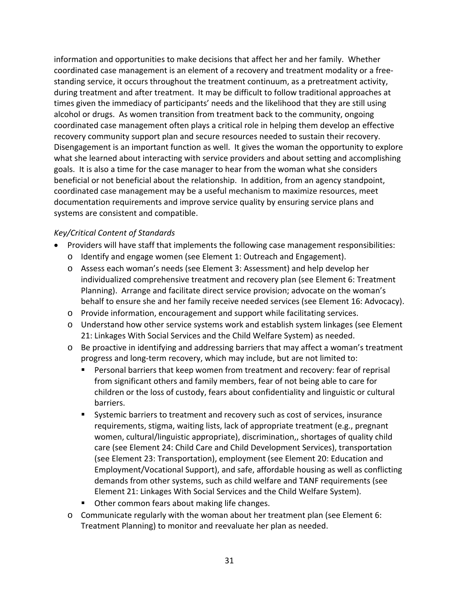information and opportunities to make decisions that affect her and her family. Whether coordinated case management is an element of a recovery and treatment modality or a free‐ standing service, it occurs throughout the treatment continuum, as a pretreatment activity, during treatment and after treatment. It may be difficult to follow traditional approaches at times given the immediacy of participants' needs and the likelihood that they are still using alcohol or drugs. As women transition from treatment back to the community, ongoing coordinated case management often plays a critical role in helping them develop an effective recovery community support plan and secure resources needed to sustain their recovery. Disengagement is an important function as well. It gives the woman the opportunity to explore what she learned about interacting with service providers and about setting and accomplishing goals. It is also a time for the case manager to hear from the woman what she considers beneficial or not beneficial about the relationship. In addition, from an agency standpoint, coordinated case management may be a useful mechanism to maximize resources, meet documentation requirements and improve service quality by ensuring service plans and systems are consistent and compatible.

- Providers will have staff that implements the following case management responsibilities:
	- o Identify and engage women (see Element 1: Outreach and Engagement).
	- o Assess each woman's needs (see Element 3: Assessment) and help develop her individualized comprehensive treatment and recovery plan (see Element 6: Treatment Planning). Arrange and facilitate direct service provision; advocate on the woman's behalf to ensure she and her family receive needed services (see Element 16: Advocacy).
	- o Provide information, encouragement and support while facilitating services.
	- o Understand how other service systems work and establish system linkages (see Element 21: Linkages With Social Services and the Child Welfare System) as needed.
	- o Be proactive in identifying and addressing barriers that may affect a woman's treatment progress and long‐term recovery, which may include, but are not limited to:
		- Personal barriers that keep women from treatment and recovery: fear of reprisal from significant others and family members, fear of not being able to care for children or the loss of custody, fears about confidentiality and linguistic or cultural barriers.
		- Systemic barriers to treatment and recovery such as cost of services, insurance requirements, stigma, waiting lists, lack of appropriate treatment (e.g., pregnant women, cultural/linguistic appropriate), discrimination,, shortages of quality child care (see Element 24: Child Care and Child Development Services), transportation (see Element 23: Transportation), employment (see Element 20: Education and Employment/Vocational Support), and safe, affordable housing as well as conflicting demands from other systems, such as child welfare and TANF requirements (see Element 21: Linkages With Social Services and the Child Welfare System).
		- **Other common fears about making life changes.**
	- o Communicate regularly with the woman about her treatment plan (see Element 6: Treatment Planning) to monitor and reevaluate her plan as needed.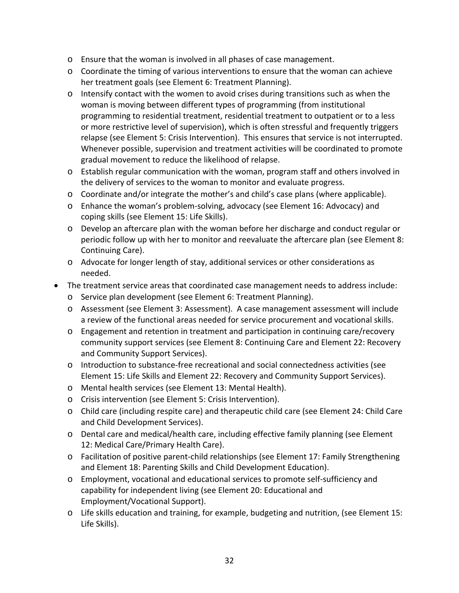- o Ensure that the woman is involved in all phases of case management.
- o Coordinate the timing of various interventions to ensure that the woman can achieve her treatment goals (see Element 6: Treatment Planning).
- $\circ$  Intensify contact with the women to avoid crises during transitions such as when the woman is moving between different types of programming (from institutional programming to residential treatment, residential treatment to outpatient or to a less or more restrictive level of supervision), which is often stressful and frequently triggers relapse (see Element 5: Crisis Intervention). This ensures that service is not interrupted. Whenever possible, supervision and treatment activities will be coordinated to promote gradual movement to reduce the likelihood of relapse.
- o Establish regular communication with the woman, program staff and others involved in the delivery of services to the woman to monitor and evaluate progress.
- o Coordinate and/or integrate the mother's and child's case plans (where applicable).
- o Enhance the woman's problem‐solving, advocacy (see Element 16: Advocacy) and coping skills (see Element 15: Life Skills).
- o Develop an aftercare plan with the woman before her discharge and conduct regular or periodic follow up with her to monitor and reevaluate the aftercare plan (see Element 8: Continuing Care).
- o Advocate for longer length of stay, additional services or other considerations as needed.
- The treatment service areas that coordinated case management needs to address include:
	- o Service plan development (see Element 6: Treatment Planning).
	- o Assessment (see Element 3: Assessment). A case management assessment will include a review of the functional areas needed for service procurement and vocational skills.
	- o Engagement and retention in treatment and participation in continuing care/recovery community support services (see Element 8: Continuing Care and Element 22: Recovery and Community Support Services).
	- o Introduction to substance‐free recreational and social connectedness activities (see Element 15: Life Skills and Element 22: Recovery and Community Support Services).
	- o Mental health services (see Element 13: Mental Health).
	- o Crisis intervention (see Element 5: Crisis Intervention).
	- o Child care (including respite care) and therapeutic child care (see Element 24: Child Care and Child Development Services).
	- o Dental care and medical/health care, including effective family planning (see Element 12: Medical Care/Primary Health Care).
	- o Facilitation of positive parent‐child relationships (see Element 17: Family Strengthening and Element 18: Parenting Skills and Child Development Education).
	- o Employment, vocational and educational services to promote self‐sufficiency and capability for independent living (see Element 20: Educational and Employment/Vocational Support).
	- o Life skills education and training, for example, budgeting and nutrition, (see Element 15: Life Skills).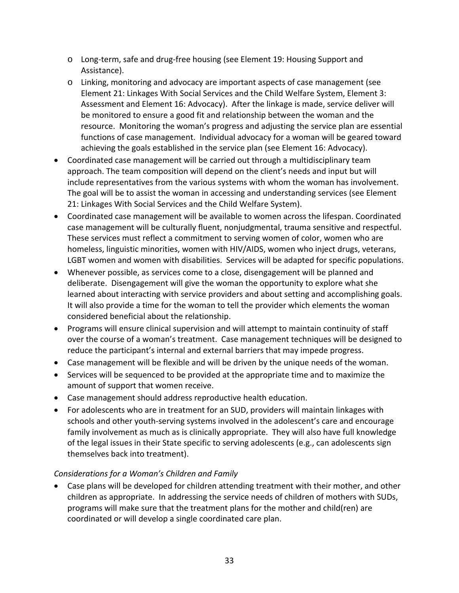- o Long‐term, safe and drug‐free housing (see Element 19: Housing Support and Assistance).
- o Linking, monitoring and advocacy are important aspects of case management (see Element 21: Linkages With Social Services and the Child Welfare System, Element 3: Assessment and Element 16: Advocacy). After the linkage is made, service deliver will be monitored to ensure a good fit and relationship between the woman and the resource. Monitoring the woman's progress and adjusting the service plan are essential functions of case management. Individual advocacy for a woman will be geared toward achieving the goals established in the service plan (see Element 16: Advocacy).
- Coordinated case management will be carried out through a multidisciplinary team approach. The team composition will depend on the client's needs and input but will include representatives from the various systems with whom the woman has involvement. The goal will be to assist the woman in accessing and understanding services (see Element 21: Linkages With Social Services and the Child Welfare System).
- Coordinated case management will be available to women across the lifespan. Coordinated case management will be culturally fluent, nonjudgmental, trauma sensitive and respectful. These services must reflect a commitment to serving women of color, women who are homeless, linguistic minorities, women with HIV/AIDS, women who inject drugs, veterans, LGBT women and women with disabilities. Services will be adapted for specific populations.
- Whenever possible, as services come to a close, disengagement will be planned and deliberate. Disengagement will give the woman the opportunity to explore what she learned about interacting with service providers and about setting and accomplishing goals. It will also provide a time for the woman to tell the provider which elements the woman considered beneficial about the relationship.
- Programs will ensure clinical supervision and will attempt to maintain continuity of staff over the course of a woman's treatment. Case management techniques will be designed to reduce the participant's internal and external barriers that may impede progress.
- Case management will be flexible and will be driven by the unique needs of the woman.
- Services will be sequenced to be provided at the appropriate time and to maximize the amount of support that women receive.
- Case management should address reproductive health education.
- For adolescents who are in treatment for an SUD, providers will maintain linkages with schools and other youth‐serving systems involved in the adolescent's care and encourage family involvement as much as is clinically appropriate. They will also have full knowledge of the legal issues in their State specific to serving adolescents (e.g., can adolescents sign themselves back into treatment).

# *Considerations for a Woman's Children and Family*

• Case plans will be developed for children attending treatment with their mother, and other children as appropriate. In addressing the service needs of children of mothers with SUDs, programs will make sure that the treatment plans for the mother and child(ren) are coordinated or will develop a single coordinated care plan.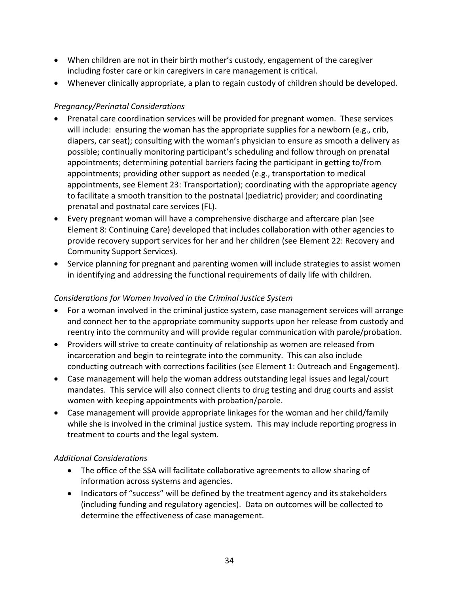- When children are not in their birth mother's custody, engagement of the caregiver including foster care or kin caregivers in care management is critical.
- Whenever clinically appropriate, a plan to regain custody of children should be developed.

# *Pregnancy/Perinatal Considerations*

- Prenatal care coordination services will be provided for pregnant women. These services will include: ensuring the woman has the appropriate supplies for a newborn (e.g., crib, diapers, car seat); consulting with the woman's physician to ensure as smooth a delivery as possible; continually monitoring participant's scheduling and follow through on prenatal appointments; determining potential barriers facing the participant in getting to/from appointments; providing other support as needed (e.g., transportation to medical appointments, see Element 23: Transportation); coordinating with the appropriate agency to facilitate a smooth transition to the postnatal (pediatric) provider; and coordinating prenatal and postnatal care services (FL).
- Every pregnant woman will have a comprehensive discharge and aftercare plan (see Element 8: Continuing Care) developed that includes collaboration with other agencies to provide recovery support services for her and her children (see Element 22: Recovery and Community Support Services).
- Service planning for pregnant and parenting women will include strategies to assist women in identifying and addressing the functional requirements of daily life with children.

# *Considerations for Women Involved in the Criminal Justice System*

- For a woman involved in the criminal justice system, case management services will arrange and connect her to the appropriate community supports upon her release from custody and reentry into the community and will provide regular communication with parole/probation.
- Providers will strive to create continuity of relationship as women are released from incarceration and begin to reintegrate into the community. This can also include conducting outreach with corrections facilities (see Element 1: Outreach and Engagement).
- Case management will help the woman address outstanding legal issues and legal/court mandates. This service will also connect clients to drug testing and drug courts and assist women with keeping appointments with probation/parole.
- Case management will provide appropriate linkages for the woman and her child/family while she is involved in the criminal justice system. This may include reporting progress in treatment to courts and the legal system.

# *Additional Considerations*

- The office of the SSA will facilitate collaborative agreements to allow sharing of information across systems and agencies.
- Indicators of "success" will be defined by the treatment agency and its stakeholders (including funding and regulatory agencies). Data on outcomes will be collected to determine the effectiveness of case management.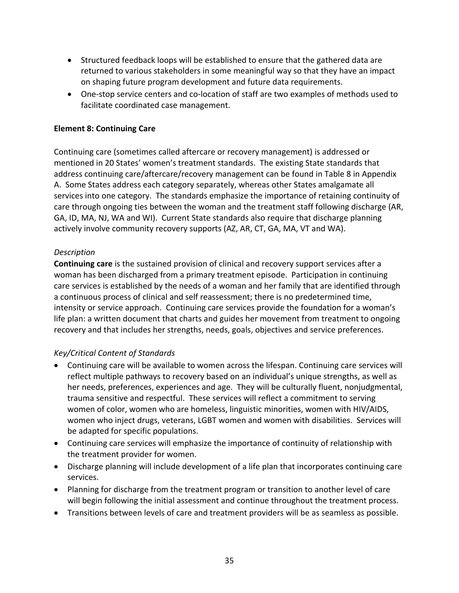- <span id="page-34-0"></span>• Structured feedback loops will be established to ensure that the gathered data are returned to various stakeholders in some meaningful way so that they have an impact on shaping future program development and future data requirements.
- One-stop service centers and co-location of staff are two examples of methods used to facilitate coordinated case management.

## **Element 8: Continuing Care**

Continuing care (sometimes called aftercare or recovery management) is addressed or mentioned in 20 States' women's treatment standards. The existing State standards that address continuing care/aftercare/recovery management can be found in Table 8 in Appendix A. Some States address each category separately, whereas other States amalgamate all services into one category. The standards emphasize the importance of retaining continuity of care through ongoing ties between the woman and the treatment staff following discharge (AR, GA, ID, MA, NJ, WA and WI). Current State standards also require that discharge planning actively involve community recovery supports (AZ, AR, CT, GA, MA, VT and WA).

### *Description*

**Continuing care** is the sustained provision of clinical and recovery support services after a woman has been discharged from a primary treatment episode. Participation in continuing care services is established by the needs of a woman and her family that are identified through a continuous process of clinical and self reassessment; there is no predetermined time, intensity or service approach. Continuing care services provide the foundation for a woman's life plan: a written document that charts and guides her movement from treatment to ongoing recovery and that includes her strengths, needs, goals, objectives and service preferences.

- Continuing care will be available to women across the lifespan. Continuing care services will reflect multiple pathways to recovery based on an individual's unique strengths, as well as her needs, preferences, experiences and age. They will be culturally fluent, nonjudgmental, trauma sensitive and respectful. These services will reflect a commitment to serving women of color, women who are homeless, linguistic minorities, women with HIV/AIDS, women who inject drugs, veterans, LGBT women and women with disabilities. Services will be adapted for specific populations.
- Continuing care services will emphasize the importance of continuity of relationship with the treatment provider for women.
- Discharge planning will include development of a life plan that incorporates continuing care services.
- Planning for discharge from the treatment program or transition to another level of care will begin following the initial assessment and continue throughout the treatment process.
- Transitions between levels of care and treatment providers will be as seamless as possible.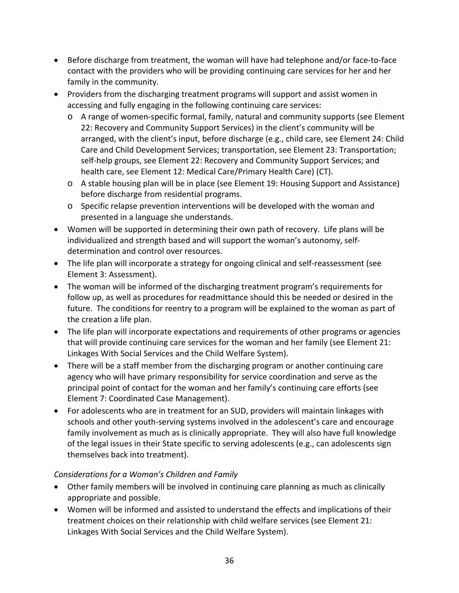- Before discharge from treatment, the woman will have had telephone and/or face‐to‐face contact with the providers who will be providing continuing care services for her and her family in the community.
- Providers from the discharging treatment programs will support and assist women in accessing and fully engaging in the following continuing care services:
	- o A range of women‐specific formal, family, natural and community supports (see Element 22: Recovery and Community Support Services) in the client's community will be arranged, with the client's input, before discharge (e.g., child care, see Element 24: Child Care and Child Development Services; transportation, see Element 23: Transportation; self-help groups, see Element 22: Recovery and Community Support Services; and health care, see Element 12: Medical Care/Primary Health Care) (CT).
	- o A stable housing plan will be in place (see Element 19: Housing Support and Assistance) before discharge from residential programs.
	- o Specific relapse prevention interventions will be developed with the woman and presented in a language she understands.
- Women will be supported in determining their own path of recovery. Life plans will be individualized and strength based and will support the woman's autonomy, self‐ determination and control over resources.
- The life plan will incorporate a strategy for ongoing clinical and self‐reassessment (see Element 3: Assessment).
- The woman will be informed of the discharging treatment program's requirements for follow up, as well as procedures for readmittance should this be needed or desired in the future. The conditions for reentry to a program will be explained to the woman as part of the creation a life plan.
- The life plan will incorporate expectations and requirements of other programs or agencies that will provide continuing care services for the woman and her family (see Element 21: Linkages With Social Services and the Child Welfare System).
- There will be a staff member from the discharging program or another continuing care agency who will have primary responsibility for service coordination and serve as the principal point of contact for the woman and her family's continuing care efforts (see Element 7: Coordinated Case Management).
- For adolescents who are in treatment for an SUD, providers will maintain linkages with schools and other youth-serving systems involved in the adolescent's care and encourage family involvement as much as is clinically appropriate. They will also have full knowledge of the legal issues in their State specific to serving adolescents (e.g., can adolescents sign themselves back into treatment).

# *Considerations for a Woman's Children and Family*

- Other family members will be involved in continuing care planning as much as clinically appropriate and possible.
- Women will be informed and assisted to understand the effects and implications of their treatment choices on their relationship with child welfare services (see Element 21: Linkages With Social Services and the Child Welfare System).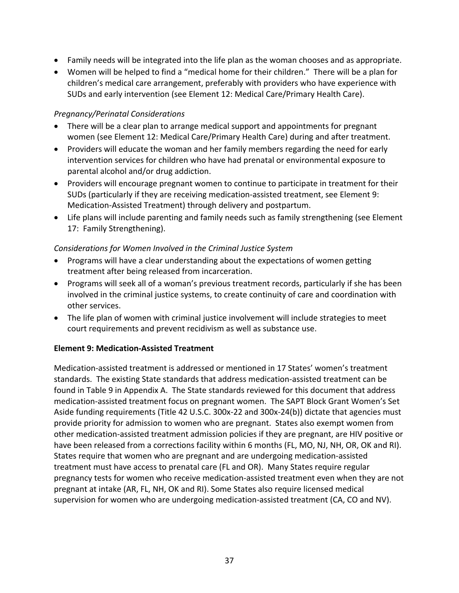- Family needs will be integrated into the life plan as the woman chooses and as appropriate.
- Women will be helped to find a "medical home for their children." There will be a plan for children's medical care arrangement, preferably with providers who have experience with SUDs and early intervention (see Element 12: Medical Care/Primary Health Care).

### *Pregnancy/Perinatal Considerations*

- There will be a clear plan to arrange medical support and appointments for pregnant women (see Element 12: Medical Care/Primary Health Care) during and after treatment.
- Providers will educate the woman and her family members regarding the need for early intervention services for children who have had prenatal or environmental exposure to parental alcohol and/or drug addiction.
- Providers will encourage pregnant women to continue to participate in treatment for their SUDs (particularly if they are receiving medication‐assisted treatment, see Element 9: Medication‐Assisted Treatment) through delivery and postpartum.
- Life plans will include parenting and family needs such as family strengthening (see Element 17: Family Strengthening).

## *Considerations for Women Involved in the Criminal Justice System*

- Programs will have a clear understanding about the expectations of women getting treatment after being released from incarceration.
- Programs will seek all of a woman's previous treatment records, particularly if she has been involved in the criminal justice systems, to create continuity of care and coordination with other services.
- The life plan of women with criminal justice involvement will include strategies to meet court requirements and prevent recidivism as well as substance use.

### **Element 9: Medication‐Assisted Treatment**

Medication‐assisted treatment is addressed or mentioned in 17 States' women's treatment standards. The existing State standards that address medication‐assisted treatment can be found in Table 9 in Appendix A. The State standards reviewed for this document that address medication‐assisted treatment focus on pregnant women. The SAPT Block Grant Women's Set Aside funding requirements (Title 42 U.S.C. 300x‐22 and 300x‐24(b)) dictate that agencies must provide priority for admission to women who are pregnant. States also exempt women from other medication‐assisted treatment admission policies if they are pregnant, are HIV positive or have been released from a corrections facility within 6 months (FL, MO, NJ, NH, OR, OK and RI). States require that women who are pregnant and are undergoing medication‐assisted treatment must have access to prenatal care (FL and OR). Many States require regular pregnancy tests for women who receive medication‐assisted treatment even when they are not pregnant at intake (AR, FL, NH, OK and RI). Some States also require licensed medical supervision for women who are undergoing medication-assisted treatment (CA, CO and NV).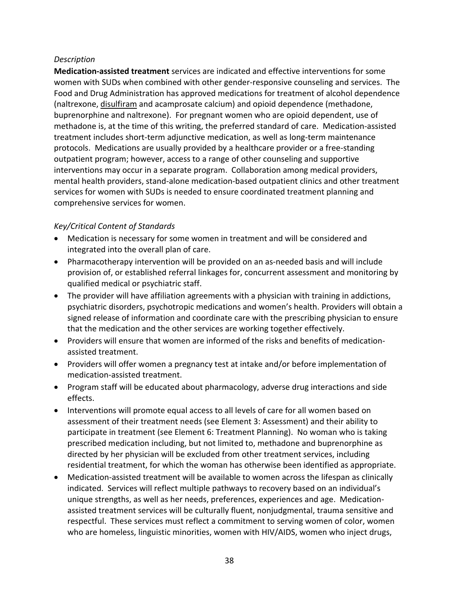#### *Description*

**Medication‐assisted treatment** services are indicated and effective interventions for some women with SUDs when combined with other gender-responsive counseling and services. The Food and Drug Administration has approved medications for treatment of alcohol dependence (naltrexone, [disulfiram](http://www.dpt.samhsa.gov/medications/disulfiram.aspx) and acamprosate calcium) and opioid dependence (methadone, buprenorphine and naltrexone). For pregnant women who are opioid dependent, use of methadone is, at the time of this writing, the preferred standard of care. Medication‐assisted treatment includes short‐term adjunctive medication, as well as long‐term maintenance protocols. Medications are usually provided by a healthcare provider or a free‐standing outpatient program; however, access to a range of other counseling and supportive interventions may occur in a separate program. Collaboration among medical providers, mental health providers, stand‐alone medication‐based outpatient clinics and other treatment services for women with SUDs is needed to ensure coordinated treatment planning and comprehensive services for women.

- Medication is necessary for some women in treatment and will be considered and integrated into the overall plan of care.
- Pharmacotherapy intervention will be provided on an as-needed basis and will include provision of, or established referral linkages for, concurrent assessment and monitoring by qualified medical or psychiatric staff.
- The provider will have affiliation agreements with a physician with training in addictions, psychiatric disorders, psychotropic medications and women's health. Providers will obtain a signed release of information and coordinate care with the prescribing physician to ensure that the medication and the other services are working together effectively.
- Providers will ensure that women are informed of the risks and benefits of medication‐ assisted treatment.
- Providers will offer women a pregnancy test at intake and/or before implementation of medication‐assisted treatment.
- Program staff will be educated about pharmacology, adverse drug interactions and side effects.
- Interventions will promote equal access to all levels of care for all women based on assessment of their treatment needs (see Element 3: Assessment) and their ability to participate in treatment (see Element 6: Treatment Planning). No woman who is taking prescribed medication including, but not limited to, methadone and buprenorphine as directed by her physician will be excluded from other treatment services, including residential treatment, for which the woman has otherwise been identified as appropriate.
- Medication‐assisted treatment will be available to women across the lifespan as clinically indicated. Services will reflect multiple pathways to recovery based on an individual's unique strengths, as well as her needs, preferences, experiences and age. Medication‐ assisted treatment services will be culturally fluent, nonjudgmental, trauma sensitive and respectful. These services must reflect a commitment to serving women of color, women who are homeless, linguistic minorities, women with HIV/AIDS, women who inject drugs,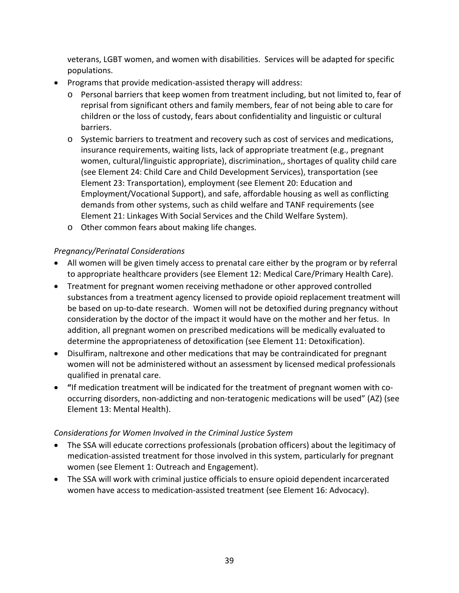veterans, LGBT women, and women with disabilities. Services will be adapted for specific populations.

- Programs that provide medication‐assisted therapy will address:
	- o Personal barriers that keep women from treatment including, but not limited to, fear of reprisal from significant others and family members, fear of not being able to care for children or the loss of custody, fears about confidentiality and linguistic or cultural barriers.
	- o Systemic barriers to treatment and recovery such as cost of services and medications, insurance requirements, waiting lists, lack of appropriate treatment (e.g., pregnant women, cultural/linguistic appropriate), discrimination,, shortages of quality child care (see Element 24: Child Care and Child Development Services), transportation (see Element 23: Transportation), employment (see Element 20: Education and Employment/Vocational Support), and safe, affordable housing as well as conflicting demands from other systems, such as child welfare and TANF requirements (see Element 21: Linkages With Social Services and the Child Welfare System).
	- o Other common fears about making life changes.

#### *Pregnancy/Perinatal Considerations*

- All women will be given timely access to prenatal care either by the program or by referral to appropriate healthcare providers (see Element 12: Medical Care/Primary Health Care).
- Treatment for pregnant women receiving methadone or other approved controlled substances from a treatment agency licensed to provide opioid replacement treatment will be based on up-to-date research. Women will not be detoxified during pregnancy without consideration by the doctor of the impact it would have on the mother and her fetus. In addition, all pregnant women on prescribed medications will be medically evaluated to determine the appropriateness of detoxification (see Element 11: Detoxification).
- Disulfiram, naltrexone and other medications that may be contraindicated for pregnant women will not be administered without an assessment by licensed medical professionals qualified in prenatal care.
- **"**If medication treatment will be indicated for the treatment of pregnant women with co‐ occurring disorders, non‐addicting and non‐teratogenic medications will be used" (AZ) (see Element 13: Mental Health).

### *Considerations for Women Involved in the Criminal Justice System*

- The SSA will educate corrections professionals (probation officers) about the legitimacy of medication‐assisted treatment for those involved in this system, particularly for pregnant women (see Element 1: Outreach and Engagement).
- The SSA will work with criminal justice officials to ensure opioid dependent incarcerated women have access to medication-assisted treatment (see Element 16: Advocacy).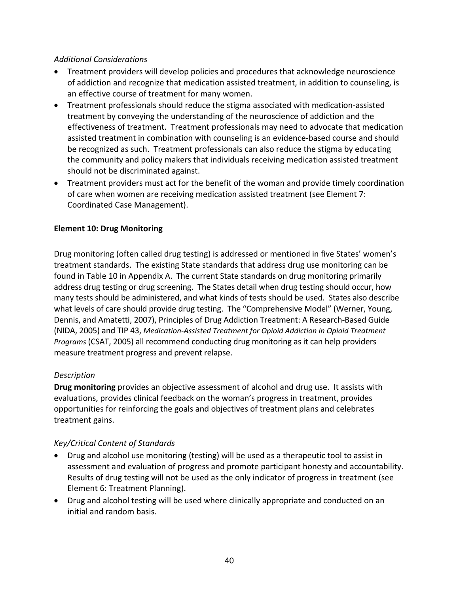#### *Additional Considerations*

- Treatment providers will develop policies and procedures that acknowledge neuroscience of addiction and recognize that medication assisted treatment, in addition to counseling, is an effective course of treatment for many women.
- Treatment professionals should reduce the stigma associated with medication‐assisted treatment by conveying the understanding of the neuroscience of addiction and the effectiveness of treatment. Treatment professionals may need to advocate that medication assisted treatment in combination with counseling is an evidence‐based course and should be recognized as such. Treatment professionals can also reduce the stigma by educating the community and policy makers that individuals receiving medication assisted treatment should not be discriminated against.
- Treatment providers must act for the benefit of the woman and provide timely coordination of care when women are receiving medication assisted treatment (see Element 7: Coordinated Case Management).

### **Element 10: Drug Monitoring**

Drug monitoring (often called drug testing) is addressed or mentioned in five States' women's treatment standards. The existing State standards that address drug use monitoring can be found in Table 10 in Appendix A. The current State standards on drug monitoring primarily address drug testing or drug screening. The States detail when drug testing should occur, how many tests should be administered, and what kinds of tests should be used. States also describe what levels of care should provide drug testing. The "Comprehensive Model" (Werner, Young, Dennis, and Amatetti, 2007), Principles of Drug Addiction Treatment: A Research‐Based Guide (NIDA, 2005) and TIP 43, *Medication‐Assisted Treatment for Opioid Addiction in Opioid Treatment Programs* (CSAT, 2005) all recommend conducting drug monitoring as it can help providers measure treatment progress and prevent relapse.

### *Description*

**Drug monitoring** provides an objective assessment of alcohol and drug use. It assists with evaluations, provides clinical feedback on the woman's progress in treatment, provides opportunities for reinforcing the goals and objectives of treatment plans and celebrates treatment gains.

- Drug and alcohol use monitoring (testing) will be used as a therapeutic tool to assist in assessment and evaluation of progress and promote participant honesty and accountability. Results of drug testing will not be used as the only indicator of progress in treatment (see Element 6: Treatment Planning).
- Drug and alcohol testing will be used where clinically appropriate and conducted on an initial and random basis.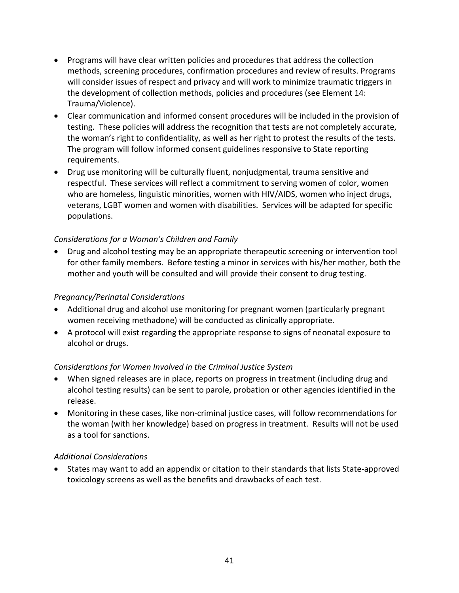- Programs will have clear written policies and procedures that address the collection methods, screening procedures, confirmation procedures and review of results. Programs will consider issues of respect and privacy and will work to minimize traumatic triggers in the development of collection methods, policies and procedures (see Element 14: Trauma/Violence).
- Clear communication and informed consent procedures will be included in the provision of testing. These policies will address the recognition that tests are not completely accurate, the woman's right to confidentiality, as well as her right to protest the results of the tests. The program will follow informed consent guidelines responsive to State reporting requirements.
- Drug use monitoring will be culturally fluent, nonjudgmental, trauma sensitive and respectful. These services will reflect a commitment to serving women of color, women who are homeless, linguistic minorities, women with HIV/AIDS, women who inject drugs, veterans, LGBT women and women with disabilities. Services will be adapted for specific populations.

• Drug and alcohol testing may be an appropriate therapeutic screening or intervention tool for other family members. Before testing a minor in services with his/her mother, both the mother and youth will be consulted and will provide their consent to drug testing.

### *Pregnancy/Perinatal Considerations*

- Additional drug and alcohol use monitoring for pregnant women (particularly pregnant women receiving methadone) will be conducted as clinically appropriate.
- A protocol will exist regarding the appropriate response to signs of neonatal exposure to alcohol or drugs.

### *Considerations for Women Involved in the Criminal Justice System*

- When signed releases are in place, reports on progress in treatment (including drug and alcohol testing results) can be sent to parole, probation or other agencies identified in the release.
- Monitoring in these cases, like non-criminal justice cases, will follow recommendations for the woman (with her knowledge) based on progress in treatment. Results will not be used as a tool for sanctions.

### *Additional Considerations*

• States may want to add an appendix or citation to their standards that lists State‐approved toxicology screens as well as the benefits and drawbacks of each test.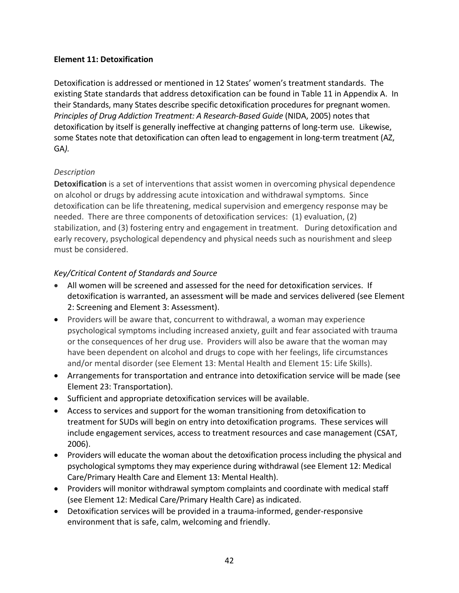### **Element 11: Detoxification**

Detoxification is addressed or mentioned in 12 States' women's treatment standards. The existing State standards that address detoxification can be found in Table 11 in Appendix A. In their Standards, many States describe specific detoxification procedures for pregnant women. *Principles of Drug Addiction Treatment: A Research‐Based Guide* (NIDA, 2005) notes that detoxification by itself is generally ineffective at changing patterns of long-term use. Likewise, some States note that detoxification can often lead to engagement in long-term treatment (AZ, GA).

## *Description*

**Detoxification** is a set of interventions that assist women in overcoming physical dependence on alcohol or drugs by addressing acute intoxication and withdrawal symptoms. Since detoxification can be life threatening, medical supervision and emergency response may be needed. There are three components of detoxification services: (1) evaluation, (2) stabilization, and (3) fostering entry and engagement in treatment. During detoxification and early recovery, psychological dependency and physical needs such as nourishment and sleep must be considered.

## *Key/Critical Content of Standards and Source*

- All women will be screened and assessed for the need for detoxification services. If detoxification is warranted, an assessment will be made and services delivered (see Element 2: Screening and Element 3: Assessment).
- Providers will be aware that, concurrent to withdrawal, a woman may experience psychological symptoms including increased anxiety, guilt and fear associated with trauma or the consequences of her drug use. Providers will also be aware that the woman may have been dependent on alcohol and drugs to cope with her feelings, life circumstances and/or mental disorder (see Element 13: Mental Health and Element 15: Life Skills).
- Arrangements for transportation and entrance into detoxification service will be made (see Element 23: Transportation).
- Sufficient and appropriate detoxification services will be available.
- Access to services and support for the woman transitioning from detoxification to treatment for SUDs will begin on entry into detoxification programs. These services will include engagement services, access to treatment resources and case management (CSAT, 2006).
- Providers will educate the woman about the detoxification process including the physical and psychological symptoms they may experience during withdrawal (see Element 12: Medical Care/Primary Health Care and Element 13: Mental Health).
- Providers will monitor withdrawal symptom complaints and coordinate with medical staff (see Element 12: Medical Care/Primary Health Care) as indicated.
- Detoxification services will be provided in a trauma‐informed, gender‐responsive environment that is safe, calm, welcoming and friendly.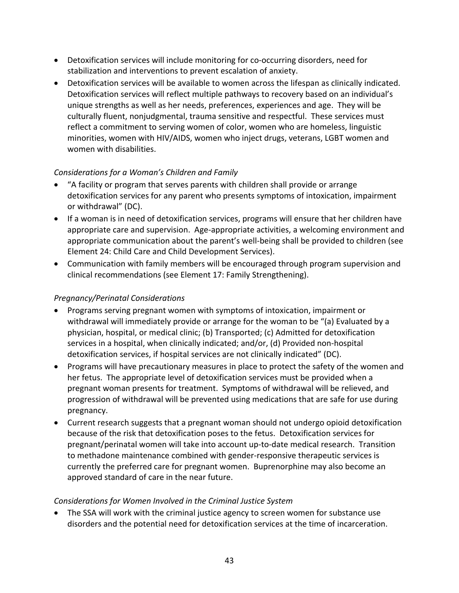- Detoxification services will include monitoring for co‐occurring disorders, need for stabilization and interventions to prevent escalation of anxiety.
- Detoxification services will be available to women across the lifespan as clinically indicated. Detoxification services will reflect multiple pathways to recovery based on an individual's unique strengths as well as her needs, preferences, experiences and age. They will be culturally fluent, nonjudgmental, trauma sensitive and respectful. These services must reflect a commitment to serving women of color, women who are homeless, linguistic minorities, women with HIV/AIDS, women who inject drugs, veterans, LGBT women and women with disabilities.

- "A facility or program that serves parents with children shall provide or arrange detoxification services for any parent who presents symptoms of intoxication, impairment or withdrawal" (DC).
- If a woman is in need of detoxification services, programs will ensure that her children have appropriate care and supervision. Age‐appropriate activities, a welcoming environment and appropriate communication about the parent's well‐being shall be provided to children (see Element 24: Child Care and Child Development Services).
- Communication with family members will be encouraged through program supervision and clinical recommendations (see Element 17: Family Strengthening).

### *Pregnancy/Perinatal Considerations*

- Programs serving pregnant women with symptoms of intoxication, impairment or withdrawal will immediately provide or arrange for the woman to be "(a) Evaluated by a physician, hospital, or medical clinic; (b) Transported; (c) Admitted for detoxification services in a hospital, when clinically indicated; and/or, (d) Provided non‐hospital detoxification services, if hospital services are not clinically indicated" (DC).
- Programs will have precautionary measures in place to protect the safety of the women and her fetus. The appropriate level of detoxification services must be provided when a pregnant woman presents for treatment. Symptoms of withdrawal will be relieved, and progression of withdrawal will be prevented using medications that are safe for use during pregnancy.
- Current research suggests that a pregnant woman should not undergo opioid detoxification because of the risk that detoxification poses to the fetus. Detoxification services for pregnant/perinatal women will take into account up‐to‐date medical research. Transition to methadone maintenance combined with gender‐responsive therapeutic services is currently the preferred care for pregnant women. Buprenorphine may also become an approved standard of care in the near future.

### *Considerations for Women Involved in the Criminal Justice System*

• The SSA will work with the criminal justice agency to screen women for substance use disorders and the potential need for detoxification services at the time of incarceration.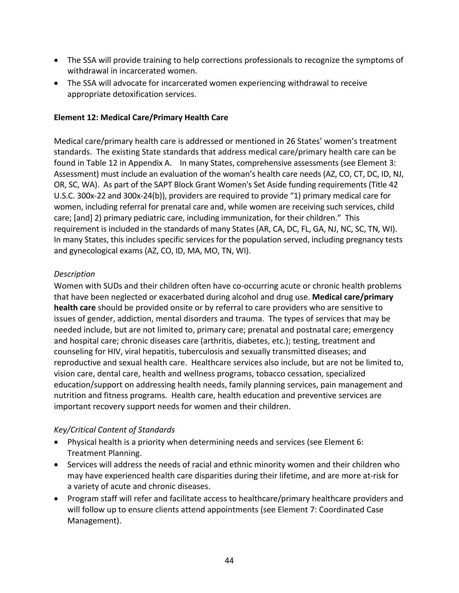- The SSA will provide training to help corrections professionals to recognize the symptoms of withdrawal in incarcerated women.
- The SSA will advocate for incarcerated women experiencing withdrawal to receive appropriate detoxification services.

## **Element 12: Medical Care/Primary Health Care**

Medical care/primary health care is addressed or mentioned in 26 States' women's treatment standards. The existing State standards that address medical care/primary health care can be found in Table 12 in Appendix A. In many States, comprehensive assessments (see Element 3: Assessment) must include an evaluation of the woman's health care needs (AZ, CO, CT, DC, ID, NJ, OR, SC, WA). As part of the SAPT Block Grant Women's Set Aside funding requirements (Title 42 U.S.C. 300x‐22 and 300x‐24(b)), providers are required to provide "1) primary medical care for women, including referral for prenatal care and, while women are receiving such services, child care; [and] 2) primary pediatric care, including immunization, for their children." This requirement is included in the standards of many States (AR, CA, DC, FL, GA, NJ, NC, SC, TN, WI). In many States, this includes specific services for the population served, including pregnancy tests and gynecological exams (AZ, CO, ID, MA, MO, TN, WI).

## *Description*

Women with SUDs and their children often have co-occurring acute or chronic health problems that have been neglected or exacerbated during alcohol and drug use. **Medical care/primary health care** should be provided onsite or by referral to care providers who are sensitive to issues of gender, addiction, mental disorders and trauma. The types of services that may be needed include, but are not limited to, primary care; prenatal and postnatal care; emergency and hospital care; chronic diseases care (arthritis, diabetes, etc.); testing, treatment and counseling for HIV, viral hepatitis, tuberculosis and sexually transmitted diseases; and reproductive and sexual health care. Healthcare services also include, but are not be limited to, vision care, dental care, health and wellness programs, tobacco cessation, specialized education/support on addressing health needs, family planning services, pain management and nutrition and fitness programs. Health care, health education and preventive services are important recovery support needs for women and their children.

- Physical health is a priority when determining needs and services (see Element 6: Treatment Planning.
- Services will address the needs of racial and ethnic minority women and their children who may have experienced health care disparities during their lifetime, and are more at‐risk for a variety of acute and chronic diseases.
- Program staff will refer and facilitate access to healthcare/primary healthcare providers and will follow up to ensure clients attend appointments (see Element 7: Coordinated Case Management).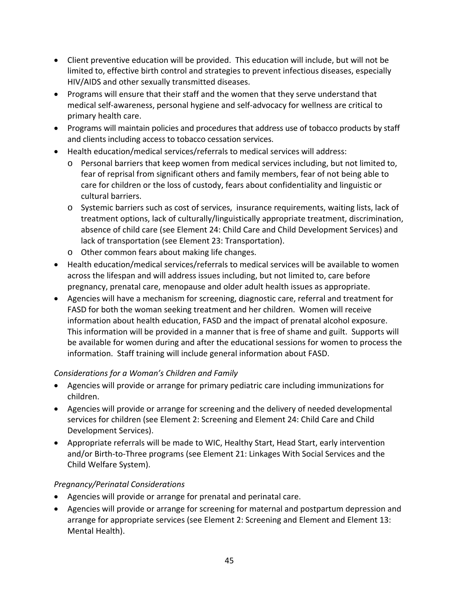- Client preventive education will be provided. This education will include, but will not be limited to, effective birth control and strategies to prevent infectious diseases, especially HIV/AIDS and other sexually transmitted diseases.
- Programs will ensure that their staff and the women that they serve understand that medical self‐awareness, personal hygiene and self‐advocacy for wellness are critical to primary health care.
- Programs will maintain policies and procedures that address use of tobacco products by staff and clients including access to tobacco cessation services.
- Health education/medical services/referrals to medical services will address:
	- o Personal barriers that keep women from medical services including, but not limited to, fear of reprisal from significant others and family members, fear of not being able to care for children or the loss of custody, fears about confidentiality and linguistic or cultural barriers.
	- o Systemic barriers such as cost of services, insurance requirements, waiting lists, lack of treatment options, lack of culturally/linguistically appropriate treatment, discrimination, absence of child care (see Element 24: Child Care and Child Development Services) and lack of transportation (see Element 23: Transportation).
	- o Other common fears about making life changes.
- Health education/medical services/referrals to medical services will be available to women across the lifespan and will address issues including, but not limited to, care before pregnancy, prenatal care, menopause and older adult health issues as appropriate.
- Agencies will have a mechanism for screening, diagnostic care, referral and treatment for FASD for both the woman seeking treatment and her children. Women will receive information about health education, FASD and the impact of prenatal alcohol exposure. This information will be provided in a manner that is free of shame and guilt. Supports will be available for women during and after the educational sessions for women to process the information. Staff training will include general information about FASD.

- Agencies will provide or arrange for primary pediatric care including immunizations for children.
- Agencies will provide or arrange for screening and the delivery of needed developmental services for children (see Element 2: Screening and Element 24: Child Care and Child Development Services).
- Appropriate referrals will be made to WIC, Healthy Start, Head Start, early intervention and/or Birth‐to‐Three programs (see Element 21: Linkages With Social Services and the Child Welfare System).

### *Pregnancy/Perinatal Considerations*

- Agencies will provide or arrange for prenatal and perinatal care.
- Agencies will provide or arrange for screening for maternal and postpartum depression and arrange for appropriate services (see Element 2: Screening and Element and Element 13: Mental Health).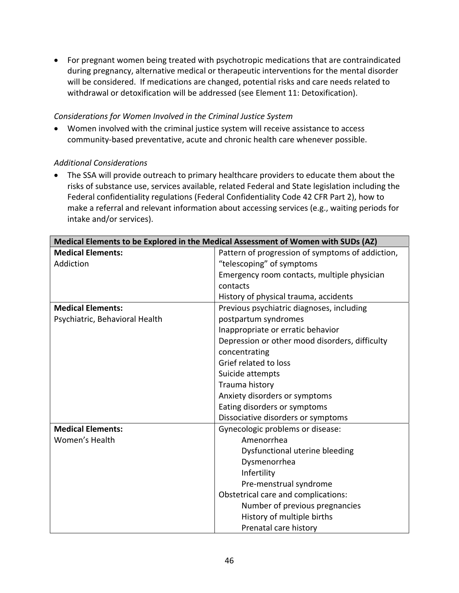• For pregnant women being treated with psychotropic medications that are contraindicated during pregnancy, alternative medical or therapeutic interventions for the mental disorder will be considered. If medications are changed, potential risks and care needs related to withdrawal or detoxification will be addressed (see Element 11: Detoxification).

#### *Considerations for Women Involved in the Criminal Justice System*

• Women involved with the criminal justice system will receive assistance to access community‐based preventative, acute and chronic health care whenever possible.

### *Additional Considerations*

• The SSA will provide outreach to primary healthcare providers to educate them about the risks of substance use, services available, related Federal and State legislation including the Federal confidentiality regulations (Federal Confidentiality Code 42 CFR Part 2), how to make a referral and relevant information about accessing services (e.g., waiting periods for intake and/or services).

| Medical Elements to be Explored in the Medical Assessment of Women with SUDs (AZ) |                                                  |
|-----------------------------------------------------------------------------------|--------------------------------------------------|
| <b>Medical Elements:</b>                                                          | Pattern of progression of symptoms of addiction, |
| Addiction                                                                         | "telescoping" of symptoms                        |
|                                                                                   | Emergency room contacts, multiple physician      |
|                                                                                   | contacts                                         |
|                                                                                   | History of physical trauma, accidents            |
| <b>Medical Elements:</b>                                                          | Previous psychiatric diagnoses, including        |
| Psychiatric, Behavioral Health                                                    | postpartum syndromes                             |
|                                                                                   | Inappropriate or erratic behavior                |
|                                                                                   | Depression or other mood disorders, difficulty   |
|                                                                                   | concentrating                                    |
|                                                                                   | Grief related to loss                            |
|                                                                                   | Suicide attempts                                 |
|                                                                                   | Trauma history                                   |
|                                                                                   | Anxiety disorders or symptoms                    |
|                                                                                   | Eating disorders or symptoms                     |
|                                                                                   | Dissociative disorders or symptoms               |
| <b>Medical Elements:</b>                                                          | Gynecologic problems or disease:                 |
| Women's Health                                                                    | Amenorrhea                                       |
|                                                                                   | Dysfunctional uterine bleeding                   |
|                                                                                   | Dysmenorrhea                                     |
|                                                                                   | Infertility                                      |
|                                                                                   | Pre-menstrual syndrome                           |
|                                                                                   | Obstetrical care and complications:              |
|                                                                                   | Number of previous pregnancies                   |
|                                                                                   | History of multiple births                       |
|                                                                                   | Prenatal care history                            |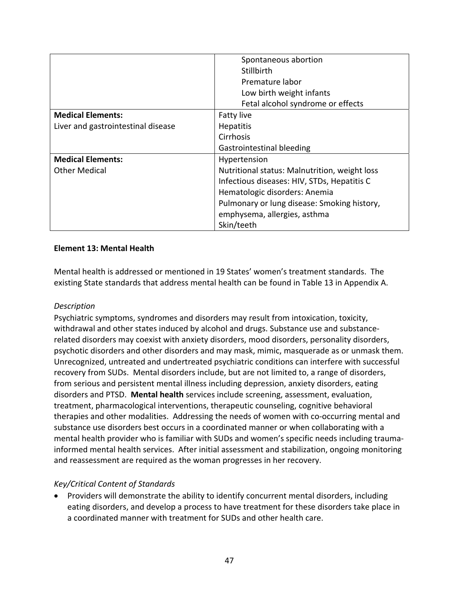|                                    | Spontaneous abortion                          |
|------------------------------------|-----------------------------------------------|
|                                    | Stillbirth                                    |
|                                    | Premature labor                               |
|                                    | Low birth weight infants                      |
|                                    | Fetal alcohol syndrome or effects             |
| <b>Medical Elements:</b>           | Fatty live                                    |
| Liver and gastrointestinal disease | <b>Hepatitis</b>                              |
|                                    | Cirrhosis                                     |
|                                    | Gastrointestinal bleeding                     |
| <b>Medical Elements:</b>           | Hypertension                                  |
| <b>Other Medical</b>               | Nutritional status: Malnutrition, weight loss |
|                                    | Infectious diseases: HIV, STDs, Hepatitis C   |
|                                    | Hematologic disorders: Anemia                 |
|                                    | Pulmonary or lung disease: Smoking history,   |
|                                    | emphysema, allergies, asthma                  |
|                                    | Skin/teeth                                    |

#### **Element 13: Mental Health**

Mental health is addressed or mentioned in 19 States' women's treatment standards. The existing State standards that address mental health can be found in Table 13 in Appendix A.

### *Description*

Psychiatric symptoms, syndromes and disorders may result from intoxication, toxicity, withdrawal and other states induced by alcohol and drugs. Substance use and substance‐ related disorders may coexist with anxiety disorders, mood disorders, personality disorders, psychotic disorders and other disorders and may mask, mimic, masquerade as or unmask them. Unrecognized, untreated and undertreated psychiatric conditions can interfere with successful recovery from SUDs. Mental disorders include, but are not limited to, a range of disorders, from serious and persistent mental illness including depression, anxiety disorders, eating disorders and PTSD. **Mental health** services include screening, assessment, evaluation, treatment, pharmacological interventions, therapeutic counseling, cognitive behavioral therapies and other modalities. Addressing the needs of women with co‐occurring mental and substance use disorders best occurs in a coordinated manner or when collaborating with a mental health provider who is familiar with SUDs and women's specific needs including trauma‐ informed mental health services. After initial assessment and stabilization, ongoing monitoring and reassessment are required as the woman progresses in her recovery.

### *Key/Critical Content of Standards*

• Providers will demonstrate the ability to identify concurrent mental disorders, including eating disorders, and develop a process to have treatment for these disorders take place in a coordinated manner with treatment for SUDs and other health care.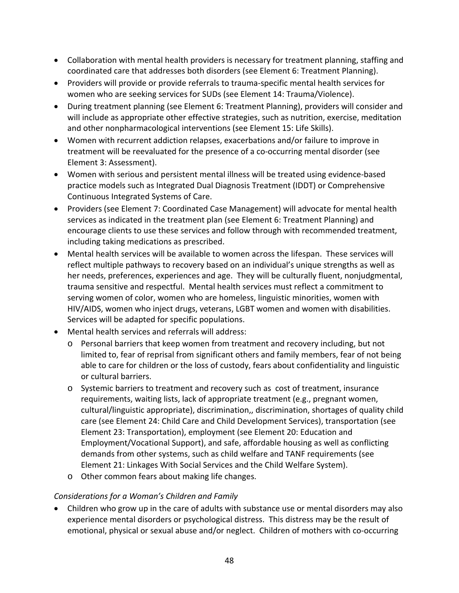- Collaboration with mental health providers is necessary for treatment planning, staffing and coordinated care that addresses both disorders (see Element 6: Treatment Planning).
- Providers will provide or provide referrals to trauma‐specific mental health services for women who are seeking services for SUDs (see Element 14: Trauma/Violence).
- During treatment planning (see Element 6: Treatment Planning), providers will consider and will include as appropriate other effective strategies, such as nutrition, exercise, meditation and other nonpharmacological interventions (see Element 15: Life Skills).
- Women with recurrent addiction relapses, exacerbations and/or failure to improve in treatment will be reevaluated for the presence of a co‐occurring mental disorder (see Element 3: Assessment).
- Women with serious and persistent mental illness will be treated using evidence‐based practice models such as Integrated Dual Diagnosis Treatment (IDDT) or Comprehensive Continuous Integrated Systems of Care.
- Providers (see Element 7: Coordinated Case Management) will advocate for mental health services as indicated in the treatment plan (see Element 6: Treatment Planning) and encourage clients to use these services and follow through with recommended treatment, including taking medications as prescribed.
- Mental health services will be available to women across the lifespan. These services will reflect multiple pathways to recovery based on an individual's unique strengths as well as her needs, preferences, experiences and age. They will be culturally fluent, nonjudgmental, trauma sensitive and respectful. Mental health services must reflect a commitment to serving women of color, women who are homeless, linguistic minorities, women with HIV/AIDS, women who inject drugs, veterans, LGBT women and women with disabilities. Services will be adapted for specific populations.
- Mental health services and referrals will address:
	- o Personal barriers that keep women from treatment and recovery including, but not limited to, fear of reprisal from significant others and family members, fear of not being able to care for children or the loss of custody, fears about confidentiality and linguistic or cultural barriers.
	- o Systemic barriers to treatment and recovery such as cost of treatment, insurance requirements, waiting lists, lack of appropriate treatment (e.g., pregnant women, cultural/linguistic appropriate), discrimination,, discrimination, shortages of quality child care (see Element 24: Child Care and Child Development Services), transportation (see Element 23: Transportation), employment (see Element 20: Education and Employment/Vocational Support), and safe, affordable housing as well as conflicting demands from other systems, such as child welfare and TANF requirements (see Element 21: Linkages With Social Services and the Child Welfare System).
	- o Other common fears about making life changes.

• Children who grow up in the care of adults with substance use or mental disorders may also experience mental disorders or psychological distress. This distress may be the result of emotional, physical or sexual abuse and/or neglect. Children of mothers with co‐occurring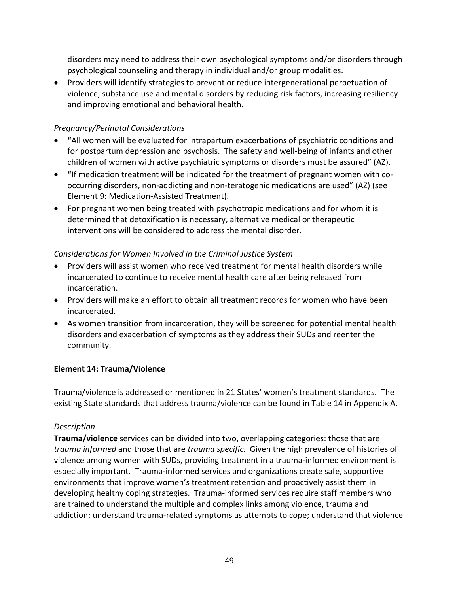disorders may need to address their own psychological symptoms and/or disorders through psychological counseling and therapy in individual and/or group modalities.

• Providers will identify strategies to prevent or reduce intergenerational perpetuation of violence, substance use and mental disorders by reducing risk factors, increasing resiliency and improving emotional and behavioral health.

## *Pregnancy/Perinatal Considerations*

- **"**All women will be evaluated for intrapartum exacerbations of psychiatric conditions and for postpartum depression and psychosis. The safety and well‐being of infants and other children of women with active psychiatric symptoms or disorders must be assured" (AZ).
- **"**If medication treatment will be indicated for the treatment of pregnant women with co‐ occurring disorders, non‐addicting and non‐teratogenic medications are used" (AZ) (see Element 9: Medication‐Assisted Treatment).
- For pregnant women being treated with psychotropic medications and for whom it is determined that detoxification is necessary, alternative medical or therapeutic interventions will be considered to address the mental disorder.

# *Considerations for Women Involved in the Criminal Justice System*

- Providers will assist women who received treatment for mental health disorders while incarcerated to continue to receive mental health care after being released from incarceration.
- Providers will make an effort to obtain all treatment records for women who have been incarcerated.
- As women transition from incarceration, they will be screened for potential mental health disorders and exacerbation of symptoms as they address their SUDs and reenter the community.

# **Element 14: Trauma/Violence**

Trauma/violence is addressed or mentioned in 21 States' women's treatment standards. The existing State standards that address trauma/violence can be found in Table 14 in Appendix A.

### *Description*

**Trauma/violence** services can be divided into two, overlapping categories: those that are *trauma informed* and those that are *trauma specific*. Given the high prevalence of histories of violence among women with SUDs, providing treatment in a trauma-informed environment is especially important. Trauma‐informed services and organizations create safe, supportive environments that improve women's treatment retention and proactively assist them in developing healthy coping strategies. Trauma‐informed services require staff members who are trained to understand the multiple and complex links among violence, trauma and addiction; understand trauma‐related symptoms as attempts to cope; understand that violence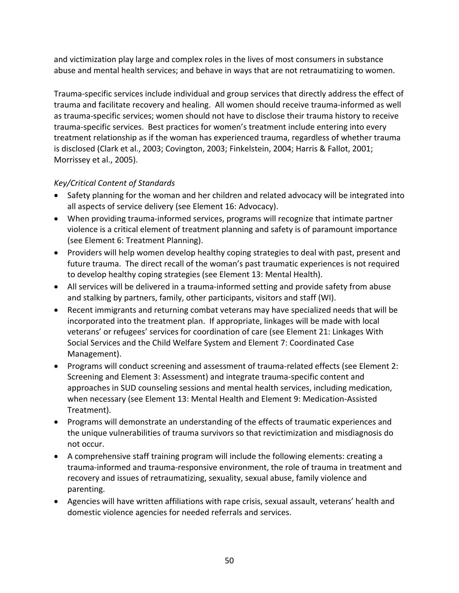and victimization play large and complex roles in the lives of most consumers in substance abuse and mental health services; and behave in ways that are not retraumatizing to women.

Trauma‐specific services include individual and group services that directly address the effect of trauma and facilitate recovery and healing. All women should receive trauma‐informed as well as trauma‐specific services; women should not have to disclose their trauma history to receive trauma‐specific services. Best practices for women's treatment include entering into every treatment relationship as if the woman has experienced trauma, regardless of whether trauma is disclosed (Clark et al., 2003; Covington, 2003; Finkelstein, 2004; Harris & Fallot, 2001; Morrissey et al., 2005).

- Safety planning for the woman and her children and related advocacy will be integrated into all aspects of service delivery (see Element 16: Advocacy).
- When providing trauma‐informed services, programs will recognize that intimate partner violence is a critical element of treatment planning and safety is of paramount importance (see Element 6: Treatment Planning).
- Providers will help women develop healthy coping strategies to deal with past, present and future trauma. The direct recall of the woman's past traumatic experiences is not required to develop healthy coping strategies (see Element 13: Mental Health).
- All services will be delivered in a trauma-informed setting and provide safety from abuse and stalking by partners, family, other participants, visitors and staff (WI).
- Recent immigrants and returning combat veterans may have specialized needs that will be incorporated into the treatment plan. If appropriate, linkages will be made with local veterans' or refugees' services for coordination of care (see Element 21: Linkages With Social Services and the Child Welfare System and Element 7: Coordinated Case Management).
- Programs will conduct screening and assessment of trauma‐related effects (see Element 2: Screening and Element 3: Assessment) and integrate trauma‐specific content and approaches in SUD counseling sessions and mental health services, including medication, when necessary (see Element 13: Mental Health and Element 9: Medication‐Assisted Treatment).
- Programs will demonstrate an understanding of the effects of traumatic experiences and the unique vulnerabilities of trauma survivors so that revictimization and misdiagnosis do not occur.
- A comprehensive staff training program will include the following elements: creating a trauma‐informed and trauma‐responsive environment, the role of trauma in treatment and recovery and issues of retraumatizing, sexuality, sexual abuse, family violence and parenting.
- Agencies will have written affiliations with rape crisis, sexual assault, veterans' health and domestic violence agencies for needed referrals and services.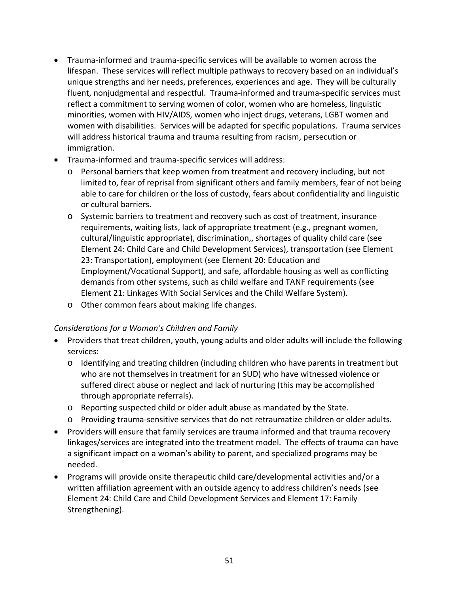- Trauma‐informed and trauma‐specific services will be available to women across the lifespan. These services will reflect multiple pathways to recovery based on an individual's unique strengths and her needs, preferences, experiences and age. They will be culturally fluent, nonjudgmental and respectful. Trauma‐informed and trauma‐specific services must reflect a commitment to serving women of color, women who are homeless, linguistic minorities, women with HIV/AIDS, women who inject drugs, veterans, LGBT women and women with disabilities. Services will be adapted for specific populations. Trauma services will address historical trauma and trauma resulting from racism, persecution or immigration.
- Trauma‐informed and trauma‐specific services will address:
	- o Personal barriers that keep women from treatment and recovery including, but not limited to, fear of reprisal from significant others and family members, fear of not being able to care for children or the loss of custody, fears about confidentiality and linguistic or cultural barriers.
	- o Systemic barriers to treatment and recovery such as cost of treatment, insurance requirements, waiting lists, lack of appropriate treatment (e.g., pregnant women, cultural/linguistic appropriate), discrimination,, shortages of quality child care (see Element 24: Child Care and Child Development Services), transportation (see Element 23: Transportation), employment (see Element 20: Education and Employment/Vocational Support), and safe, affordable housing as well as conflicting demands from other systems, such as child welfare and TANF requirements (see Element 21: Linkages With Social Services and the Child Welfare System).
	- o Other common fears about making life changes.

- Providers that treat children, youth, young adults and older adults will include the following services:
	- o Identifying and treating children (including children who have parents in treatment but who are not themselves in treatment for an SUD) who have witnessed violence or suffered direct abuse or neglect and lack of nurturing (this may be accomplished through appropriate referrals).
	- o Reporting suspected child or older adult abuse as mandated by the State.
	- o Providing trauma‐sensitive services that do not retraumatize children or older adults.
- Providers will ensure that family services are trauma informed and that trauma recovery linkages/services are integrated into the treatment model. The effects of trauma can have a significant impact on a woman's ability to parent, and specialized programs may be needed.
- Programs will provide onsite therapeutic child care/developmental activities and/or a written affiliation agreement with an outside agency to address children's needs (see Element 24: Child Care and Child Development Services and Element 17: Family Strengthening).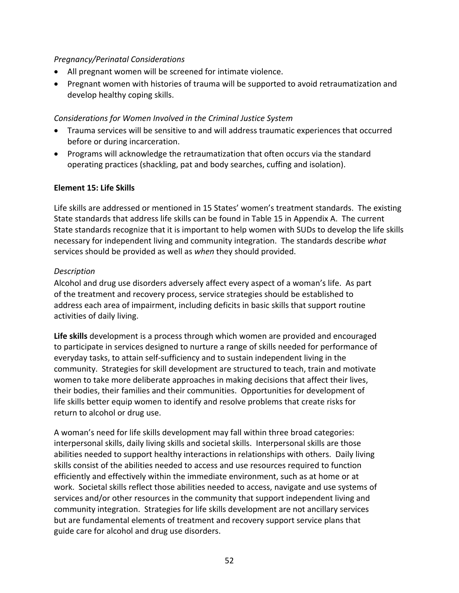#### *Pregnancy/Perinatal Considerations*

- All pregnant women will be screened for intimate violence.
- Pregnant women with histories of trauma will be supported to avoid retraumatization and develop healthy coping skills.

#### *Considerations for Women Involved in the Criminal Justice System*

- Trauma services will be sensitive to and will address traumatic experiences that occurred before or during incarceration.
- Programs will acknowledge the retraumatization that often occurs via the standard operating practices (shackling, pat and body searches, cuffing and isolation).

#### **Element 15: Life Skills**

Life skills are addressed or mentioned in 15 States' women's treatment standards. The existing State standards that address life skills can be found in Table 15 in Appendix A. The current State standards recognize that it is important to help women with SUDs to develop the life skills necessary for independent living and community integration. The standards describe *what* services should be provided as well as *when* they should provided.

#### *Description*

Alcohol and drug use disorders adversely affect every aspect of a woman's life. As part of the treatment and recovery process, service strategies should be established to address each area of impairment, including deficits in basic skills that support routine activities of daily living.

**Life skills** development is a process through which women are provided and encouraged to participate in services designed to nurture a range of skills needed for performance of everyday tasks, to attain self‐sufficiency and to sustain independent living in the community. Strategies for skill development are structured to teach, train and motivate women to take more deliberate approaches in making decisions that affect their lives, their bodies, their families and their communities. Opportunities for development of life skills better equip women to identify and resolve problems that create risks for return to alcohol or drug use.

A woman's need for life skills development may fall within three broad categories: interpersonal skills, daily living skills and societal skills. Interpersonal skills are those abilities needed to support healthy interactions in relationships with others. Daily living skills consist of the abilities needed to access and use resources required to function efficiently and effectively within the immediate environment, such as at home or at work. Societal skills reflect those abilities needed to access, navigate and use systems of services and/or other resources in the community that support independent living and community integration. Strategies for life skills development are not ancillary services but are fundamental elements of treatment and recovery support service plans that guide care for alcohol and drug use disorders.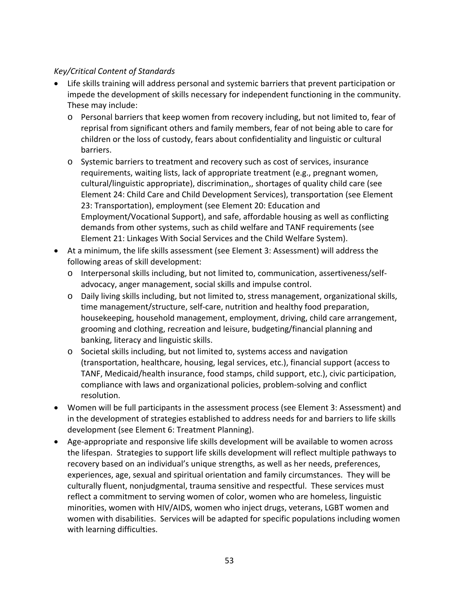- Life skills training will address personal and systemic barriers that prevent participation or impede the development of skills necessary for independent functioning in the community. These may include:
	- o Personal barriers that keep women from recovery including, but not limited to, fear of reprisal from significant others and family members, fear of not being able to care for children or the loss of custody, fears about confidentiality and linguistic or cultural barriers.
	- o Systemic barriers to treatment and recovery such as cost of services, insurance requirements, waiting lists, lack of appropriate treatment (e.g., pregnant women, cultural/linguistic appropriate), discrimination,, shortages of quality child care (see Element 24: Child Care and Child Development Services), transportation (see Element 23: Transportation), employment (see Element 20: Education and Employment/Vocational Support), and safe, affordable housing as well as conflicting demands from other systems, such as child welfare and TANF requirements (see Element 21: Linkages With Social Services and the Child Welfare System).
- At a minimum, the life skills assessment (see Element 3: Assessment) will address the following areas of skill development:
	- o Interpersonal skills including, but not limited to, communication, assertiveness/self‐ advocacy, anger management, social skills and impulse control.
	- o Daily living skills including, but not limited to, stress management, organizational skills, time management/structure, self‐care, nutrition and healthy food preparation, housekeeping, household management, employment, driving, child care arrangement, grooming and clothing, recreation and leisure, budgeting/financial planning and banking, literacy and linguistic skills.
	- o Societal skills including, but not limited to, systems access and navigation (transportation, healthcare, housing, legal services, etc.), financial support (access to TANF, Medicaid/health insurance, food stamps, child support, etc.), civic participation, compliance with laws and organizational policies, problem‐solving and conflict resolution.
- Women will be full participants in the assessment process (see Element 3: Assessment) and in the development of strategies established to address needs for and barriers to life skills development (see Element 6: Treatment Planning).
- Age‐appropriate and responsive life skills development will be available to women across the lifespan. Strategies to support life skills development will reflect multiple pathways to recovery based on an individual's unique strengths, as well as her needs, preferences, experiences, age, sexual and spiritual orientation and family circumstances. They will be culturally fluent, nonjudgmental, trauma sensitive and respectful. These services must reflect a commitment to serving women of color, women who are homeless, linguistic minorities, women with HIV/AIDS, women who inject drugs, veterans, LGBT women and women with disabilities. Services will be adapted for specific populations including women with learning difficulties.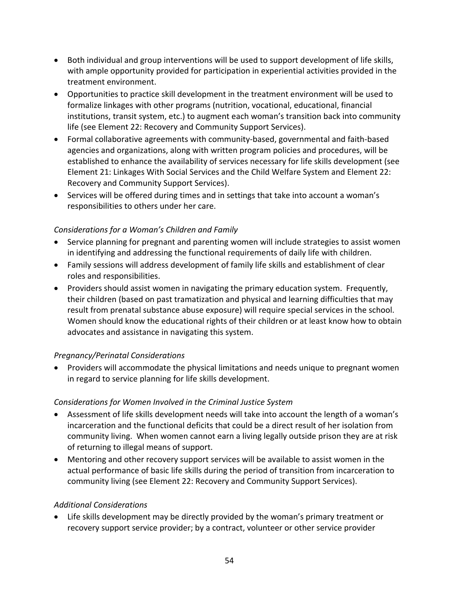- Both individual and group interventions will be used to support development of life skills, with ample opportunity provided for participation in experiential activities provided in the treatment environment.
- Opportunities to practice skill development in the treatment environment will be used to formalize linkages with other programs (nutrition, vocational, educational, financial institutions, transit system, etc.) to augment each woman's transition back into community life (see Element 22: Recovery and Community Support Services).
- Formal collaborative agreements with community‐based, governmental and faith‐based agencies and organizations, along with written program policies and procedures, will be established to enhance the availability of services necessary for life skills development (see Element 21: Linkages With Social Services and the Child Welfare System and Element 22: Recovery and Community Support Services).
- Services will be offered during times and in settings that take into account a woman's responsibilities to others under her care.

- Service planning for pregnant and parenting women will include strategies to assist women in identifying and addressing the functional requirements of daily life with children.
- Family sessions will address development of family life skills and establishment of clear roles and responsibilities.
- Providers should assist women in navigating the primary education system. Frequently, their children (based on past tramatization and physical and learning difficulties that may result from prenatal substance abuse exposure) will require special services in the school. Women should know the educational rights of their children or at least know how to obtain advocates and assistance in navigating this system.

# *Pregnancy/Perinatal Considerations*

• Providers will accommodate the physical limitations and needs unique to pregnant women in regard to service planning for life skills development.

### *Considerations for Women Involved in the Criminal Justice System*

- Assessment of life skills development needs will take into account the length of a woman's incarceration and the functional deficits that could be a direct result of her isolation from community living. When women cannot earn a living legally outside prison they are at risk of returning to illegal means of support.
- Mentoring and other recovery support services will be available to assist women in the actual performance of basic life skills during the period of transition from incarceration to community living (see Element 22: Recovery and Community Support Services).

### *Additional Considerations*

• Life skills development may be directly provided by the woman's primary treatment or recovery support service provider; by a contract, volunteer or other service provider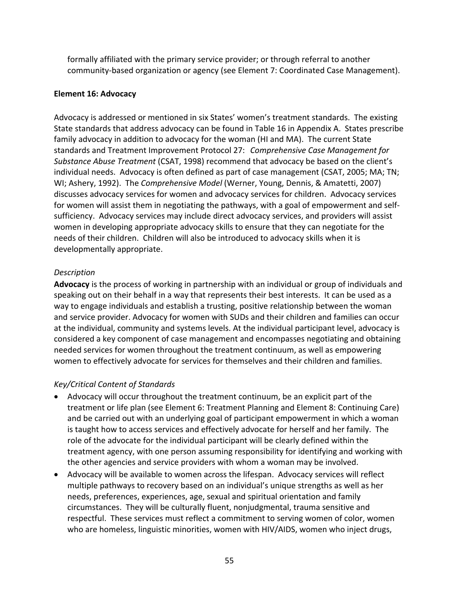formally affiliated with the primary service provider; or through referral to another community‐based organization or agency (see Element 7: Coordinated Case Management).

#### **Element 16: Advocacy**

Advocacy is addressed or mentioned in six States' women's treatment standards. The existing State standards that address advocacy can be found in Table 16 in Appendix A. States prescribe family advocacy in addition to advocacy for the woman (HI and MA). The current State standards and Treatment Improvement Protocol 27: *Comprehensive Case Management for Substance Abuse Treatment* (CSAT, 1998) recommend that advocacy be based on the client's individual needs. Advocacy is often defined as part of case management (CSAT, 2005; MA; TN; WI; Ashery, 1992). The *Comprehensive Model* (Werner, Young, Dennis, & Amatetti, 2007) discusses advocacy services for women and advocacy services for children. Advocacy services for women will assist them in negotiating the pathways, with a goal of empowerment and selfsufficiency. Advocacy services may include direct advocacy services, and providers will assist women in developing appropriate advocacy skills to ensure that they can negotiate for the needs of their children. Children will also be introduced to advocacy skills when it is developmentally appropriate.

### *Description*

**Advocacy** is the process of working in partnership with an individual or group of individuals and speaking out on their behalf in a way that represents their best interests. It can be used as a way to engage individuals and establish a trusting, positive relationship between the woman and service provider. Advocacy for women with SUDs and their children and families can occur at the individual, community and systems levels. At the individual participant level, advocacy is considered a key component of case management and encompasses negotiating and obtaining needed services for women throughout the treatment continuum, as well as empowering women to effectively advocate for services for themselves and their children and families.

- Advocacy will occur throughout the treatment continuum, be an explicit part of the treatment or life plan (see Element 6: Treatment Planning and Element 8: Continuing Care) and be carried out with an underlying goal of participant empowerment in which a woman is taught how to access services and effectively advocate for herself and her family. The role of the advocate for the individual participant will be clearly defined within the treatment agency, with one person assuming responsibility for identifying and working with the other agencies and service providers with whom a woman may be involved.
- Advocacy will be available to women across the lifespan. Advocacy services will reflect multiple pathways to recovery based on an individual's unique strengths as well as her needs, preferences, experiences, age, sexual and spiritual orientation and family circumstances. They will be culturally fluent, nonjudgmental, trauma sensitive and respectful. These services must reflect a commitment to serving women of color, women who are homeless, linguistic minorities, women with HIV/AIDS, women who inject drugs,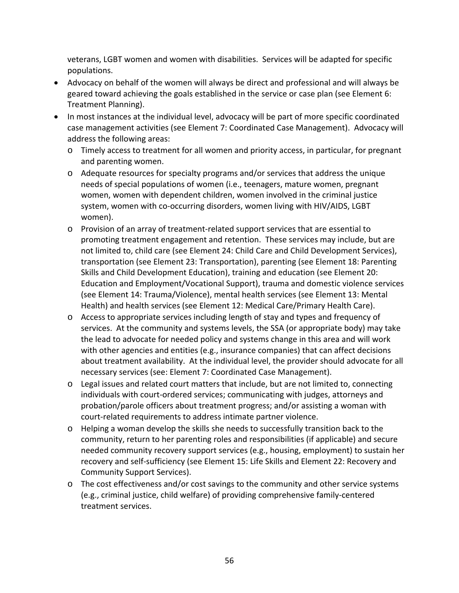veterans, LGBT women and women with disabilities. Services will be adapted for specific populations.

- Advocacy on behalf of the women will always be direct and professional and will always be geared toward achieving the goals established in the service or case plan (see Element 6: Treatment Planning).
- In most instances at the individual level, advocacy will be part of more specific coordinated case management activities (see Element 7: Coordinated Case Management). Advocacy will address the following areas:
	- o Timely access to treatment for all women and priority access, in particular, for pregnant and parenting women.
	- o Adequate resources for specialty programs and/or services that address the unique needs of special populations of women (i.e., teenagers, mature women, pregnant women, women with dependent children, women involved in the criminal justice system, women with co-occurring disorders, women living with HIV/AIDS, LGBT women).
	- o Provision of an array of treatment‐related support services that are essential to promoting treatment engagement and retention. These services may include, but are not limited to, child care (see Element 24: Child Care and Child Development Services), transportation (see Element 23: Transportation), parenting (see Element 18: Parenting Skills and Child Development Education), training and education (see Element 20: Education and Employment/Vocational Support), trauma and domestic violence services (see Element 14: Trauma/Violence), mental health services (see Element 13: Mental Health) and health services (see Element 12: Medical Care/Primary Health Care).
	- o Access to appropriate services including length of stay and types and frequency of services. At the community and systems levels, the SSA (or appropriate body) may take the lead to advocate for needed policy and systems change in this area and will work with other agencies and entities (e.g., insurance companies) that can affect decisions about treatment availability. At the individual level, the provider should advocate for all necessary services (see: Element 7: Coordinated Case Management).
	- o Legal issues and related court matters that include, but are not limited to, connecting individuals with court-ordered services; communicating with judges, attorneys and probation/parole officers about treatment progress; and/or assisting a woman with court‐related requirements to address intimate partner violence.
	- o Helping a woman develop the skills she needs to successfully transition back to the community, return to her parenting roles and responsibilities (if applicable) and secure needed community recovery support services (e.g., housing, employment) to sustain her recovery and self‐sufficiency (see Element 15: Life Skills and Element 22: Recovery and Community Support Services).
	- o The cost effectiveness and/or cost savings to the community and other service systems (e.g., criminal justice, child welfare) of providing comprehensive family‐centered treatment services.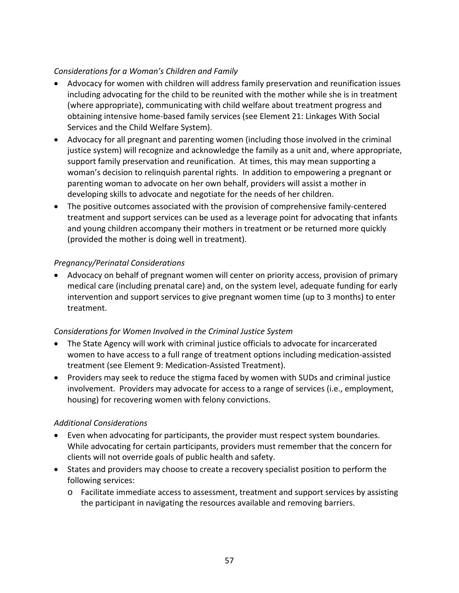- Advocacy for women with children will address family preservation and reunification issues including advocating for the child to be reunited with the mother while she is in treatment (where appropriate), communicating with child welfare about treatment progress and obtaining intensive home‐based family services (see Element 21: Linkages With Social Services and the Child Welfare System).
- Advocacy for all pregnant and parenting women (including those involved in the criminal justice system) will recognize and acknowledge the family as a unit and, where appropriate, support family preservation and reunification. At times, this may mean supporting a woman's decision to relinquish parental rights. In addition to empowering a pregnant or parenting woman to advocate on her own behalf, providers will assist a mother in developing skills to advocate and negotiate for the needs of her children.
- The positive outcomes associated with the provision of comprehensive family‐centered treatment and support services can be used as a leverage point for advocating that infants and young children accompany their mothers in treatment or be returned more quickly (provided the mother is doing well in treatment).

### *Pregnancy/Perinatal Considerations*

• Advocacy on behalf of pregnant women will center on priority access, provision of primary medical care (including prenatal care) and, on the system level, adequate funding for early intervention and support services to give pregnant women time (up to 3 months) to enter treatment.

### *Considerations for Women Involved in the Criminal Justice System*

- The State Agency will work with criminal justice officials to advocate for incarcerated women to have access to a full range of treatment options including medication‐assisted treatment (see Element 9: Medication‐Assisted Treatment).
- Providers may seek to reduce the stigma faced by women with SUDs and criminal justice involvement. Providers may advocate for access to a range of services (i.e., employment, housing) for recovering women with felony convictions.

### *Additional Considerations*

- Even when advocating for participants, the provider must respect system boundaries. While advocating for certain participants, providers must remember that the concern for clients will not override goals of public health and safety.
- States and providers may choose to create a recovery specialist position to perform the following services:
	- o Facilitate immediate access to assessment, treatment and support services by assisting the participant in navigating the resources available and removing barriers.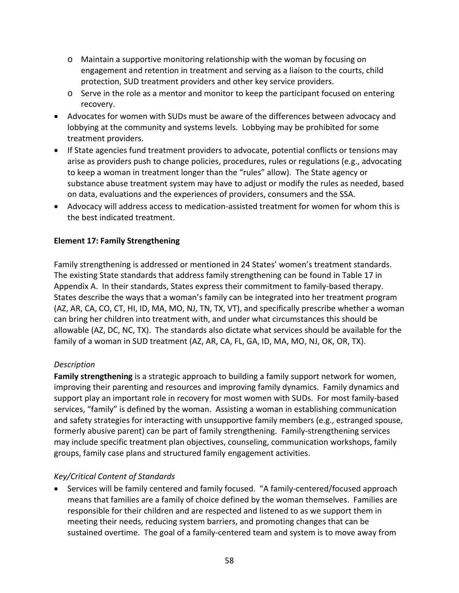- o Maintain a supportive monitoring relationship with the woman by focusing on engagement and retention in treatment and serving as a liaison to the courts, child protection, SUD treatment providers and other key service providers.
- $\circ$  Serve in the role as a mentor and monitor to keep the participant focused on entering recovery.
- Advocates for women with SUDs must be aware of the differences between advocacy and lobbying at the community and systems levels. Lobbying may be prohibited for some treatment providers.
- If State agencies fund treatment providers to advocate, potential conflicts or tensions may arise as providers push to change policies, procedures, rules or regulations (e.g., advocating to keep a woman in treatment longer than the "rules" allow). The State agency or substance abuse treatment system may have to adjust or modify the rules as needed, based on data, evaluations and the experiences of providers, consumers and the SSA.
- Advocacy will address access to medication-assisted treatment for women for whom this is the best indicated treatment.

## **Element 17: Family Strengthening**

Family strengthening is addressed or mentioned in 24 States' women's treatment standards. The existing State standards that address family strengthening can be found in Table 17 in Appendix A. In their standards, States express their commitment to family‐based therapy. States describe the ways that a woman's family can be integrated into her treatment program (AZ, AR, CA, CO, CT, HI, ID, MA, MO, NJ, TN, TX, VT), and specifically prescribe whether a woman can bring her children into treatment with, and under what circumstances this should be allowable (AZ, DC, NC, TX). The standards also dictate what services should be available for the family of a woman in SUD treatment (AZ, AR, CA, FL, GA, ID, MA, MO, NJ, OK, OR, TX).

### *Description*

**Family strengthening** is a strategic approach to building a family support network for women, improving their parenting and resources and improving family dynamics. Family dynamics and support play an important role in recovery for most women with SUDs. For most family‐based services, "family" is defined by the woman. Assisting a woman in establishing communication and safety strategies for interacting with unsupportive family members (e.g., estranged spouse, formerly abusive parent) can be part of family strengthening. Family‐strengthening services may include specific treatment plan objectives, counseling, communication workshops, family groups, family case plans and structured family engagement activities.

# *Key/Critical Content of Standards*

• Services will be family centered and family focused. "A family‐centered/focused approach means that families are a family of choice defined by the woman themselves. Families are responsible for their children and are respected and listened to as we support them in meeting their needs, reducing system barriers, and promoting changes that can be sustained overtime. The goal of a family‐centered team and system is to move away from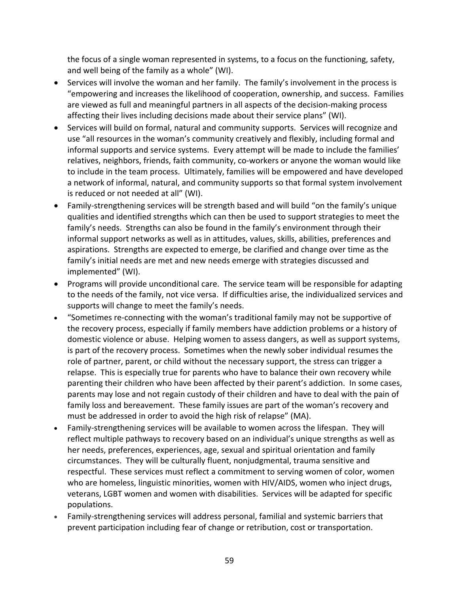the focus of a single woman represented in systems, to a focus on the functioning, safety, and well being of the family as a whole" (WI).

- Services will involve the woman and her family. The family's involvement in the process is "empowering and increases the likelihood of cooperation, ownership, and success. Families are viewed as full and meaningful partners in all aspects of the decision‐making process affecting their lives including decisions made about their service plans" (WI).
- Services will build on formal, natural and community supports. Services will recognize and use "all resources in the woman's community creatively and flexibly, including formal and informal supports and service systems. Every attempt will be made to include the families' relatives, neighbors, friends, faith community, co-workers or anyone the woman would like to include in the team process. Ultimately, families will be empowered and have developed a network of informal, natural, and community supports so that formal system involvement is reduced or not needed at all" (WI).
- Family‐strengthening services will be strength based and will build "on the family's unique qualities and identified strengths which can then be used to support strategies to meet the family's needs. Strengths can also be found in the family's environment through their informal support networks as well as in attitudes, values, skills, abilities, preferences and aspirations. Strengths are expected to emerge, be clarified and change over time as the family's initial needs are met and new needs emerge with strategies discussed and implemented" (WI).
- Programs will provide unconditional care. The service team will be responsible for adapting to the needs of the family, not vice versa. If difficulties arise, the individualized services and supports will change to meet the family's needs.
- "Sometimes re‐connecting with the woman's traditional family may not be supportive of the recovery process, especially if family members have addiction problems or a history of domestic violence or abuse. Helping women to assess dangers, as well as support systems, is part of the recovery process. Sometimes when the newly sober individual resumes the role of partner, parent, or child without the necessary support, the stress can trigger a relapse. This is especially true for parents who have to balance their own recovery while parenting their children who have been affected by their parent's addiction. In some cases, parents may lose and not regain custody of their children and have to deal with the pain of family loss and bereavement. These family issues are part of the woman's recovery and must be addressed in order to avoid the high risk of relapse" (MA).
- Family‐strengthening services will be available to women across the lifespan. They will reflect multiple pathways to recovery based on an individual's unique strengths as well as her needs, preferences, experiences, age, sexual and spiritual orientation and family circumstances. They will be culturally fluent, nonjudgmental, trauma sensitive and respectful. These services must reflect a commitment to serving women of color, women who are homeless, linguistic minorities, women with HIV/AIDS, women who inject drugs, veterans, LGBT women and women with disabilities. Services will be adapted for specific populations.
- Family‐strengthening services will address personal, familial and systemic barriers that prevent participation including fear of change or retribution, cost or transportation.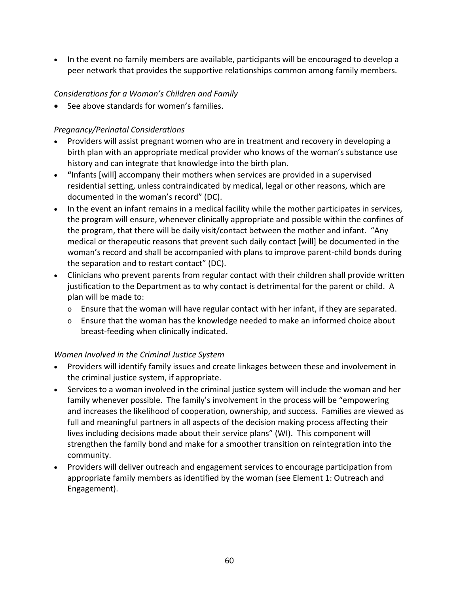• In the event no family members are available, participants will be encouraged to develop a peer network that provides the supportive relationships common among family members.

## *Considerations for a Woman's Children and Family*

• See above standards for women's families.

## *Pregnancy/Perinatal Considerations*

- Providers will assist pregnant women who are in treatment and recovery in developing a birth plan with an appropriate medical provider who knows of the woman's substance use history and can integrate that knowledge into the birth plan.
- **"**Infants [will] accompany their mothers when services are provided in a supervised residential setting, unless contraindicated by medical, legal or other reasons, which are documented in the woman's record" (DC).
- In the event an infant remains in a medical facility while the mother participates in services, the program will ensure, whenever clinically appropriate and possible within the confines of the program, that there will be daily visit/contact between the mother and infant. "Any medical or therapeutic reasons that prevent such daily contact [will] be documented in the woman's record and shall be accompanied with plans to improve parent‐child bonds during the separation and to restart contact" (DC).
- Clinicians who prevent parents from regular contact with their children shall provide written justification to the Department as to why contact is detrimental for the parent or child. A plan will be made to:
	- o Ensure that the woman will have regular contact with her infant, if they are separated.
	- $\circ$  Ensure that the woman has the knowledge needed to make an informed choice about breast‐feeding when clinically indicated.

### *Women Involved in the Criminal Justice System*

- Providers will identify family issues and create linkages between these and involvement in the criminal justice system, if appropriate.
- Services to a woman involved in the criminal justice system will include the woman and her family whenever possible. The family's involvement in the process will be "empowering and increases the likelihood of cooperation, ownership, and success. Families are viewed as full and meaningful partners in all aspects of the decision making process affecting their lives including decisions made about their service plans" (WI). This component will strengthen the family bond and make for a smoother transition on reintegration into the community.
- Providers will deliver outreach and engagement services to encourage participation from appropriate family members as identified by the woman (see Element 1: Outreach and Engagement).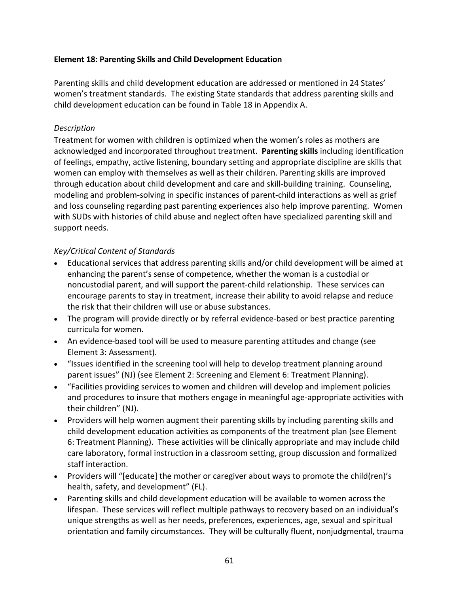#### **Element 18: Parenting Skills and Child Development Education**

Parenting skills and child development education are addressed or mentioned in 24 States' women's treatment standards. The existing State standards that address parenting skills and child development education can be found in Table 18 in Appendix A.

#### *Description*

Treatment for women with children is optimized when the women's roles as mothers are acknowledged and incorporated throughout treatment. **Parenting skills** including identification of feelings, empathy, active listening, boundary setting and appropriate discipline are skills that women can employ with themselves as well as their children. Parenting skills are improved through education about child development and care and skill‐building training. Counseling, modeling and problem‐solving in specific instances of parent‐child interactions as well as grief and loss counseling regarding past parenting experiences also help improve parenting. Women with SUDs with histories of child abuse and neglect often have specialized parenting skill and support needs.

- Educational services that address parenting skills and/or child development will be aimed at enhancing the parent's sense of competence, whether the woman is a custodial or noncustodial parent, and will support the parent‐child relationship. These services can encourage parents to stay in treatment, increase their ability to avoid relapse and reduce the risk that their children will use or abuse substances.
- The program will provide directly or by referral evidence-based or best practice parenting curricula for women.
- An evidence-based tool will be used to measure parenting attitudes and change (see Element 3: Assessment).
- "Issues identified in the screening tool will help to develop treatment planning around parent issues" (NJ) (see Element 2: Screening and Element 6: Treatment Planning).
- "Facilities providing services to women and children will develop and implement policies and procedures to insure that mothers engage in meaningful age‐appropriate activities with their children" (NJ).
- Providers will help women augment their parenting skills by including parenting skills and child development education activities as components of the treatment plan (see Element 6: Treatment Planning). These activities will be clinically appropriate and may include child care laboratory, formal instruction in a classroom setting, group discussion and formalized staff interaction.
- Providers will "[educate] the mother or caregiver about ways to promote the child(ren)'s health, safety, and development" (FL).
- Parenting skills and child development education will be available to women across the lifespan. These services will reflect multiple pathways to recovery based on an individual's unique strengths as well as her needs, preferences, experiences, age, sexual and spiritual orientation and family circumstances. They will be culturally fluent, nonjudgmental, trauma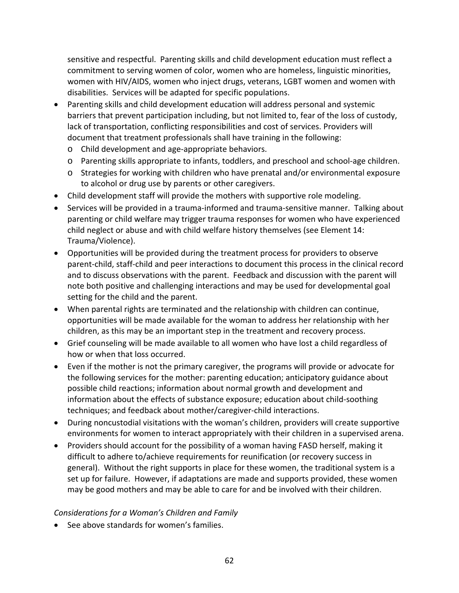sensitive and respectful. Parenting skills and child development education must reflect a commitment to serving women of color, women who are homeless, linguistic minorities, women with HIV/AIDS, women who inject drugs, veterans, LGBT women and women with disabilities. Services will be adapted for specific populations.

- Parenting skills and child development education will address personal and systemic barriers that prevent participation including, but not limited to, fear of the loss of custody, lack of transportation, conflicting responsibilities and cost of services. Providers will document that treatment professionals shall have training in the following:
	- o Child development and age‐appropriate behaviors.
	- o Parenting skills appropriate to infants, toddlers, and preschool and school‐age children.
	- o Strategies for working with children who have prenatal and/or environmental exposure to alcohol or drug use by parents or other caregivers.
- Child development staff will provide the mothers with supportive role modeling.
- Services will be provided in a trauma‐informed and trauma‐sensitive manner. Talking about parenting or child welfare may trigger trauma responses for women who have experienced child neglect or abuse and with child welfare history themselves (see Element 14: Trauma/Violence).
- Opportunities will be provided during the treatment process for providers to observe parent‐child, staff‐child and peer interactions to document this process in the clinical record and to discuss observations with the parent. Feedback and discussion with the parent will note both positive and challenging interactions and may be used for developmental goal setting for the child and the parent.
- When parental rights are terminated and the relationship with children can continue, opportunities will be made available for the woman to address her relationship with her children, as this may be an important step in the treatment and recovery process.
- Grief counseling will be made available to all women who have lost a child regardless of how or when that loss occurred.
- Even if the mother is not the primary caregiver, the programs will provide or advocate for the following services for the mother: parenting education; anticipatory guidance about possible child reactions; information about normal growth and development and information about the effects of substance exposure; education about child‐soothing techniques; and feedback about mother/caregiver‐child interactions.
- During noncustodial visitations with the woman's children, providers will create supportive environments for women to interact appropriately with their children in a supervised arena.
- Providers should account for the possibility of a woman having FASD herself, making it difficult to adhere to/achieve requirements for reunification (or recovery success in general). Without the right supports in place for these women, the traditional system is a set up for failure. However, if adaptations are made and supports provided, these women may be good mothers and may be able to care for and be involved with their children.

#### *Considerations for a Woman's Children and Family*

• See above standards for women's families.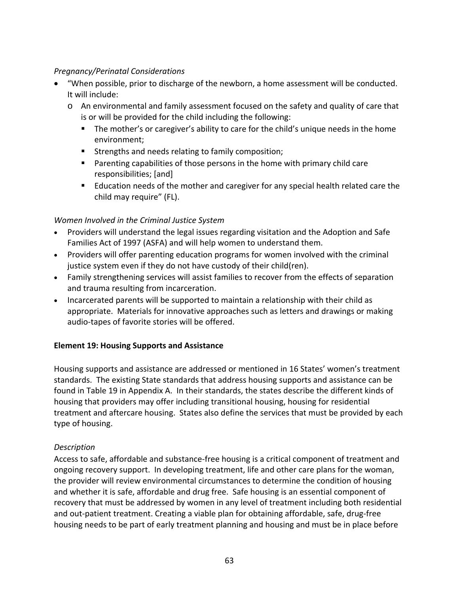## *Pregnancy/Perinatal Considerations*

- "When possible, prior to discharge of the newborn, a home assessment will be conducted. It will include:
	- o An environmental and family assessment focused on the safety and quality of care that is or will be provided for the child including the following:
		- The mother's or caregiver's ability to care for the child's unique needs in the home environment;
		- **Strengths and needs relating to family composition;**
		- Parenting capabilities of those persons in the home with primary child care responsibilities; [and]
		- Education needs of the mother and caregiver for any special health related care the child may require" (FL).

## *Women Involved in the Criminal Justice System*

- Providers will understand the legal issues regarding visitation and the Adoption and Safe Families Act of 1997 (ASFA) and will help women to understand them.
- Providers will offer parenting education programs for women involved with the criminal justice system even if they do not have custody of their child(ren).
- Family strengthening services will assist families to recover from the effects of separation and trauma resulting from incarceration.
- Incarcerated parents will be supported to maintain a relationship with their child as appropriate. Materials for innovative approaches such as letters and drawings or making audio‐tapes of favorite stories will be offered.

# **Element 19: Housing Supports and Assistance**

Housing supports and assistance are addressed or mentioned in 16 States' women's treatment standards. The existing State standards that address housing supports and assistance can be found in Table 19 in Appendix A. In their standards, the states describe the different kinds of housing that providers may offer including transitional housing, housing for residential treatment and aftercare housing. States also define the services that must be provided by each type of housing.

### *Description*

Access to safe, affordable and substance‐free housing is a critical component of treatment and ongoing recovery support. In developing treatment, life and other care plans for the woman, the provider will review environmental circumstances to determine the condition of housing and whether it is safe, affordable and drug free. Safe housing is an essential component of recovery that must be addressed by women in any level of treatment including both residential and out‐patient treatment. Creating a viable plan for obtaining affordable, safe, drug‐free housing needs to be part of early treatment planning and housing and must be in place before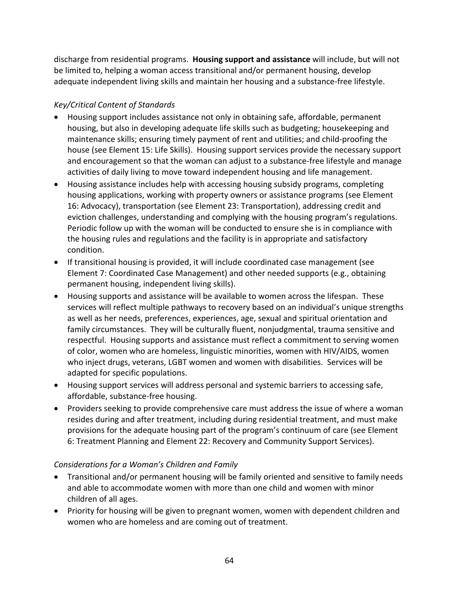discharge from residential programs. **Housing support and assistance** will include, but will not be limited to, helping a woman access transitional and/or permanent housing, develop adequate independent living skills and maintain her housing and a substance‐free lifestyle.

# *Key/Critical Content of Standards*

- Housing support includes assistance not only in obtaining safe, affordable, permanent housing, but also in developing adequate life skills such as budgeting; housekeeping and maintenance skills; ensuring timely payment of rent and utilities; and child‐proofing the house (see Element 15: Life Skills). Housing support services provide the necessary support and encouragement so that the woman can adjust to a substance‐free lifestyle and manage activities of daily living to move toward independent housing and life management.
- Housing assistance includes help with accessing housing subsidy programs, completing housing applications, working with property owners or assistance programs (see Element 16: Advocacy), transportation (see Element 23: Transportation), addressing credit and eviction challenges, understanding and complying with the housing program's regulations. Periodic follow up with the woman will be conducted to ensure she is in compliance with the housing rules and regulations and the facility is in appropriate and satisfactory condition.
- If transitional housing is provided, it will include coordinated case management (see Element 7: Coordinated Case Management) and other needed supports (e.g., obtaining permanent housing, independent living skills).
- Housing supports and assistance will be available to women across the lifespan. These services will reflect multiple pathways to recovery based on an individual's unique strengths as well as her needs, preferences, experiences, age, sexual and spiritual orientation and family circumstances. They will be culturally fluent, nonjudgmental, trauma sensitive and respectful. Housing supports and assistance must reflect a commitment to serving women of color, women who are homeless, linguistic minorities, women with HIV/AIDS, women who inject drugs, veterans, LGBT women and women with disabilities. Services will be adapted for specific populations.
- Housing support services will address personal and systemic barriers to accessing safe, affordable, substance‐free housing.
- Providers seeking to provide comprehensive care must address the issue of where a woman resides during and after treatment, including during residential treatment, and must make provisions for the adequate housing part of the program's continuum of care (see Element 6: Treatment Planning and Element 22: Recovery and Community Support Services).

# *Considerations for a Woman's Children and Family*

- Transitional and/or permanent housing will be family oriented and sensitive to family needs and able to accommodate women with more than one child and women with minor children of all ages.
- Priority for housing will be given to pregnant women, women with dependent children and women who are homeless and are coming out of treatment.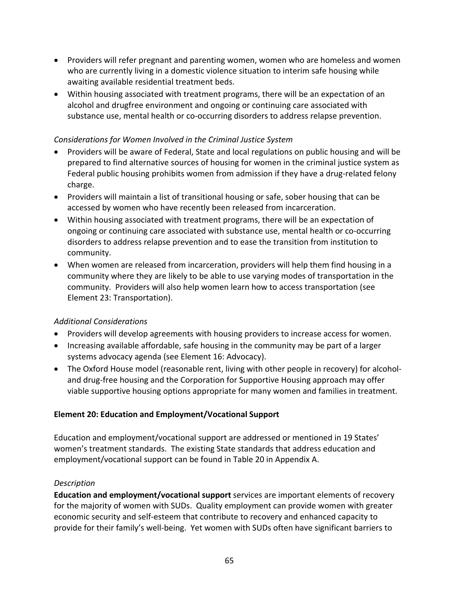- Providers will refer pregnant and parenting women, women who are homeless and women who are currently living in a domestic violence situation to interim safe housing while awaiting available residential treatment beds.
- Within housing associated with treatment programs, there will be an expectation of an alcohol and drugfree environment and ongoing or continuing care associated with substance use, mental health or co‐occurring disorders to address relapse prevention.

## *Considerations for Women Involved in the Criminal Justice System*

- Providers will be aware of Federal, State and local regulations on public housing and will be prepared to find alternative sources of housing for women in the criminal justice system as Federal public housing prohibits women from admission if they have a drug‐related felony charge.
- Providers will maintain a list of transitional housing or safe, sober housing that can be accessed by women who have recently been released from incarceration.
- Within housing associated with treatment programs, there will be an expectation of ongoing or continuing care associated with substance use, mental health or co‐occurring disorders to address relapse prevention and to ease the transition from institution to community.
- When women are released from incarceration, providers will help them find housing in a community where they are likely to be able to use varying modes of transportation in the community. Providers will also help women learn how to access transportation (see Element 23: Transportation).

### *Additional Considerations*

- Providers will develop agreements with housing providers to increase access for women.
- Increasing available affordable, safe housing in the community may be part of a larger systems advocacy agenda (see Element 16: Advocacy).
- The Oxford House model (reasonable rent, living with other people in recovery) for alcoholand drug‐free housing and the Corporation for Supportive Housing approach may offer viable supportive housing options appropriate for many women and families in treatment.

# **Element 20: Education and Employment/Vocational Support**

Education and employment/vocational support are addressed or mentioned in 19 States' women's treatment standards. The existing State standards that address education and employment/vocational support can be found in Table 20 in Appendix A.

### *Description*

**Education and employment/vocational support** services are important elements of recovery for the majority of women with SUDs. Quality employment can provide women with greater economic security and self‐esteem that contribute to recovery and enhanced capacity to provide for their family's well‐being. Yet women with SUDs often have significant barriers to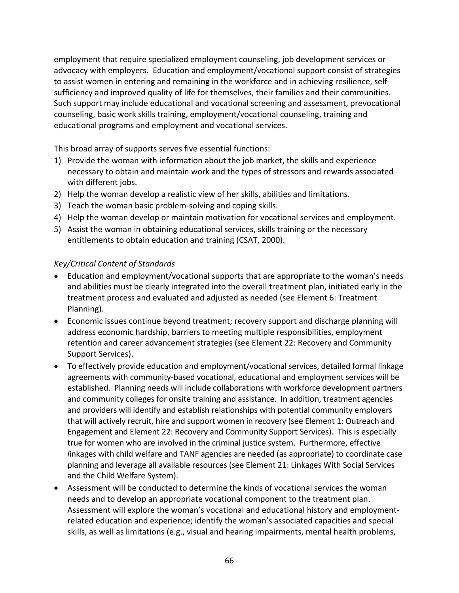employment that require specialized employment counseling, job development services or advocacy with employers. Education and employment/vocational support consist of strategies to assist women in entering and remaining in the workforce and in achieving resilience, self‐ sufficiency and improved quality of life for themselves, their families and their communities. Such support may include educational and vocational screening and assessment, prevocational counseling, basic work skills training, employment/vocational counseling, training and educational programs and employment and vocational services.

This broad array of supports serves five essential functions:

- 1) Provide the woman with information about the job market, the skills and experience necessary to obtain and maintain work and the types of stressors and rewards associated with different jobs.
- 2) Help the woman develop a realistic view of her skills, abilities and limitations.
- 3) Teach the woman basic problem‐solving and coping skills.
- 4) Help the woman develop or maintain motivation for vocational services and employment.
- 5) Assist the woman in obtaining educational services, skills training or the necessary entitlements to obtain education and training (CSAT, 2000).

- Education and employment/vocational supports that are appropriate to the woman's needs and abilities must be clearly integrated into the overall treatment plan, initiated early in the treatment process and evaluated and adjusted as needed (see Element 6: Treatment Planning).
- Economic issues continue beyond treatment; recovery support and discharge planning will address economic hardship, barriers to meeting multiple responsibilities, employment retention and career advancement strategies (see Element 22: Recovery and Community Support Services).
- To effectively provide education and employment/vocational services, detailed formal linkage agreements with community‐based vocational, educational and employment services will be established. Planning needs will include collaborations with workforce development partners and community colleges for onsite training and assistance. In addition, treatment agencies and providers will identify and establish relationships with potential community employers that will actively recruit, hire and support women in recovery (see Element 1: Outreach and Engagement and Element 22: Recovery and Community Support Services). This is especially true for women who are involved in the criminal justice system. Furthermore, effective *l*inkages with child welfare and TANF agencies are needed (as appropriate) to coordinate case planning and leverage all available resources (see Element 21: Linkages With Social Services and the Child Welfare System).
- Assessment will be conducted to determine the kinds of vocational services the woman needs and to develop an appropriate vocational component to the treatment plan. Assessment will explore the woman's vocational and educational history and employment‐ related education and experience; identify the woman's associated capacities and special skills, as well as limitations (e.g., visual and hearing impairments, mental health problems,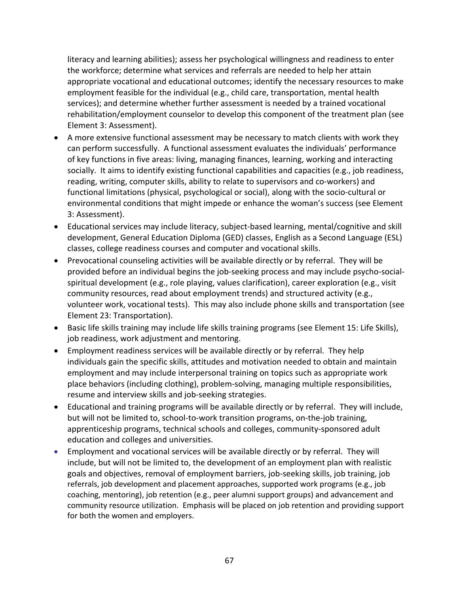literacy and learning abilities); assess her psychological willingness and readiness to enter the workforce; determine what services and referrals are needed to help her attain appropriate vocational and educational outcomes; identify the necessary resources to make employment feasible for the individual (e.g., child care, transportation, mental health services); and determine whether further assessment is needed by a trained vocational rehabilitation/employment counselor to develop this component of the treatment plan (see Element 3: Assessment).

- A more extensive functional assessment may be necessary to match clients with work they can perform successfully. A functional assessment evaluates the individuals' performance of key functions in five areas: living, managing finances, learning, working and interacting socially. It aims to identify existing functional capabilities and capacities (e.g., job readiness, reading, writing, computer skills, ability to relate to supervisors and co-workers) and functional limitations (physical, psychological or social), along with the socio‐cultural or environmental conditions that might impede or enhance the woman's success (see Element 3: Assessment).
- Educational services may include literacy, subject‐based learning, mental/cognitive and skill development, General Education Diploma (GED) classes, English as a Second Language (ESL) classes, college readiness courses and computer and vocational skills.
- Prevocational counseling activities will be available directly or by referral. They will be provided before an individual begins the job‐seeking process and may include psycho‐social‐ spiritual development (e.g., role playing, values clarification), career exploration (e.g., visit community resources, read about employment trends) and structured activity (e.g., volunteer work, vocational tests). This may also include phone skills and transportation (see Element 23: Transportation).
- Basic life skills training may include life skills training programs (see Element 15: Life Skills), job readiness, work adjustment and mentoring.
- Employment readiness services will be available directly or by referral. They help individuals gain the specific skills, attitudes and motivation needed to obtain and maintain employment and may include interpersonal training on topics such as appropriate work place behaviors (including clothing), problem‐solving, managing multiple responsibilities, resume and interview skills and job‐seeking strategies.
- Educational and training programs will be available directly or by referral. They will include, but will not be limited to, school-to-work transition programs, on-the-job training, apprenticeship programs, technical schools and colleges, community‐sponsored adult education and colleges and universities.
- Employment and vocational services will be available directly or by referral. They will include, but will not be limited to, the development of an employment plan with realistic goals and objectives, removal of employment barriers, job‐seeking skills, job training, job referrals, job development and placement approaches, supported work programs (e.g., job coaching, mentoring), job retention (e.g., peer alumni support groups) and advancement and community resource utilization. Emphasis will be placed on job retention and providing support for both the women and employers.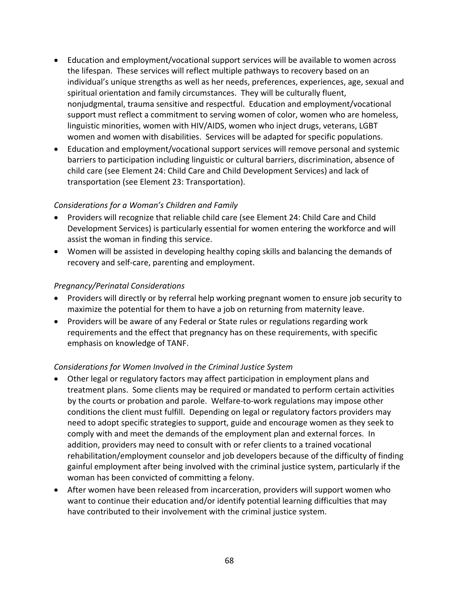- Education and employment/vocational support services will be available to women across the lifespan. These services will reflect multiple pathways to recovery based on an individual's unique strengths as well as her needs, preferences, experiences, age, sexual and spiritual orientation and family circumstances. They will be culturally fluent, nonjudgmental, trauma sensitive and respectful. Education and employment/vocational support must reflect a commitment to serving women of color, women who are homeless, linguistic minorities, women with HIV/AIDS, women who inject drugs, veterans, LGBT women and women with disabilities. Services will be adapted for specific populations.
- Education and employment/vocational support services will remove personal and systemic barriers to participation including linguistic or cultural barriers, discrimination, absence of child care (see Element 24: Child Care and Child Development Services) and lack of transportation (see Element 23: Transportation).

- Providers will recognize that reliable child care (see Element 24: Child Care and Child Development Services) is particularly essential for women entering the workforce and will assist the woman in finding this service.
- Women will be assisted in developing healthy coping skills and balancing the demands of recovery and self‐care, parenting and employment.

### *Pregnancy/Perinatal Considerations*

- Providers will directly or by referral help working pregnant women to ensure job security to maximize the potential for them to have a job on returning from maternity leave.
- Providers will be aware of any Federal or State rules or regulations regarding work requirements and the effect that pregnancy has on these requirements, with specific emphasis on knowledge of TANF.

### *Considerations for Women Involved in the Criminal Justice System*

- Other legal or regulatory factors may affect participation in employment plans and treatment plans. Some clients may be required or mandated to perform certain activities by the courts or probation and parole. Welfare‐to‐work regulations may impose other conditions the client must fulfill. Depending on legal or regulatory factors providers may need to adopt specific strategies to support, guide and encourage women as they seek to comply with and meet the demands of the employment plan and external forces. In addition, providers may need to consult with or refer clients to a trained vocational rehabilitation/employment counselor and job developers because of the difficulty of finding gainful employment after being involved with the criminal justice system, particularly if the woman has been convicted of committing a felony.
- After women have been released from incarceration, providers will support women who want to continue their education and/or identify potential learning difficulties that may have contributed to their involvement with the criminal justice system.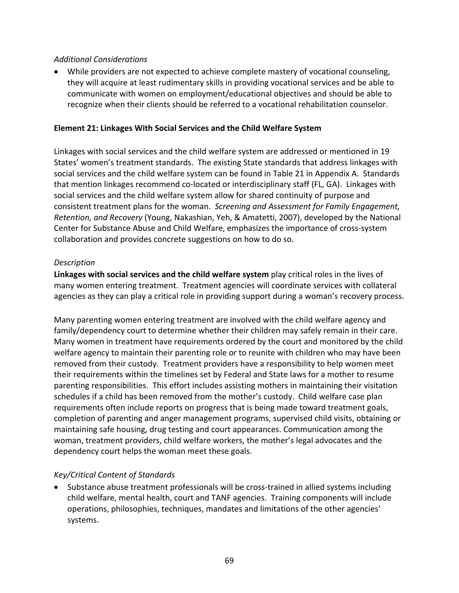#### *Additional Considerations*

• While providers are not expected to achieve complete mastery of vocational counseling, they will acquire at least rudimentary skills in providing vocational services and be able to communicate with women on employment/educational objectives and should be able to recognize when their clients should be referred to a vocational rehabilitation counselor.

#### **Element 21: Linkages With Social Services and the Child Welfare System**

Linkages with social services and the child welfare system are addressed or mentioned in 19 States' women's treatment standards. The existing State standards that address linkages with social services and the child welfare system can be found in Table 21 in Appendix A. Standards that mention linkages recommend co‐located or interdisciplinary staff (FL, GA). Linkages with social services and the child welfare system allow for shared continuity of purpose and consistent treatment plans for the woman. *Screening and Assessment for Family Engagement, Retention, and Recovery* (Young, Nakashian, Yeh, & Amatetti, 2007), developed by the National Center for Substance Abuse and Child Welfare, emphasizes the importance of cross‐system collaboration and provides concrete suggestions on how to do so.

#### *Description*

**Linkages with social services and the child welfare system** play critical roles in the lives of many women entering treatment. Treatment agencies will coordinate services with collateral agencies as they can play a critical role in providing support during a woman's recovery process.

Many parenting women entering treatment are involved with the child welfare agency and family/dependency court to determine whether their children may safely remain in their care. Many women in treatment have requirements ordered by the court and monitored by the child welfare agency to maintain their parenting role or to reunite with children who may have been removed from their custody. Treatment providers have a responsibility to help women meet their requirements within the timelines set by Federal and State laws for a mother to resume parenting responsibilities. This effort includes assisting mothers in maintaining their visitation schedules if a child has been removed from the mother's custody. Child welfare case plan requirements often include reports on progress that is being made toward treatment goals, completion of parenting and anger management programs, supervised child visits, obtaining or maintaining safe housing, drug testing and court appearances. Communication among the woman, treatment providers, child welfare workers, the mother's legal advocates and the dependency court helps the woman meet these goals.

#### *Key/Critical Content of Standards*

• Substance abuse treatment professionals will be cross-trained in allied systems including child welfare, mental health, court and TANF agencies. Training components will include operations, philosophies, techniques, mandates and limitations of the other agencies' systems.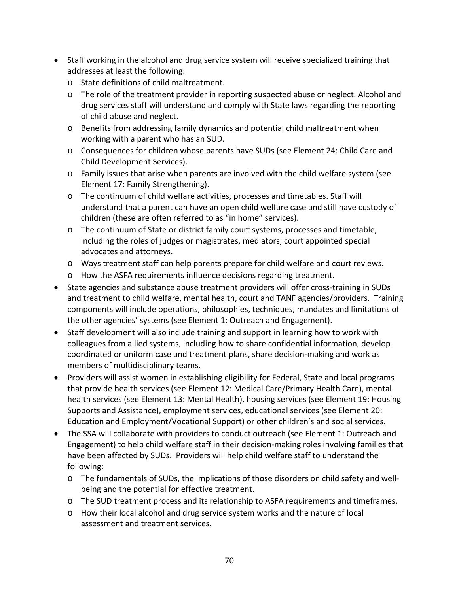- Staff working in the alcohol and drug service system will receive specialized training that addresses at least the following:
	- o State definitions of child maltreatment.
	- o The role of the treatment provider in reporting suspected abuse or neglect. Alcohol and drug services staff will understand and comply with State laws regarding the reporting of child abuse and neglect.
	- o Benefits from addressing family dynamics and potential child maltreatment when working with a parent who has an SUD.
	- o Consequences for children whose parents have SUDs (see Element 24: Child Care and Child Development Services).
	- o Family issues that arise when parents are involved with the child welfare system (see Element 17: Family Strengthening).
	- o The continuum of child welfare activities, processes and timetables. Staff will understand that a parent can have an open child welfare case and still have custody of children (these are often referred to as "in home" services).
	- o The continuum of State or district family court systems, processes and timetable, including the roles of judges or magistrates, mediators, court appointed special advocates and attorneys.
	- o Ways treatment staff can help parents prepare for child welfare and court reviews.
	- o How the ASFA requirements influence decisions regarding treatment.
- State agencies and substance abuse treatment providers will offer cross‐training in SUDs and treatment to child welfare, mental health, court and TANF agencies/providers. Training components will include operations, philosophies, techniques, mandates and limitations of the other agencies' systems (see Element 1: Outreach and Engagement).
- Staff development will also include training and support in learning how to work with colleagues from allied systems, including how to share confidential information, develop coordinated or uniform case and treatment plans, share decision‐making and work as members of multidisciplinary teams.
- Providers will assist women in establishing eligibility for Federal, State and local programs that provide health services (see Element 12: Medical Care/Primary Health Care), mental health services (see Element 13: Mental Health), housing services (see Element 19: Housing Supports and Assistance), employment services, educational services (see Element 20: Education and Employment/Vocational Support) or other children's and social services.
- The SSA will collaborate with providers to conduct outreach (see Element 1: Outreach and Engagement) to help child welfare staff in their decision‐making roles involving families that have been affected by SUDs. Providers will help child welfare staff to understand the following:
	- o The fundamentals of SUDs, the implications of those disorders on child safety and well‐ being and the potential for effective treatment.
	- o The SUD treatment process and its relationship to ASFA requirements and timeframes.
	- o How their local alcohol and drug service system works and the nature of local assessment and treatment services.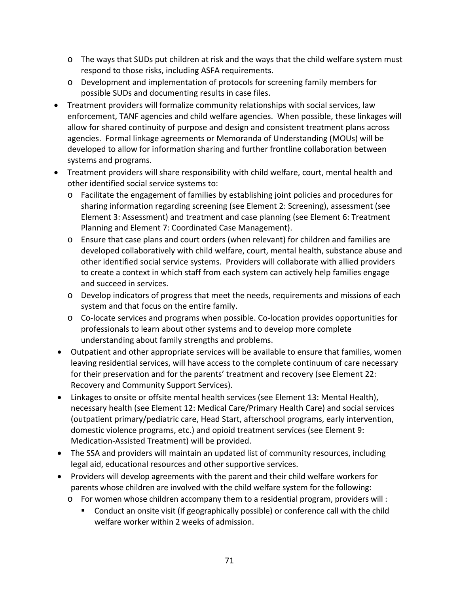- o The ways that SUDs put children at risk and the ways that the child welfare system must respond to those risks, including ASFA requirements.
- o Development and implementation of protocols for screening family members for possible SUDs and documenting results in case files.
- Treatment providers will formalize community relationships with social services, law enforcement, TANF agencies and child welfare agencies. When possible, these linkages will allow for shared continuity of purpose and design and consistent treatment plans across agencies. Formal linkage agreements or Memoranda of Understanding (MOUs) will be developed to allow for information sharing and further frontline collaboration between systems and programs.
- Treatment providers will share responsibility with child welfare, court, mental health and other identified social service systems to:
	- o Facilitate the engagement of families by establishing joint policies and procedures for sharing information regarding screening (see Element 2: Screening), assessment (see Element 3: Assessment) and treatment and case planning (see Element 6: Treatment Planning and Element 7: Coordinated Case Management).
	- o Ensure that case plans and court orders (when relevant) for children and families are developed collaboratively with child welfare, court, mental health, substance abuse and other identified social service systems. Providers will collaborate with allied providers to create a context in which staff from each system can actively help families engage and succeed in services.
	- o Develop indicators of progress that meet the needs, requirements and missions of each system and that focus on the entire family.
	- o Co‐locate services and programs when possible. Co‐location provides opportunities for professionals to learn about other systems and to develop more complete understanding about family strengths and problems.
- Outpatient and other appropriate services will be available to ensure that families, women leaving residential services, will have access to the complete continuum of care necessary for their preservation and for the parents' treatment and recovery (see Element 22: Recovery and Community Support Services).
- Linkages to onsite or offsite mental health services (see Element 13: Mental Health), necessary health (see Element 12: Medical Care/Primary Health Care) and social services (outpatient primary/pediatric care, Head Start, afterschool programs, early intervention, domestic violence programs, etc.) and opioid treatment services (see Element 9: Medication‐Assisted Treatment) will be provided.
- The SSA and providers will maintain an updated list of community resources, including legal aid, educational resources and other supportive services.
- Providers will develop agreements with the parent and their child welfare workers for parents whose children are involved with the child welfare system for the following:
	- o For women whose children accompany them to a residential program, providers will :
		- Conduct an onsite visit (if geographically possible) or conference call with the child welfare worker within 2 weeks of admission.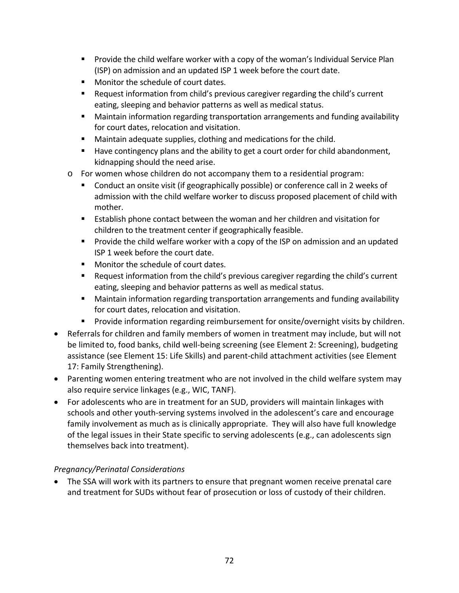- **Provide the child welfare worker with a copy of the woman's Individual Service Plan** (ISP) on admission and an updated ISP 1 week before the court date.
- **Monitor the schedule of court dates.**
- Request information from child's previous caregiver regarding the child's current eating, sleeping and behavior patterns as well as medical status.
- Maintain information regarding transportation arrangements and funding availability for court dates, relocation and visitation.
- **Maintain adequate supplies, clothing and medications for the child.**
- Have contingency plans and the ability to get a court order for child abandonment, kidnapping should the need arise.
- o For women whose children do not accompany them to a residential program:
	- Conduct an onsite visit (if geographically possible) or conference call in 2 weeks of admission with the child welfare worker to discuss proposed placement of child with mother.
	- Establish phone contact between the woman and her children and visitation for children to the treatment center if geographically feasible.
	- **Provide the child welfare worker with a copy of the ISP on admission and an updated** ISP 1 week before the court date.
	- **Monitor the schedule of court dates.**
	- Request information from the child's previous caregiver regarding the child's current eating, sleeping and behavior patterns as well as medical status.
	- Maintain information regarding transportation arrangements and funding availability for court dates, relocation and visitation.
	- **Provide information regarding reimbursement for onsite/overnight visits by children.**
- Referrals for children and family members of women in treatment may include, but will not be limited to, food banks, child well-being screening (see Element 2: Screening), budgeting assistance (see Element 15: Life Skills) and parent‐child attachment activities (see Element 17: Family Strengthening).
- Parenting women entering treatment who are not involved in the child welfare system may also require service linkages (e.g., WIC, TANF).
- For adolescents who are in treatment for an SUD, providers will maintain linkages with schools and other youth‐serving systems involved in the adolescent's care and encourage family involvement as much as is clinically appropriate. They will also have full knowledge of the legal issues in their State specific to serving adolescents (e.g., can adolescents sign themselves back into treatment).

# *Pregnancy/Perinatal Considerations*

• The SSA will work with its partners to ensure that pregnant women receive prenatal care and treatment for SUDs without fear of prosecution or loss of custody of their children.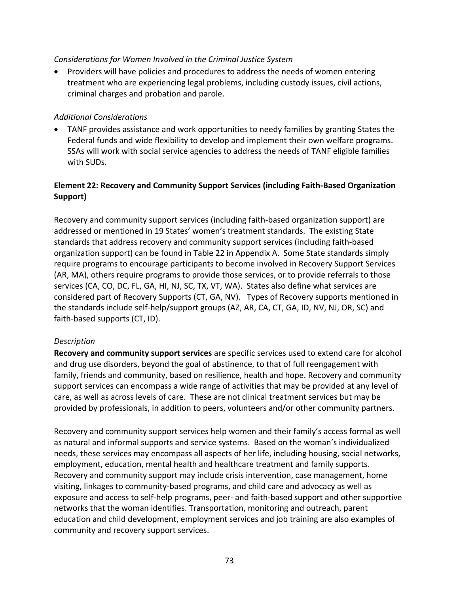#### *Considerations for Women Involved in the Criminal Justice System*

• Providers will have policies and procedures to address the needs of women entering treatment who are experiencing legal problems, including custody issues, civil actions, criminal charges and probation and parole.

#### *Additional Considerations*

• TANF provides assistance and work opportunities to needy families by granting States the Federal funds and wide flexibility to develop and implement their own welfare programs. SSAs will work with social service agencies to address the needs of TANF eligible families with SUDs.

### **Element 22: Recovery and Community Support Services (including Faith‐Based Organization Support)**

Recovery and community support services (including faith‐based organization support) are addressed or mentioned in 19 States' women's treatment standards. The existing State standards that address recovery and community support services (including faith‐based organization support) can be found in Table 22 in Appendix A. Some State standards simply require programs to encourage participants to become involved in Recovery Support Services (AR, MA), others require programs to provide those services, or to provide referrals to those services (CA, CO, DC, FL, GA, HI, NJ, SC, TX, VT, WA). States also define what services are considered part of Recovery Supports (CT, GA, NV). Types of Recovery supports mentioned in the standards include self‐help/support groups (AZ, AR, CA, CT, GA, ID, NV, NJ, OR, SC) and faith‐based supports (CT, ID).

### *Description*

**Recovery and community support services** are specific services used to extend care for alcohol and drug use disorders, beyond the goal of abstinence, to that of full reengagement with family, friends and community, based on resilience, health and hope. Recovery and community support services can encompass a wide range of activities that may be provided at any level of care, as well as across levels of care. These are not clinical treatment services but may be provided by professionals, in addition to peers, volunteers and/or other community partners.

Recovery and community support services help women and their family's access formal as well as natural and informal supports and service systems. Based on the woman's individualized needs, these services may encompass all aspects of her life, including housing, social networks, employment, education, mental health and healthcare treatment and family supports. Recovery and community support may include crisis intervention, case management, home visiting, linkages to community‐based programs, and child care and advocacy as well as exposure and access to self‐help programs, peer‐ and faith‐based support and other supportive networks that the woman identifies. Transportation, monitoring and outreach, parent education and child development, employment services and job training are also examples of community and recovery support services.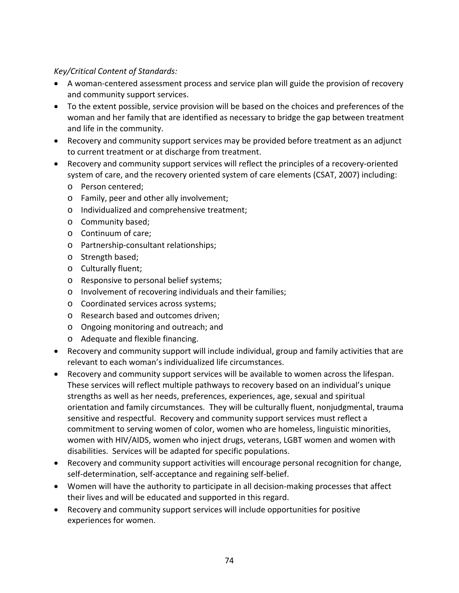### *Key/Critical Content of Standards:*

- A woman-centered assessment process and service plan will guide the provision of recovery and community support services.
- To the extent possible, service provision will be based on the choices and preferences of the woman and her family that are identified as necessary to bridge the gap between treatment and life in the community.
- Recovery and community support services may be provided before treatment as an adjunct to current treatment or at discharge from treatment.
- Recovery and community support services will reflect the principles of a recovery‐oriented system of care, and the recovery oriented system of care elements (CSAT, 2007) including:
	- o Person centered;
	- o Family, peer and other ally involvement;
	- o Individualized and comprehensive treatment;
	- o Community based;
	- o Continuum of care;
	- o Partnership‐consultant relationships;
	- o Strength based;
	- o Culturally fluent;
	- o Responsive to personal belief systems;
	- o Involvement of recovering individuals and their families;
	- o Coordinated services across systems;
	- o Research based and outcomes driven;
	- o Ongoing monitoring and outreach; and
	- o Adequate and flexible financing.
- Recovery and community support will include individual, group and family activities that are relevant to each woman's individualized life circumstances.
- Recovery and community support services will be available to women across the lifespan. These services will reflect multiple pathways to recovery based on an individual's unique strengths as well as her needs, preferences, experiences, age, sexual and spiritual orientation and family circumstances. They will be culturally fluent, nonjudgmental, trauma sensitive and respectful. Recovery and community support services must reflect a commitment to serving women of color, women who are homeless, linguistic minorities, women with HIV/AIDS, women who inject drugs, veterans, LGBT women and women with disabilities. Services will be adapted for specific populations.
- Recovery and community support activities will encourage personal recognition for change, self-determination, self-acceptance and regaining self-belief.
- Women will have the authority to participate in all decision‐making processes that affect their lives and will be educated and supported in this regard.
- Recovery and community support services will include opportunities for positive experiences for women.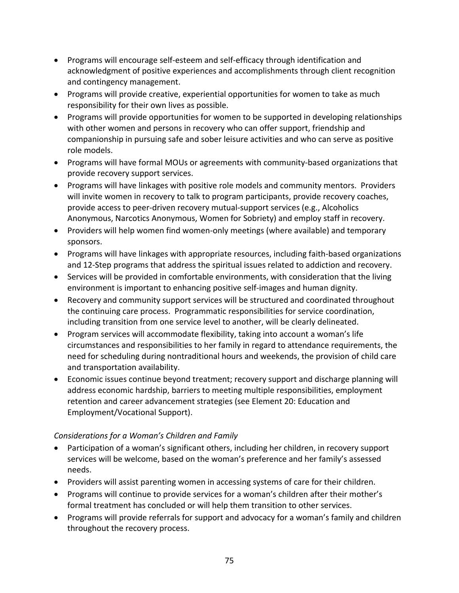- Programs will encourage self‐esteem and self‐efficacy through identification and acknowledgment of positive experiences and accomplishments through client recognition and contingency management.
- Programs will provide creative, experiential opportunities for women to take as much responsibility for their own lives as possible.
- Programs will provide opportunities for women to be supported in developing relationships with other women and persons in recovery who can offer support, friendship and companionship in pursuing safe and sober leisure activities and who can serve as positive role models.
- Programs will have formal MOUs or agreements with community‐based organizations that provide recovery support services.
- Programs will have linkages with positive role models and community mentors. Providers will invite women in recovery to talk to program participants, provide recovery coaches, provide access to peer‐driven recovery mutual‐support services (e.g., Alcoholics Anonymous, Narcotics Anonymous, Women for Sobriety) and employ staff in recovery.
- Providers will help women find women‐only meetings (where available) and temporary sponsors.
- Programs will have linkages with appropriate resources, including faith‐based organizations and 12‐Step programs that address the spiritual issues related to addiction and recovery.
- Services will be provided in comfortable environments, with consideration that the living environment is important to enhancing positive self‐images and human dignity.
- Recovery and community support services will be structured and coordinated throughout the continuing care process. Programmatic responsibilities for service coordination, including transition from one service level to another, will be clearly delineated.
- Program services will accommodate flexibility, taking into account a woman's life circumstances and responsibilities to her family in regard to attendance requirements, the need for scheduling during nontraditional hours and weekends, the provision of child care and transportation availability.
- Economic issues continue beyond treatment; recovery support and discharge planning will address economic hardship, barriers to meeting multiple responsibilities, employment retention and career advancement strategies (see Element 20: Education and Employment/Vocational Support).

# *Considerations for a Woman's Children and Family*

- Participation of a woman's significant others, including her children, in recovery support services will be welcome, based on the woman's preference and her family's assessed needs.
- Providers will assist parenting women in accessing systems of care for their children.
- Programs will continue to provide services for a woman's children after their mother's formal treatment has concluded or will help them transition to other services.
- Programs will provide referrals for support and advocacy for a woman's family and children throughout the recovery process.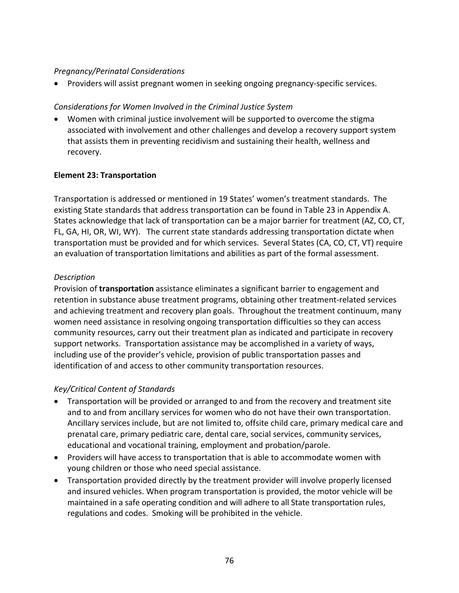### *Pregnancy/Perinatal Considerations*

• Providers will assist pregnant women in seeking ongoing pregnancy‐specific services.

#### *Considerations for Women Involved in the Criminal Justice System*

• Women with criminal justice involvement will be supported to overcome the stigma associated with involvement and other challenges and develop a recovery support system that assists them in preventing recidivism and sustaining their health, wellness and recovery.

#### **Element 23: Transportation**

Transportation is addressed or mentioned in 19 States' women's treatment standards. The existing State standards that address transportation can be found in Table 23 in Appendix A. States acknowledge that lack of transportation can be a major barrier for treatment (AZ, CO, CT, FL, GA, HI, OR, WI, WY). The current state standards addressing transportation dictate when transportation must be provided and for which services. Several States (CA, CO, CT, VT) require an evaluation of transportation limitations and abilities as part of the formal assessment.

#### *Description*

Provision of **transportation** assistance eliminates a significant barrier to engagement and retention in substance abuse treatment programs, obtaining other treatment‐related services and achieving treatment and recovery plan goals. Throughout the treatment continuum, many women need assistance in resolving ongoing transportation difficulties so they can access community resources, carry out their treatment plan as indicated and participate in recovery support networks. Transportation assistance may be accomplished in a variety of ways, including use of the provider's vehicle, provision of public transportation passes and identification of and access to other community transportation resources.

### *Key/Critical Content of Standards*

- Transportation will be provided or arranged to and from the recovery and treatment site and to and from ancillary services for women who do not have their own transportation. Ancillary services include, but are not limited to, offsite child care, primary medical care and prenatal care, primary pediatric care, dental care, social services, community services, educational and vocational training, employment and probation/parole.
- Providers will have access to transportation that is able to accommodate women with young children or those who need special assistance.
- Transportation provided directly by the treatment provider will involve properly licensed and insured vehicles. When program transportation is provided, the motor vehicle will be maintained in a safe operating condition and will adhere to all State transportation rules, regulations and codes. Smoking will be prohibited in the vehicle.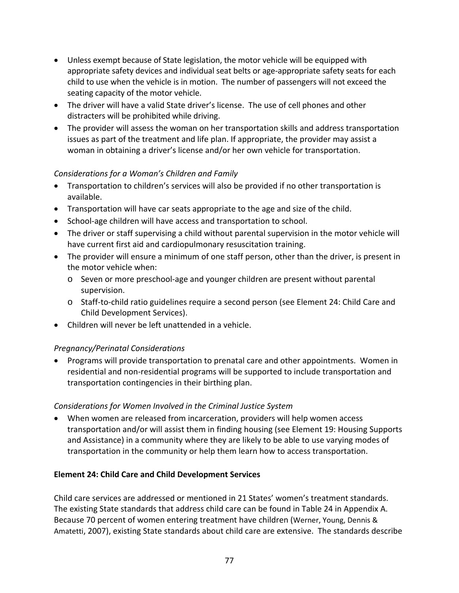- Unless exempt because of State legislation, the motor vehicle will be equipped with appropriate safety devices and individual seat belts or age-appropriate safety seats for each child to use when the vehicle is in motion. The number of passengers will not exceed the seating capacity of the motor vehicle.
- The driver will have a valid State driver's license. The use of cell phones and other distracters will be prohibited while driving.
- The provider will assess the woman on her transportation skills and address transportation issues as part of the treatment and life plan. If appropriate, the provider may assist a woman in obtaining a driver's license and/or her own vehicle for transportation.

### *Considerations for a Woman's Children and Family*

- Transportation to children's services will also be provided if no other transportation is available.
- Transportation will have car seats appropriate to the age and size of the child.
- School-age children will have access and transportation to school.
- The driver or staff supervising a child without parental supervision in the motor vehicle will have current first aid and cardiopulmonary resuscitation training.
- The provider will ensure a minimum of one staff person, other than the driver, is present in the motor vehicle when:
	- o Seven or more preschool‐age and younger children are present without parental supervision.
	- o Staff‐to‐child ratio guidelines require a second person (see Element 24: Child Care and Child Development Services).
- Children will never be left unattended in a vehicle.

# *Pregnancy/Perinatal Considerations*

• Programs will provide transportation to prenatal care and other appointments. Women in residential and non‐residential programs will be supported to include transportation and transportation contingencies in their birthing plan.

### *Considerations for Women Involved in the Criminal Justice System*

• When women are released from incarceration, providers will help women access transportation and/or will assist them in finding housing (see Element 19: Housing Supports and Assistance) in a community where they are likely to be able to use varying modes of transportation in the community or help them learn how to access transportation.

### **Element 24: Child Care and Child Development Services**

Child care services are addressed or mentioned in 21 States' women's treatment standards. The existing State standards that address child care can be found in Table 24 in Appendix A. Because 70 percent of women entering treatment have children (Werner, Young, Dennis & Amatetti, 2007), existing State standards about child care are extensive. The standards describe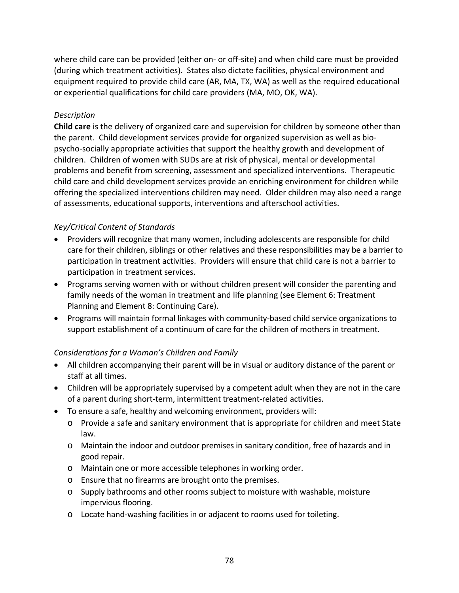where child care can be provided (either on- or off-site) and when child care must be provided (during which treatment activities). States also dictate facilities, physical environment and equipment required to provide child care (AR, MA, TX, WA) as well as the required educational or experiential qualifications for child care providers (MA, MO, OK, WA).

### *Description*

**Child care** is the delivery of organized care and supervision for children by someone other than the parent. Child development services provide for organized supervision as well as bio‐ psycho‐socially appropriate activities that support the healthy growth and development of children. Children of women with SUDs are at risk of physical, mental or developmental problems and benefit from screening, assessment and specialized interventions. Therapeutic child care and child development services provide an enriching environment for children while offering the specialized interventions children may need. Older children may also need a range of assessments, educational supports, interventions and afterschool activities.

# *Key/Critical Content of Standards*

- Providers will recognize that many women, including adolescents are responsible for child care for their children, siblings or other relatives and these responsibilities may be a barrier to participation in treatment activities. Providers will ensure that child care is not a barrier to participation in treatment services.
- Programs serving women with or without children present will consider the parenting and family needs of the woman in treatment and life planning (see Element 6: Treatment Planning and Element 8: Continuing Care).
- Programs will maintain formal linkages with community‐based child service organizations to support establishment of a continuum of care for the children of mothers in treatment.

# *Considerations for a Woman's Children and Family*

- All children accompanying their parent will be in visual or auditory distance of the parent or staff at all times.
- Children will be appropriately supervised by a competent adult when they are not in the care of a parent during short‐term, intermittent treatment‐related activities.
- To ensure a safe, healthy and welcoming environment, providers will:
	- o Provide a safe and sanitary environment that is appropriate for children and meet State law.
	- o Maintain the indoor and outdoor premises in sanitary condition, free of hazards and in good repair.
	- o Maintain one or more accessible telephones in working order.
	- o Ensure that no firearms are brought onto the premises.
	- o Supply bathrooms and other rooms subject to moisture with washable, moisture impervious flooring.
	- o Locate hand‐washing facilities in or adjacent to rooms used for toileting.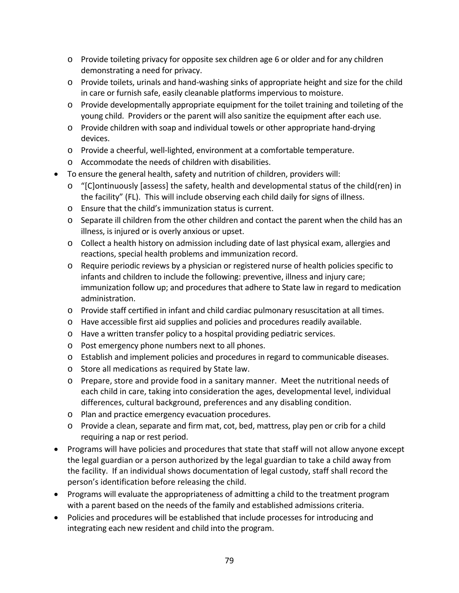- o Provide toileting privacy for opposite sex children age 6 or older and for any children demonstrating a need for privacy.
- o Provide toilets, urinals and hand‐washing sinks of appropriate height and size for the child in care or furnish safe, easily cleanable platforms impervious to moisture.
- o Provide developmentally appropriate equipment for the toilet training and toileting of the young child. Providers or the parent will also sanitize the equipment after each use.
- o Provide children with soap and individual towels or other appropriate hand‐drying devices.
- o Provide a cheerful, well‐lighted, environment at a comfortable temperature.
- o Accommodate the needs of children with disabilities.
- To ensure the general health, safety and nutrition of children, providers will:
	- o "[C]ontinuously [assess] the safety, health and developmental status of the child(ren) in the facility" (FL). This will include observing each child daily for signs of illness.
	- o Ensure that the child's immunization status is current.
	- $\circ$  Separate ill children from the other children and contact the parent when the child has an illness, is injured or is overly anxious or upset.
	- o Collect a health history on admission including date of last physical exam, allergies and reactions, special health problems and immunization record.
	- o Require periodic reviews by a physician or registered nurse of health policies specific to infants and children to include the following: preventive, illness and injury care; immunization follow up; and procedures that adhere to State law in regard to medication administration.
	- o Provide staff certified in infant and child cardiac pulmonary resuscitation at all times.
	- o Have accessible first aid supplies and policies and procedures readily available.
	- o Have a written transfer policy to a hospital providing pediatric services.
	- o Post emergency phone numbers next to all phones.
	- o Establish and implement policies and procedures in regard to communicable diseases.
	- o Store all medications as required by State law.
	- o Prepare, store and provide food in a sanitary manner. Meet the nutritional needs of each child in care, taking into consideration the ages, developmental level, individual differences, cultural background, preferences and any disabling condition.
	- o Plan and practice emergency evacuation procedures.
	- o Provide a clean, separate and firm mat, cot, bed, mattress, play pen or crib for a child requiring a nap or rest period.
- Programs will have policies and procedures that state that staff will not allow anyone except the legal guardian or a person authorized by the legal guardian to take a child away from the facility. If an individual shows documentation of legal custody, staff shall record the person's identification before releasing the child.
- Programs will evaluate the appropriateness of admitting a child to the treatment program with a parent based on the needs of the family and established admissions criteria.
- Policies and procedures will be established that include processes for introducing and integrating each new resident and child into the program.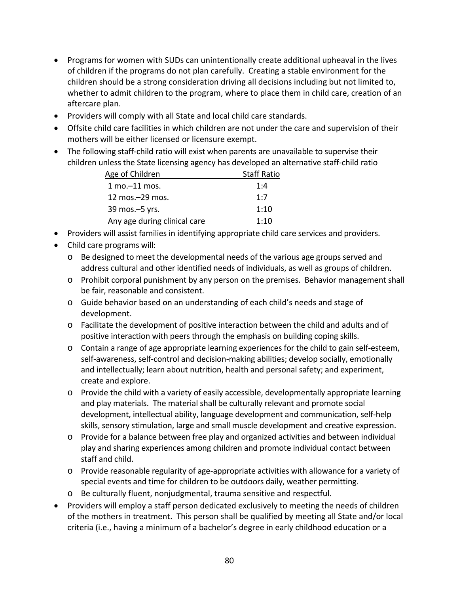- Programs for women with SUDs can unintentionally create additional upheaval in the lives of children if the programs do not plan carefully. Creating a stable environment for the children should be a strong consideration driving all decisions including but not limited to, whether to admit children to the program, where to place them in child care, creation of an aftercare plan.
- Providers will comply with all State and local child care standards.
- Offsite child care facilities in which children are not under the care and supervision of their mothers will be either licensed or licensure exempt.
- The following staff-child ratio will exist when parents are unavailable to supervise their children unless the State licensing agency has developed an alternative staff‐child ratio

| Age of Children                   | <b>Staff Ratio</b> |
|-----------------------------------|--------------------|
| $1 \text{ mo} - 11 \text{ mos}$ . | 1:4                |
| 12 mos. - 29 mos.                 | 1:7                |
| 39 mos. - 5 yrs.                  | 1:10               |
| Any age during clinical care      | 1:10               |

- Providers will assist families in identifying appropriate child care services and providers.
- Child care programs will:
	- o Be designed to meet the developmental needs of the various age groups served and address cultural and other identified needs of individuals, as well as groups of children.
	- o Prohibit corporal punishment by any person on the premises. Behavior management shall be fair, reasonable and consistent.
	- o Guide behavior based on an understanding of each child's needs and stage of development.
	- o Facilitate the development of positive interaction between the child and adults and of positive interaction with peers through the emphasis on building coping skills.
	- o Contain a range of age appropriate learning experiences for the child to gain self‐esteem, self‐awareness, self‐control and decision‐making abilities; develop socially, emotionally and intellectually; learn about nutrition, health and personal safety; and experiment, create and explore.
	- $\circ$  Provide the child with a variety of easily accessible, developmentally appropriate learning and play materials. The material shall be culturally relevant and promote social development, intellectual ability, language development and communication, self‐help skills, sensory stimulation, large and small muscle development and creative expression.
	- o Provide for a balance between free play and organized activities and between individual play and sharing experiences among children and promote individual contact between staff and child.
	- o Provide reasonable regularity of age‐appropriate activities with allowance for a variety of special events and time for children to be outdoors daily, weather permitting.
	- o Be culturally fluent, nonjudgmental, trauma sensitive and respectful.
- Providers will employ a staff person dedicated exclusively to meeting the needs of children of the mothers in treatment. This person shall be qualified by meeting all State and/or local criteria (i.e., having a minimum of a bachelor's degree in early childhood education or a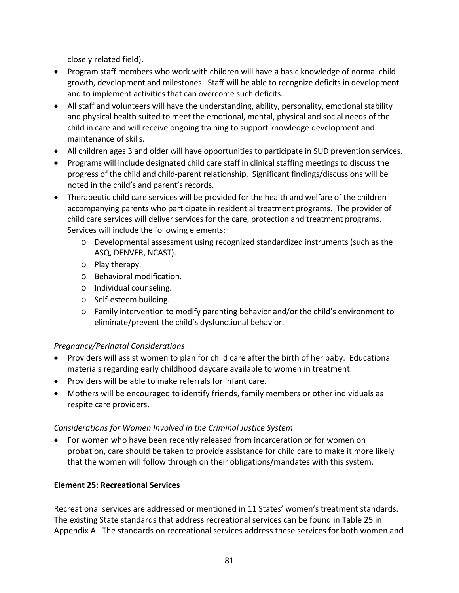closely related field).

- Program staff members who work with children will have a basic knowledge of normal child growth, development and milestones. Staff will be able to recognize deficits in development and to implement activities that can overcome such deficits.
- All staff and volunteers will have the understanding, ability, personality, emotional stability and physical health suited to meet the emotional, mental, physical and social needs of the child in care and will receive ongoing training to support knowledge development and maintenance of skills.
- All children ages 3 and older will have opportunities to participate in SUD prevention services.
- Programs will include designated child care staff in clinical staffing meetings to discuss the progress of the child and child‐parent relationship. Significant findings/discussions will be noted in the child's and parent's records.
- Therapeutic child care services will be provided for the health and welfare of the children accompanying parents who participate in residential treatment programs. The provider of child care services will deliver services for the care, protection and treatment programs. Services will include the following elements:
	- o Developmental assessment using recognized standardized instruments (such as the ASQ, DENVER, NCAST).
	- o Play therapy.
	- o Behavioral modification.
	- o Individual counseling.
	- o Self‐esteem building.
	- o Family intervention to modify parenting behavior and/or the child's environment to eliminate/prevent the child's dysfunctional behavior.

# *Pregnancy/Perinatal Considerations*

- Providers will assist women to plan for child care after the birth of her baby. Educational materials regarding early childhood daycare available to women in treatment.
- Providers will be able to make referrals for infant care.
- Mothers will be encouraged to identify friends, family members or other individuals as respite care providers.

# *Considerations for Women Involved in the Criminal Justice System*

• For women who have been recently released from incarceration or for women on probation, care should be taken to provide assistance for child care to make it more likely that the women will follow through on their obligations/mandates with this system.

# **Element 25: Recreational Services**

Recreational services are addressed or mentioned in 11 States' women's treatment standards. The existing State standards that address recreational services can be found in Table 25 in Appendix A. The standards on recreational services address these services for both women and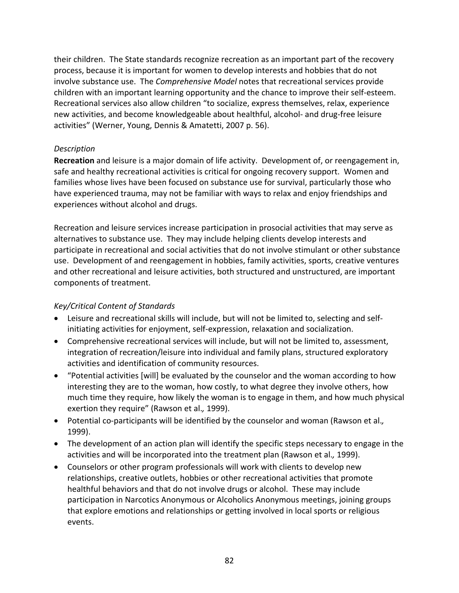their children. The State standards recognize recreation as an important part of the recovery process, because it is important for women to develop interests and hobbies that do not involve substance use. The *Comprehensive Model* notes that recreational services provide children with an important learning opportunity and the chance to improve their self‐esteem. Recreational services also allow children "to socialize, express themselves, relax, experience new activities, and become knowledgeable about healthful, alcohol‐ and drug‐free leisure activities" (Werner, Young, Dennis & Amatetti, 2007 p. 56).

#### *Description*

**Recreation** and leisure is a major domain of life activity. Development of, or reengagement in, safe and healthy recreational activities is critical for ongoing recovery support. Women and families whose lives have been focused on substance use for survival, particularly those who have experienced trauma, may not be familiar with ways to relax and enjoy friendships and experiences without alcohol and drugs.

Recreation and leisure services increase participation in prosocial activities that may serve as alternatives to substance use. They may include helping clients develop interests and participate in recreational and social activities that do not involve stimulant or other substance use. Development of and reengagement in hobbies, family activities, sports, creative ventures and other recreational and leisure activities, both structured and unstructured, are important components of treatment.

# *Key/Critical Content of Standards*

- Leisure and recreational skills will include, but will not be limited to, selecting and selfinitiating activities for enjoyment, self‐expression, relaxation and socialization.
- Comprehensive recreational services will include, but will not be limited to, assessment, integration of recreation/leisure into individual and family plans, structured exploratory activities and identification of community resources.
- "Potential activities [will] be evaluated by the counselor and the woman according to how interesting they are to the woman, how costly, to what degree they involve others, how much time they require, how likely the woman is to engage in them, and how much physical exertion they require" (Rawson et al.*,* 1999).
- Potential co‐participants will be identified by the counselor and woman (Rawson et al.*,* 1999).
- The development of an action plan will identify the specific steps necessary to engage in the activities and will be incorporated into the treatment plan (Rawson et al.*,* 1999).
- Counselors or other program professionals will work with clients to develop new relationships, creative outlets, hobbies or other recreational activities that promote healthful behaviors and that do not involve drugs or alcohol. These may include participation in Narcotics Anonymous or Alcoholics Anonymous meetings, joining groups that explore emotions and relationships or getting involved in local sports or religious events.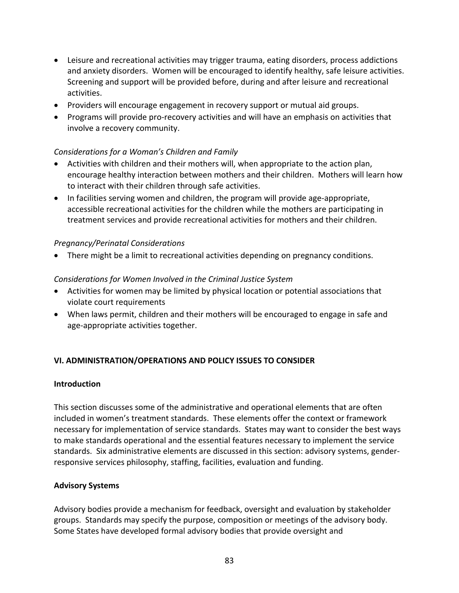- Leisure and recreational activities may trigger trauma, eating disorders, process addictions and anxiety disorders. Women will be encouraged to identify healthy, safe leisure activities. Screening and support will be provided before, during and after leisure and recreational activities.
- Providers will encourage engagement in recovery support or mutual aid groups.
- Programs will provide pro‐recovery activities and will have an emphasis on activities that involve a recovery community.

#### *Considerations for a Woman's Children and Family*

- Activities with children and their mothers will, when appropriate to the action plan, encourage healthy interaction between mothers and their children. Mothers will learn how to interact with their children through safe activities.
- In facilities serving women and children, the program will provide age-appropriate, accessible recreational activities for the children while the mothers are participating in treatment services and provide recreational activities for mothers and their children.

#### *Pregnancy/Perinatal Considerations*

• There might be a limit to recreational activities depending on pregnancy conditions.

#### *Considerations for Women Involved in the Criminal Justice System*

- Activities for women may be limited by physical location or potential associations that violate court requirements
- When laws permit, children and their mothers will be encouraged to engage in safe and age‐appropriate activities together.

### **VI. ADMINISTRATION/OPERATIONS AND POLICY ISSUES TO CONSIDER**

#### **Introduction**

This section discusses some of the administrative and operational elements that are often included in women's treatment standards. These elements offer the context or framework necessary for implementation of service standards. States may want to consider the best ways to make standards operational and the essential features necessary to implement the service standards. Six administrative elements are discussed in this section: advisory systems, gender‐ responsive services philosophy, staffing, facilities, evaluation and funding.

#### **Advisory Systems**

Advisory bodies provide a mechanism for feedback, oversight and evaluation by stakeholder groups. Standards may specify the purpose, composition or meetings of the advisory body. Some States have developed formal advisory bodies that provide oversight and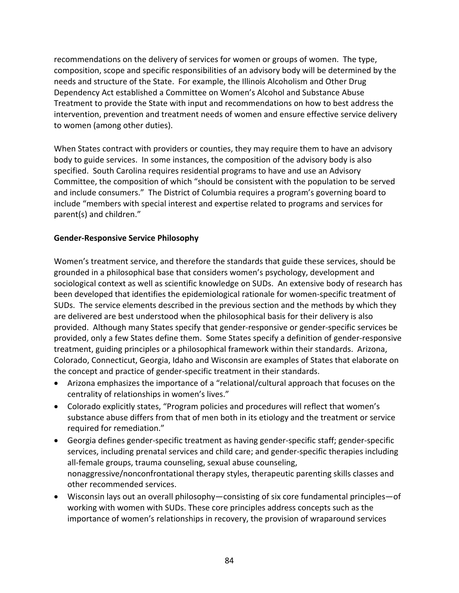recommendations on the delivery of services for women or groups of women. The type, composition, scope and specific responsibilities of an advisory body will be determined by the needs and structure of the State. For example, the Illinois Alcoholism and Other Drug Dependency Act established a Committee on Women's Alcohol and Substance Abuse Treatment to provide the State with input and recommendations on how to best address the intervention, prevention and treatment needs of women and ensure effective service delivery to women (among other duties).

When States contract with providers or counties, they may require them to have an advisory body to guide services. In some instances, the composition of the advisory body is also specified. South Carolina requires residential programs to have and use an Advisory Committee, the composition of which "should be consistent with the population to be served and include consumers." The District of Columbia requires a program's governing board to include "members with special interest and expertise related to programs and services for parent(s) and children."

### **Gender‐Responsive Service Philosophy**

Women's treatment service, and therefore the standards that guide these services, should be grounded in a philosophical base that considers women's psychology, development and sociological context as well as scientific knowledge on SUDs. An extensive body of research has been developed that identifies the epidemiological rationale for women‐specific treatment of SUDs. The service elements described in the previous section and the methods by which they are delivered are best understood when the philosophical basis for their delivery is also provided. Although many States specify that gender‐responsive or gender‐specific services be provided, only a few States define them. Some States specify a definition of gender‐responsive treatment, guiding principles or a philosophical framework within their standards. Arizona, Colorado, Connecticut, Georgia, Idaho and Wisconsin are examples of States that elaborate on the concept and practice of gender‐specific treatment in their standards.

- Arizona emphasizes the importance of a "relational/cultural approach that focuses on the centrality of relationships in women's lives."
- Colorado explicitly states, "Program policies and procedures will reflect that women's substance abuse differs from that of men both in its etiology and the treatment or service required for remediation."
- Georgia defines gender‐specific treatment as having gender‐specific staff; gender‐specific services, including prenatal services and child care; and gender‐specific therapies including all-female groups, trauma counseling, sexual abuse counseling, nonaggressive/nonconfrontational therapy styles, therapeutic parenting skills classes and other recommended services.
- Wisconsin lays out an overall philosophy—consisting of six core fundamental principles—of working with women with SUDs. These core principles address concepts such as the importance of women's relationships in recovery, the provision of wraparound services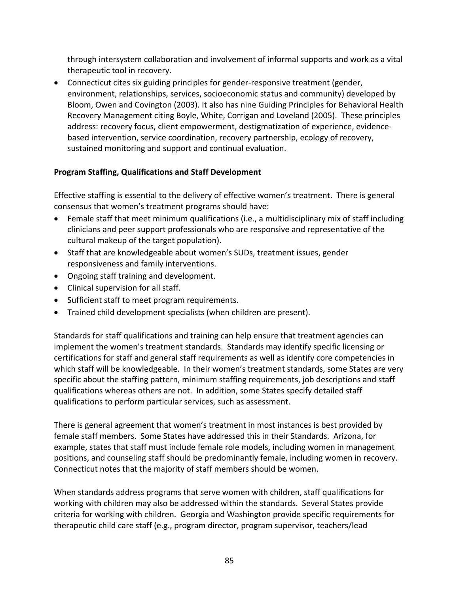through intersystem collaboration and involvement of informal supports and work as a vital therapeutic tool in recovery.

• Connecticut cites six guiding principles for gender-responsive treatment (gender, environment, relationships, services, socioeconomic status and community) developed by Bloom, Owen and Covington (2003). It also has nine Guiding Principles for Behavioral Health Recovery Management citing Boyle, White, Corrigan and Loveland (2005). These principles address: recovery focus, client empowerment, destigmatization of experience, evidence‐ based intervention, service coordination, recovery partnership, ecology of recovery, sustained monitoring and support and continual evaluation.

# **Program Staffing, Qualifications and Staff Development**

Effective staffing is essential to the delivery of effective women's treatment. There is general consensus that women's treatment programs should have:

- Female staff that meet minimum qualifications (i.e., a multidisciplinary mix of staff including clinicians and peer support professionals who are responsive and representative of the cultural makeup of the target population).
- Staff that are knowledgeable about women's SUDs, treatment issues, gender responsiveness and family interventions.
- Ongoing staff training and development.
- Clinical supervision for all staff.
- Sufficient staff to meet program requirements.
- Trained child development specialists (when children are present).

Standards for staff qualifications and training can help ensure that treatment agencies can implement the women's treatment standards. Standards may identify specific licensing or certifications for staff and general staff requirements as well as identify core competencies in which staff will be knowledgeable. In their women's treatment standards, some States are very specific about the staffing pattern, minimum staffing requirements, job descriptions and staff qualifications whereas others are not. In addition, some States specify detailed staff qualifications to perform particular services, such as assessment.

There is general agreement that women's treatment in most instances is best provided by female staff members. Some States have addressed this in their Standards. Arizona, for example, states that staff must include female role models, including women in management positions, and counseling staff should be predominantly female, including women in recovery. Connecticut notes that the majority of staff members should be women.

When standards address programs that serve women with children, staff qualifications for working with children may also be addressed within the standards. Several States provide criteria for working with children. Georgia and Washington provide specific requirements for therapeutic child care staff (e.g., program director, program supervisor, teachers/lead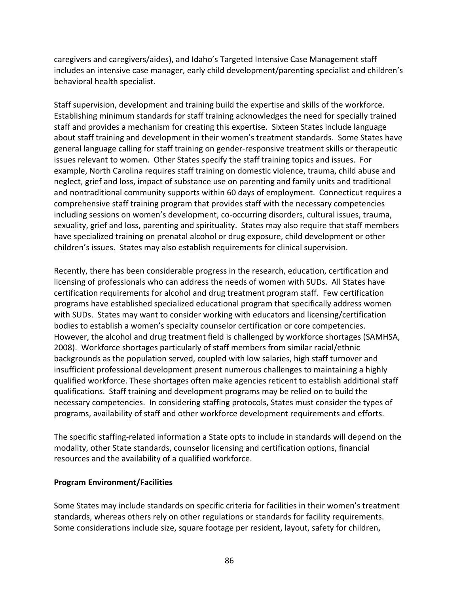caregivers and caregivers/aides), and Idaho's Targeted Intensive Case Management staff includes an intensive case manager, early child development/parenting specialist and children's behavioral health specialist.

Staff supervision, development and training build the expertise and skills of the workforce. Establishing minimum standards for staff training acknowledges the need for specially trained staff and provides a mechanism for creating this expertise. Sixteen States include language about staff training and development in their women's treatment standards. Some States have general language calling for staff training on gender‐responsive treatment skills or therapeutic issues relevant to women. Other States specify the staff training topics and issues. For example, North Carolina requires staff training on domestic violence, trauma, child abuse and neglect, grief and loss, impact of substance use on parenting and family units and traditional and nontraditional community supports within 60 days of employment. Connecticut requires a comprehensive staff training program that provides staff with the necessary competencies including sessions on women's development, co‐occurring disorders, cultural issues, trauma, sexuality, grief and loss, parenting and spirituality. States may also require that staff members have specialized training on prenatal alcohol or drug exposure, child development or other children's issues. States may also establish requirements for clinical supervision.

Recently, there has been considerable progress in the research, education, certification and licensing of professionals who can address the needs of women with SUDs. All States have certification requirements for alcohol and drug treatment program staff. Few certification programs have established specialized educational program that specifically address women with SUDs. States may want to consider working with educators and licensing/certification bodies to establish a women's specialty counselor certification or core competencies. However, the alcohol and drug treatment field is challenged by workforce shortages (SAMHSA, 2008). Workforce shortages particularly of staff members from similar racial/ethnic backgrounds as the population served, coupled with low salaries, high staff turnover and insufficient professional development present numerous challenges to maintaining a highly qualified workforce. These shortages often make agencies reticent to establish additional staff qualifications. Staff training and development programs may be relied on to build the necessary competencies. In considering staffing protocols, States must consider the types of programs, availability of staff and other workforce development requirements and efforts.

The specific staffing‐related information a State opts to include in standards will depend on the modality, other State standards, counselor licensing and certification options, financial resources and the availability of a qualified workforce.

#### **Program Environment/Facilities**

Some States may include standards on specific criteria for facilities in their women's treatment standards, whereas others rely on other regulations or standards for facility requirements. Some considerations include size, square footage per resident, layout, safety for children,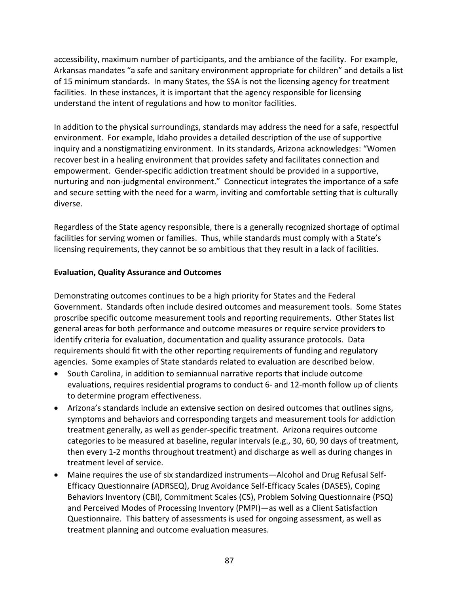accessibility, maximum number of participants, and the ambiance of the facility. For example, Arkansas mandates "a safe and sanitary environment appropriate for children" and details a list of 15 minimum standards. In many States, the SSA is not the licensing agency for treatment facilities. In these instances, it is important that the agency responsible for licensing understand the intent of regulations and how to monitor facilities.

In addition to the physical surroundings, standards may address the need for a safe, respectful environment. For example, Idaho provides a detailed description of the use of supportive inquiry and a nonstigmatizing environment. In its standards, Arizona acknowledges: "Women recover best in a healing environment that provides safety and facilitates connection and empowerment. Gender‐specific addiction treatment should be provided in a supportive, nurturing and non-judgmental environment." Connecticut integrates the importance of a safe and secure setting with the need for a warm, inviting and comfortable setting that is culturally diverse.

Regardless of the State agency responsible, there is a generally recognized shortage of optimal facilities for serving women or families. Thus, while standards must comply with a State's licensing requirements, they cannot be so ambitious that they result in a lack of facilities.

### **Evaluation, Quality Assurance and Outcomes**

Demonstrating outcomes continues to be a high priority for States and the Federal Government. Standards often include desired outcomes and measurement tools. Some States proscribe specific outcome measurement tools and reporting requirements. Other States list general areas for both performance and outcome measures or require service providers to identify criteria for evaluation, documentation and quality assurance protocols. Data requirements should fit with the other reporting requirements of funding and regulatory agencies. Some examples of State standards related to evaluation are described below.

- South Carolina, in addition to semiannual narrative reports that include outcome evaluations, requires residential programs to conduct 6‐ and 12‐month follow up of clients to determine program effectiveness.
- Arizona's standards include an extensive section on desired outcomes that outlines signs, symptoms and behaviors and corresponding targets and measurement tools for addiction treatment generally, as well as gender‐specific treatment. Arizona requires outcome categories to be measured at baseline, regular intervals (e.g., 30, 60, 90 days of treatment, then every 1‐2 months throughout treatment) and discharge as well as during changes in treatment level of service.
- Maine requires the use of six standardized instruments—Alcohol and Drug Refusal Self‐ Efficacy Questionnaire (ADRSEQ), Drug Avoidance Self‐Efficacy Scales (DASES), Coping Behaviors Inventory (CBI), Commitment Scales (CS), Problem Solving Questionnaire (PSQ) and Perceived Modes of Processing Inventory (PMPI)—as well as a Client Satisfaction Questionnaire. This battery of assessments is used for ongoing assessment, as well as treatment planning and outcome evaluation measures.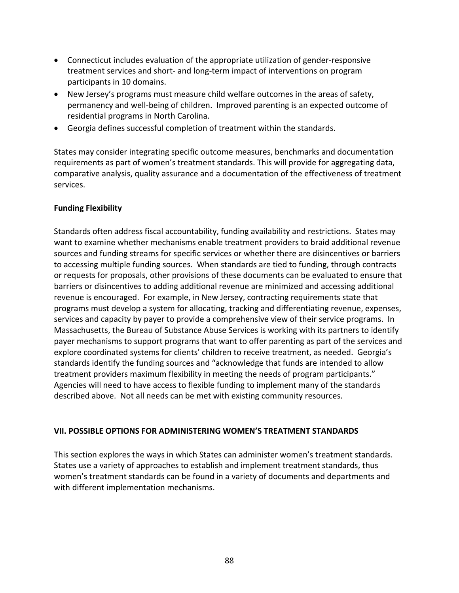- Connecticut includes evaluation of the appropriate utilization of gender‐responsive treatment services and short‐ and long‐term impact of interventions on program participants in 10 domains.
- New Jersey's programs must measure child welfare outcomes in the areas of safety, permanency and well‐being of children. Improved parenting is an expected outcome of residential programs in North Carolina.
- Georgia defines successful completion of treatment within the standards.

States may consider integrating specific outcome measures, benchmarks and documentation requirements as part of women's treatment standards. This will provide for aggregating data, comparative analysis, quality assurance and a documentation of the effectiveness of treatment services.

### **Funding Flexibility**

Standards often address fiscal accountability, funding availability and restrictions. States may want to examine whether mechanisms enable treatment providers to braid additional revenue sources and funding streams for specific services or whether there are disincentives or barriers to accessing multiple funding sources. When standards are tied to funding, through contracts or requests for proposals, other provisions of these documents can be evaluated to ensure that barriers or disincentives to adding additional revenue are minimized and accessing additional revenue is encouraged. For example, in New Jersey, contracting requirements state that programs must develop a system for allocating, tracking and differentiating revenue, expenses, services and capacity by payer to provide a comprehensive view of their service programs. In Massachusetts, the Bureau of Substance Abuse Services is working with its partners to identify payer mechanisms to support programs that want to offer parenting as part of the services and explore coordinated systems for clients' children to receive treatment, as needed. Georgia's standards identify the funding sources and "acknowledge that funds are intended to allow treatment providers maximum flexibility in meeting the needs of program participants." Agencies will need to have access to flexible funding to implement many of the standards described above. Not all needs can be met with existing community resources.

### **VII. POSSIBLE OPTIONS FOR ADMINISTERING WOMEN'S TREATMENT STANDARDS**

This section explores the ways in which States can administer women's treatment standards. States use a variety of approaches to establish and implement treatment standards, thus women's treatment standards can be found in a variety of documents and departments and with different implementation mechanisms.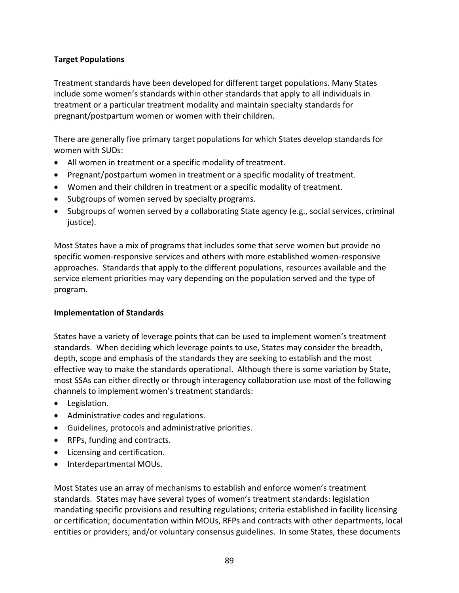### **Target Populations**

Treatment standards have been developed for different target populations. Many States include some women's standards within other standards that apply to all individuals in treatment or a particular treatment modality and maintain specialty standards for pregnant/postpartum women or women with their children.

There are generally five primary target populations for which States develop standards for women with SUDs:

- All women in treatment or a specific modality of treatment.
- Pregnant/postpartum women in treatment or a specific modality of treatment.
- Women and their children in treatment or a specific modality of treatment.
- Subgroups of women served by specialty programs.
- Subgroups of women served by a collaborating State agency (e.g., social services, criminal justice).

Most States have a mix of programs that includes some that serve women but provide no specific women‐responsive services and others with more established women‐responsive approaches. Standards that apply to the different populations, resources available and the service element priorities may vary depending on the population served and the type of program.

### **Implementation of Standards**

States have a variety of leverage points that can be used to implement women's treatment standards. When deciding which leverage points to use, States may consider the breadth, depth, scope and emphasis of the standards they are seeking to establish and the most effective way to make the standards operational. Although there is some variation by State, most SSAs can either directly or through interagency collaboration use most of the following channels to implement women's treatment standards:

- Legislation.
- Administrative codes and regulations.
- Guidelines, protocols and administrative priorities.
- RFPs, funding and contracts.
- Licensing and certification.
- Interdepartmental MOUs.

Most States use an array of mechanisms to establish and enforce women's treatment standards. States may have several types of women's treatment standards: legislation mandating specific provisions and resulting regulations; criteria established in facility licensing or certification; documentation within MOUs, RFPs and contracts with other departments, local entities or providers; and/or voluntary consensus guidelines. In some States, these documents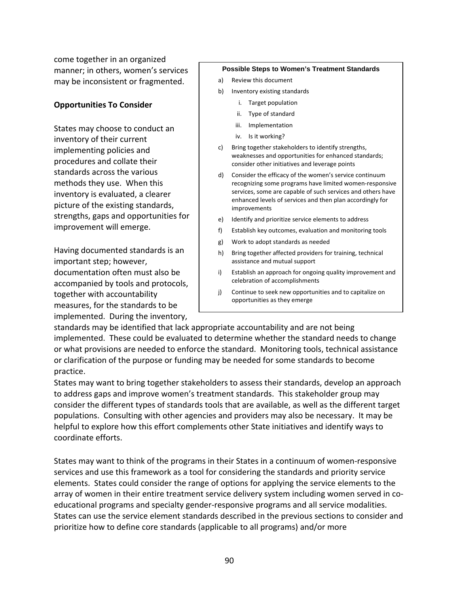come together in an organized manner; in others, women's services may be inconsistent or fragmented.

#### **Opportunities To Consider**

States may choose to conduct an inventory of their current implementing policies and procedures and collate their standards across the various methods they use. When this inventory is evaluated, a clearer picture of the existing standards, strengths, gaps and opportunities for improvement will emerge.

Having documented standards is an important step; however, documentation often must also be accompanied by tools and protocols, together with accountability measures, for the standards to be implemented. During the inventory,

#### **Possible Steps to Women's Treatment Standards**

- a) Review this document
- b) Inventory existing standards
	- i. Target population
	- ii. Type of standard
	- iii. Implementation
	- iv. Is it working?
- c) Bring together stakeholders to identify strengths, weaknesses and opportunities for enhanced standards; consider other initiatives and leverage points
- d) Consider the efficacy of the women's service continuum recognizing some programs have limited women‐responsive services, some are capable of such services and others have enhanced levels of services and then plan accordingly for improvements
- e) Identify and prioritize service elements to address
- f) Establish key outcomes, evaluation and monitoring tools
- g) Work to adopt standards as needed
- h) Bring together affected providers for training, technical assistance and mutual support
- i) Establish an approach for ongoing quality improvement and celebration of accomplishments
- j) Continue to seek new opportunities and to capitalize on opportunities as they emerge

standards may be identified that lack appropriate accountability and are not being implemented. These could be evaluated to determine whether the standard needs to change or what provisions are needed to enforce the standard. Monitoring tools, technical assistance or clarification of the purpose or funding may be needed for some standards to become practice.

States may want to bring together stakeholders to assess their standards, develop an approach to address gaps and improve women's treatment standards. This stakeholder group may consider the different types of standards tools that are available, as well as the different target populations. Consulting with other agencies and providers may also be necessary. It may be helpful to explore how this effort complements other State initiatives and identify ways to coordinate efforts.

States may want to think of the programs in their States in a continuum of women‐responsive services and use this framework as a tool for considering the standards and priority service elements. States could consider the range of options for applying the service elements to the array of women in their entire treatment service delivery system including women served in coeducational programs and specialty gender‐responsive programs and all service modalities. States can use the service element standards described in the previous sections to consider and prioritize how to define core standards (applicable to all programs) and/or more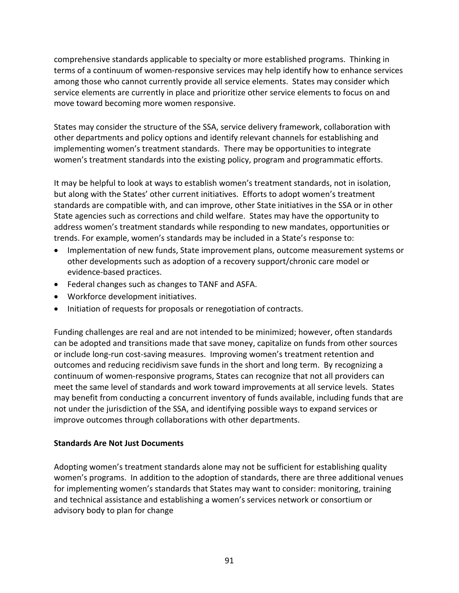comprehensive standards applicable to specialty or more established programs. Thinking in terms of a continuum of women‐responsive services may help identify how to enhance services among those who cannot currently provide all service elements. States may consider which service elements are currently in place and prioritize other service elements to focus on and move toward becoming more women responsive.

States may consider the structure of the SSA, service delivery framework, collaboration with other departments and policy options and identify relevant channels for establishing and implementing women's treatment standards. There may be opportunities to integrate women's treatment standards into the existing policy, program and programmatic efforts.

It may be helpful to look at ways to establish women's treatment standards, not in isolation, but along with the States' other current initiatives. Efforts to adopt women's treatment standards are compatible with, and can improve, other State initiatives in the SSA or in other State agencies such as corrections and child welfare. States may have the opportunity to address women's treatment standards while responding to new mandates, opportunities or trends. For example, women's standards may be included in a State's response to:

- Implementation of new funds, State improvement plans, outcome measurement systems or other developments such as adoption of a recovery support/chronic care model or evidence‐based practices.
- Federal changes such as changes to TANF and ASFA.
- Workforce development initiatives.
- Initiation of requests for proposals or renegotiation of contracts.

Funding challenges are real and are not intended to be minimized; however, often standards can be adopted and transitions made that save money, capitalize on funds from other sources or include long‐run cost‐saving measures. Improving women's treatment retention and outcomes and reducing recidivism save funds in the short and long term. By recognizing a continuum of women‐responsive programs, States can recognize that not all providers can meet the same level of standards and work toward improvements at all service levels. States may benefit from conducting a concurrent inventory of funds available, including funds that are not under the jurisdiction of the SSA, and identifying possible ways to expand services or improve outcomes through collaborations with other departments.

### **Standards Are Not Just Documents**

Adopting women's treatment standards alone may not be sufficient for establishing quality women's programs. In addition to the adoption of standards, there are three additional venues for implementing women's standards that States may want to consider: monitoring, training and technical assistance and establishing a women's services network or consortium or advisory body to plan for change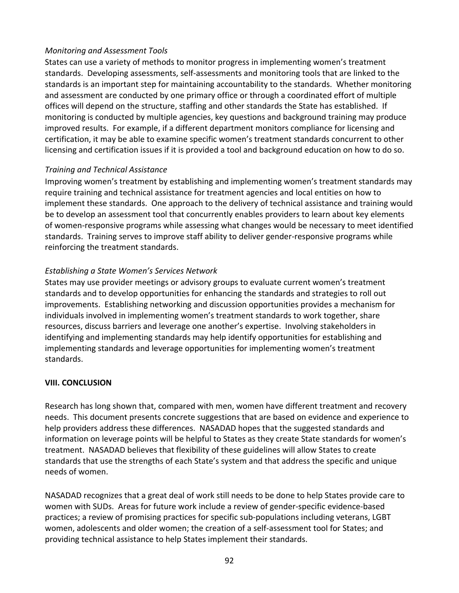### *Monitoring and Assessment Tools*

States can use a variety of methods to monitor progress in implementing women's treatment standards. Developing assessments, self‐assessments and monitoring tools that are linked to the standards is an important step for maintaining accountability to the standards. Whether monitoring and assessment are conducted by one primary office or through a coordinated effort of multiple offices will depend on the structure, staffing and other standards the State has established. If monitoring is conducted by multiple agencies, key questions and background training may produce improved results. For example, if a different department monitors compliance for licensing and certification, it may be able to examine specific women's treatment standards concurrent to other licensing and certification issues if it is provided a tool and background education on how to do so.

### *Training and Technical Assistance*

Improving women's treatment by establishing and implementing women's treatment standards may require training and technical assistance for treatment agencies and local entities on how to implement these standards. One approach to the delivery of technical assistance and training would be to develop an assessment tool that concurrently enables providers to learn about key elements of women‐responsive programs while assessing what changes would be necessary to meet identified standards. Training serves to improve staff ability to deliver gender‐responsive programs while reinforcing the treatment standards.

### *Establishing a State Women's Services Network*

States may use provider meetings or advisory groups to evaluate current women's treatment standards and to develop opportunities for enhancing the standards and strategies to roll out improvements. Establishing networking and discussion opportunities provides a mechanism for individuals involved in implementing women's treatment standards to work together, share resources, discuss barriers and leverage one another's expertise. Involving stakeholders in identifying and implementing standards may help identify opportunities for establishing and implementing standards and leverage opportunities for implementing women's treatment standards.

### **VIII. CONCLUSION**

Research has long shown that, compared with men, women have different treatment and recovery needs. This document presents concrete suggestions that are based on evidence and experience to help providers address these differences. NASADAD hopes that the suggested standards and information on leverage points will be helpful to States as they create State standards for women's treatment. NASADAD believes that flexibility of these guidelines will allow States to create standards that use the strengths of each State's system and that address the specific and unique needs of women.

NASADAD recognizes that a great deal of work still needs to be done to help States provide care to women with SUDs. Areas for future work include a review of gender‐specific evidence‐based practices; a review of promising practices for specific sub‐populations including veterans, LGBT women, adolescents and older women; the creation of a self‐assessment tool for States; and providing technical assistance to help States implement their standards.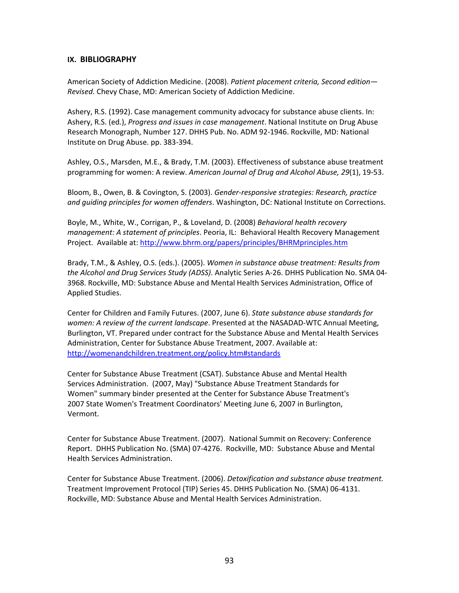#### **IX. BIBLIOGRAPHY**

American Society of Addiction Medicine. (2008). *Patient placement criteria, Second edition— Revised*. Chevy Chase, MD: American Society of Addiction Medicine.

Ashery, R.S. (1992). Case management community advocacy for substance abuse clients. In: Ashery, R.S. (ed*.*), *Progress and issues in case management*. National Institute on Drug Abuse Research Monograph, Number 127. DHHS Pub. No. ADM 92‐1946. Rockville, MD: National Institute on Drug Abuse. pp. 383‐394.

Ashley, O.S., Marsden, M.E., & Brady, T.M. (2003). Effectiveness of substance abuse treatment programming for women: A review. *American Journal of Drug and Alcohol Abuse, 29*(1), 19‐53.

Bloom, B., Owen, B. & Covington, S. (2003). *Gender‐responsive strategies: Research, practice and guiding principles for women offenders*. Washington, DC: National Institute on Corrections.

Boyle, M., White, W., Corrigan, P., & Loveland, D. (2008) *Behavioral health recovery management: A statement of principles*. Peoria, IL: Behavioral Health Recovery Management Project. Available at: <http://www.bhrm.org/papers/principles/BHRMprinciples.htm>

Brady, T.M., & Ashley, O.S. (eds.). (2005). *Women in substance abuse treatment: Results from the Alcohol and Drug Services Study (ADSS)*. Analytic Series A‐26. DHHS Publication No. SMA 04‐ 3968. Rockville, MD: Substance Abuse and Mental Health Services Administration, Office of Applied Studies.

Center for Children and Family Futures. (2007, June 6). *State substance abuse standards for women: A review of the current landscape*. Presented at the NASADAD‐WTC Annual Meeting, Burlington, VT. Prepared under contract for the Substance Abuse and Mental Health Services Administration, Center for Substance Abuse Treatment, 2007. Available at: <http://womenandchildren.treatment.org/policy.htm#standards>

Center for Substance Abuse Treatment (CSAT). Substance Abuse and Mental Health Services Administration. (2007, May) "Substance Abuse Treatment Standards for Women" summary binder presented at the Center for Substance Abuse Treatment's 2007 State Women's Treatment Coordinators' Meeting June 6, 2007 in Burlington, Vermont.

Center for Substance Abuse Treatment. (2007). National Summit on Recovery: Conference Report. DHHS Publication No. (SMA) 07‐4276. Rockville, MD: Substance Abuse and Mental Health Services Administration.

Center for Substance Abuse Treatment. (2006). *Detoxification and substance abuse treatment.* Treatment Improvement Protocol (TIP) Series 45. DHHS Publication No. (SMA) 06‐4131. Rockville, MD: Substance Abuse and Mental Health Services Administration.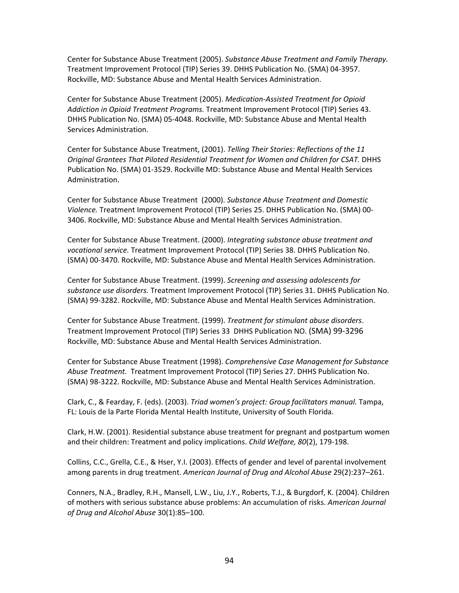Center for Substance Abuse Treatment (2005). *Substance Abuse Treatment and Family Therapy.* Treatment Improvement Protocol (TIP) Series 39. DHHS Publication No. (SMA) 04‐3957. Rockville, MD: Substance Abuse and Mental Health Services Administration.

Center for Substance Abuse Treatment (2005). *Medication‐Assisted Treatment for Opioid Addiction in Opioid Treatment Programs.* Treatment Improvement Protocol (TIP) Series 43. DHHS Publication No. (SMA) 05‐4048. Rockville, MD: Substance Abuse and Mental Health Services Administration.

Center for Substance Abuse Treatment, (2001). *Telling Their Stories: Reflections of the 11 Original Grantees That Piloted Residential Treatment for Women and Children for CSAT.* DHHS Publication No. (SMA) 01‐3529. Rockville MD: Substance Abuse and Mental Health Services Administration.

Center for Substance Abuse Treatment (2000). *Substance Abuse Treatment and Domestic Violence.* Treatment Improvement Protocol (TIP) Series 25. DHHS Publication No. (SMA) 00‐ 3406. Rockville, MD: Substance Abuse and Mental Health Services Administration.

Center for Substance Abuse Treatment. (2000). *Integrating substance abuse treatment and vocational service.* Treatment Improvement Protocol (TIP) Series 38. DHHS Publication No. (SMA) 00‐3470. Rockville, MD: Substance Abuse and Mental Health Services Administration.

Center for Substance Abuse Treatment. (1999). *Screening and assessing adolescents for substance use disorders.* Treatment Improvement Protocol (TIP) Series 31. DHHS Publication No. (SMA) 99‐3282. Rockville, MD: Substance Abuse and Mental Health Services Administration.

Center for Substance Abuse Treatment. (1999). *Treatment for stimulant abuse disorders*. Treatment Improvement Protocol (TIP) Series 33 DHHS Publication NO. (SMA) 99‐3296 Rockville, MD: Substance Abuse and Mental Health Services Administration.

Center for Substance Abuse Treatment (1998). *Comprehensive Case Management for Substance Abuse Treatment.* Treatment Improvement Protocol (TIP) Series 27. DHHS Publication No. (SMA) 98‐3222. Rockville, MD: Substance Abuse and Mental Health Services Administration.

Clark, C., & Fearday, F. (eds). (2003). *Triad women's project: Group facilitators manual.* Tampa, FL: Louis de la Parte Florida Mental Health Institute, University of South Florida.

Clark, H.W. (2001). Residential substance abuse treatment for pregnant and postpartum women and their children: Treatment and policy implications. *Child Welfare, 80*(2), 179‐198.

Collins, C.C., Grella, C.E., & Hser, Y.I. (2003). Effects of gender and level of parental involvement among parents in drug treatment. *American Journal of Drug and Alcohol Abuse* 29(2):237–261.

Conners, N.A., Bradley, R.H., Mansell, L.W., Liu, J.Y., Roberts, T.J., & Burgdorf, K. (2004). Children of mothers with serious substance abuse problems: An accumulation of risks. *American Journal of Drug and Alcohol Abuse* 30(1):85–100.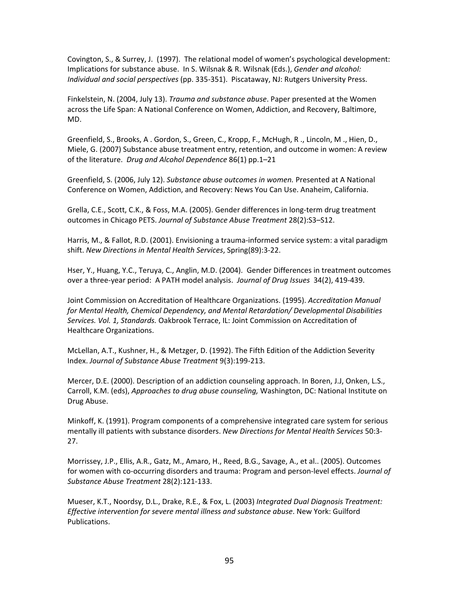Covington, S., & Surrey, J. (1997). The relational model of women's psychological development: Implications for substance abuse. In S. Wilsnak & R. Wilsnak (Eds.), *Gender and alcohol: Individual and social perspectives* (pp. 335‐351). Piscataway, NJ: Rutgers University Press.

Finkelstein, N. (2004, July 13). *Trauma and substance abuse*. Paper presented at the Women across the Life Span: A National Conference on Women, Addiction, and Recovery, Baltimore, MD.

Greenfield, S., Brooks, A . Gordon, S., Green, C., Kropp, F., McHugh, R ., Lincoln, M ., Hien, D., Miele, G. (2007) Substance abuse treatment entry, retention, and outcome in women: A review of the literature. *Drug and Alcohol Dependence* 86(1) pp.1–21

Greenfield, S. (2006, July 12). *Substance abuse outcomes in women.* Presented at A National Conference on Women, Addiction, and Recovery: News You Can Use. Anaheim, California.

Grella, C.E., Scott, C.K., & Foss, M.A. (2005). Gender differences in long‐term drug treatment outcomes in Chicago PETS. *Journal of Substance Abuse Treatment* 28(2):S3–S12.

Harris, M., & Fallot, R.D. (2001). Envisioning a trauma‐informed service system: a vital paradigm shift. *New Directions in Mental Health Services*, Spring(89):3‐22.

Hser, Y., Huang, Y.C., Teruya, C., Anglin, M.D. (2004). Gender Differences in treatment outcomes over a three‐year period: A PATH model analysis. *Journal of Drug Issues* 34(2), 419‐439.

Joint Commission on Accreditation of Healthcare Organizations. (1995). *Accreditation Manual for Mental Health, Chemical Dependency, and Mental Retardation/ Developmental Disabilities Services. Vol. 1, Standards.* Oakbrook Terrace, IL: Joint Commission on Accreditation of Healthcare Organizations.

McLellan, A.T., Kushner, H., & Metzger, D. (1992). The Fifth Edition of the Addiction Severity Index. *Journal of Substance Abuse Treatment* 9(3):199‐213.

Mercer, D.E. (2000). Description of an addiction counseling approach. In Boren, J.J, Onken, L.S., Carroll, K.M. (eds), *Approaches to drug abuse counseling,* Washington, DC: National Institute on Drug Abuse.

Minkoff, K. (1991). Program components of a comprehensive integrated care system for serious mentally ill patients with substance disorders. *New Directions for Mental Health Services* 50:3‐ 27.

Morrissey, J.P., Ellis, A.R., Gatz, M., Amaro, H., Reed, B.G., Savage, A., et al.. (2005). Outcomes for women with co‐occurring disorders and trauma: Program and person‐level effects. *Journal of Substance Abuse Treatment* 28(2):121‐133.

Mueser, K.T., Noordsy, D.L., Drake, R.E., & Fox, L. (2003) *Integrated Dual Diagnosis Treatment: Effective intervention for severe mental illness and substance abuse*. New York: Guilford Publications.